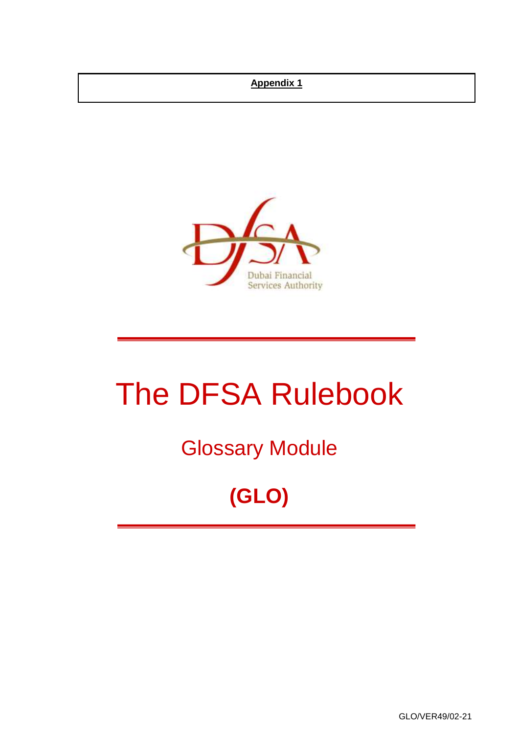#### **Appendix 1**



# The DFSA Rulebook

# Glossary Module

# **(GLO)**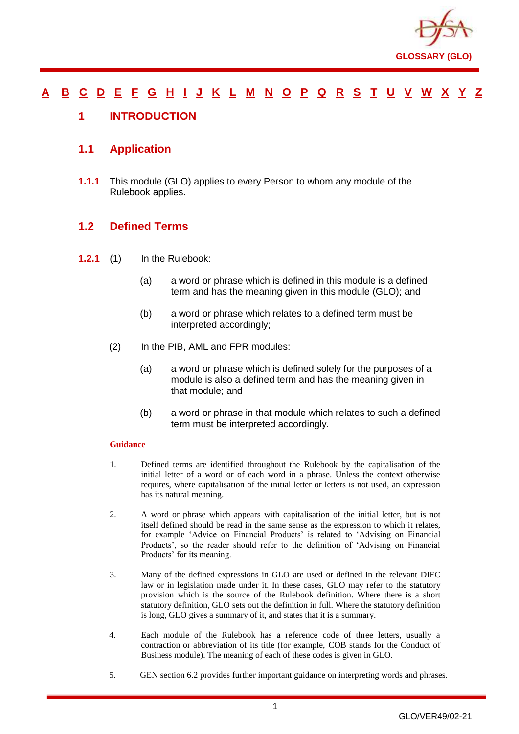

#### [A](#page-2-0) [B](#page-7-0) [C](#page-9-0) [D](#page-18-0) [E](#page-22-0) [F](#page-24-0) [G](#page-27-0) [H](#page-31-0) [I](#page-32-0) [J](#page-37-0) [K](#page-37-1) [L](#page-38-0) [M](#page-41-0) [N](#page-45-0) [O](#page-47-0) [P](#page-49-0) [Q](#page-55-0) [R](#page-56-0) [S](#page-61-0) [T](#page-66-0) [U](#page-68-0) [V](#page-69-0) [W](#page-70-0) [X](#page-71-0) [Y](#page-72-0) [Z](#page-73-0)

#### <span id="page-1-0"></span>**1 INTRODUCTION**

#### **1.1 Application**

**1.1.1** This module (GLO) applies to every Person to whom any module of the Rulebook applies.

#### **1.2 Defined Terms**

- **1.2.1** (1) In the Rulebook:
	- (a) a word or phrase which is defined in this module is a defined term and has the meaning given in this module (GLO); and
	- (b) a word or phrase which relates to a defined term must be interpreted accordingly;
	- (2) In the PIB, AML and FPR modules:
		- (a) a word or phrase which is defined solely for the purposes of a module is also a defined term and has the meaning given in that module; and
		- (b) a word or phrase in that module which relates to such a defined term must be interpreted accordingly.

#### **Guidance**

- 1. Defined terms are identified throughout the Rulebook by the capitalisation of the initial letter of a word or of each word in a phrase. Unless the context otherwise requires, where capitalisation of the initial letter or letters is not used, an expression has its natural meaning.
- 2. A word or phrase which appears with capitalisation of the initial letter, but is not itself defined should be read in the same sense as the expression to which it relates, for example 'Advice on Financial Products' is related to 'Advising on Financial Products', so the reader should refer to the definition of 'Advising on Financial Products' for its meaning.
- 3. Many of the defined expressions in GLO are used or defined in the relevant DIFC law or in legislation made under it. In these cases, GLO may refer to the statutory provision which is the source of the Rulebook definition. Where there is a short statutory definition, GLO sets out the definition in full. Where the statutory definition is long, GLO gives a summary of it, and states that it is a summary.
- 4. Each module of the Rulebook has a reference code of three letters, usually a contraction or abbreviation of its title (for example, COB stands for the Conduct of Business module). The meaning of each of these codes is given in GLO.
- 5. GEN section 6.2 provides further important guidance on interpreting words and phrases.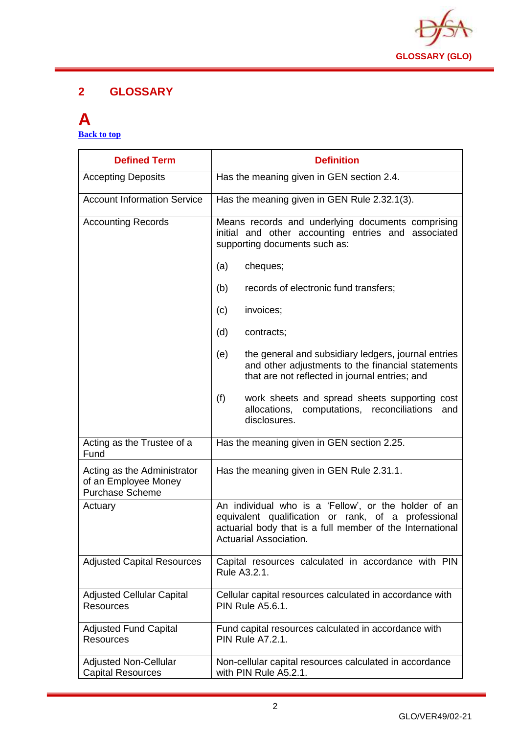

#### **2 GLOSSARY**

#### <span id="page-2-0"></span>**A [Back to top](#page-1-0)**

| <b>Defined Term</b>                                                           | <b>Definition</b>                                                                                                                                                                                  |
|-------------------------------------------------------------------------------|----------------------------------------------------------------------------------------------------------------------------------------------------------------------------------------------------|
| <b>Accepting Deposits</b>                                                     | Has the meaning given in GEN section 2.4.                                                                                                                                                          |
| <b>Account Information Service</b>                                            | Has the meaning given in GEN Rule 2.32.1(3).                                                                                                                                                       |
| <b>Accounting Records</b>                                                     | Means records and underlying documents comprising<br>initial and other accounting entries and associated<br>supporting documents such as:                                                          |
|                                                                               | (a)<br>cheques;                                                                                                                                                                                    |
|                                                                               | records of electronic fund transfers;<br>(b)                                                                                                                                                       |
|                                                                               | invoices;<br>(c)                                                                                                                                                                                   |
|                                                                               | (d)<br>contracts;                                                                                                                                                                                  |
|                                                                               | the general and subsidiary ledgers, journal entries<br>(e)<br>and other adjustments to the financial statements<br>that are not reflected in journal entries; and                                  |
|                                                                               | (f)<br>work sheets and spread sheets supporting cost<br>allocations, computations, reconciliations<br>and<br>disclosures.                                                                          |
| Acting as the Trustee of a<br>Fund                                            | Has the meaning given in GEN section 2.25.                                                                                                                                                         |
| Acting as the Administrator<br>of an Employee Money<br><b>Purchase Scheme</b> | Has the meaning given in GEN Rule 2.31.1.                                                                                                                                                          |
| Actuary                                                                       | An individual who is a 'Fellow', or the holder of an<br>equivalent qualification or rank, of a professional<br>actuarial body that is a full member of the International<br>Actuarial Association. |
| <b>Adjusted Capital Resources</b>                                             | Capital resources calculated in accordance with PIN<br>Rule A3.2.1.                                                                                                                                |
| <b>Adjusted Cellular Capital</b><br><b>Resources</b>                          | Cellular capital resources calculated in accordance with<br><b>PIN Rule A5.6.1.</b>                                                                                                                |
| <b>Adjusted Fund Capital</b><br><b>Resources</b>                              | Fund capital resources calculated in accordance with<br><b>PIN Rule A7.2.1.</b>                                                                                                                    |
| <b>Adjusted Non-Cellular</b><br><b>Capital Resources</b>                      | Non-cellular capital resources calculated in accordance<br>with PIN Rule A5.2.1.                                                                                                                   |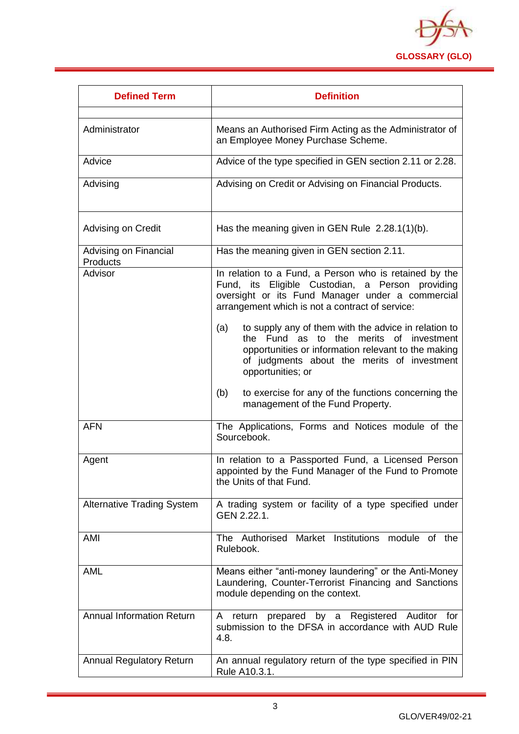

| <b>Defined Term</b>               | <b>Definition</b>                                                                                                                                                                                                                 |
|-----------------------------------|-----------------------------------------------------------------------------------------------------------------------------------------------------------------------------------------------------------------------------------|
| Administrator                     | Means an Authorised Firm Acting as the Administrator of<br>an Employee Money Purchase Scheme.                                                                                                                                     |
| Advice                            | Advice of the type specified in GEN section 2.11 or 2.28.                                                                                                                                                                         |
| Advising                          | Advising on Credit or Advising on Financial Products.                                                                                                                                                                             |
| Advising on Credit                | Has the meaning given in GEN Rule $2.28.1(1)(b)$ .                                                                                                                                                                                |
| Advising on Financial<br>Products | Has the meaning given in GEN section 2.11.                                                                                                                                                                                        |
| Advisor                           | In relation to a Fund, a Person who is retained by the<br>Fund, its Eligible Custodian, a Person<br>providing<br>oversight or its Fund Manager under a commercial<br>arrangement which is not a contract of service:              |
|                                   | to supply any of them with the advice in relation to<br>(a)<br>the Fund as to the merits of investment<br>opportunities or information relevant to the making<br>of judgments about the merits of investment<br>opportunities; or |
|                                   | to exercise for any of the functions concerning the<br>(b)<br>management of the Fund Property.                                                                                                                                    |
| <b>AFN</b>                        | The Applications, Forms and Notices module of the<br>Sourcebook.                                                                                                                                                                  |
| Agent                             | In relation to a Passported Fund, a Licensed Person<br>appointed by the Fund Manager of the Fund to Promote<br>the Units of that Fund.                                                                                            |
| <b>Alternative Trading System</b> | A trading system or facility of a type specified under<br>GEN 2.22.1.                                                                                                                                                             |
| AMI                               | The Authorised Market Institutions module of the<br>Rulebook.                                                                                                                                                                     |
| <b>AML</b>                        | Means either "anti-money laundering" or the Anti-Money<br>Laundering, Counter-Terrorist Financing and Sanctions<br>module depending on the context.                                                                               |
| <b>Annual Information Return</b>  | prepared by a Registered Auditor for<br>A return<br>submission to the DFSA in accordance with AUD Rule<br>4.8.                                                                                                                    |
| <b>Annual Regulatory Return</b>   | An annual regulatory return of the type specified in PIN<br>Rule A10.3.1.                                                                                                                                                         |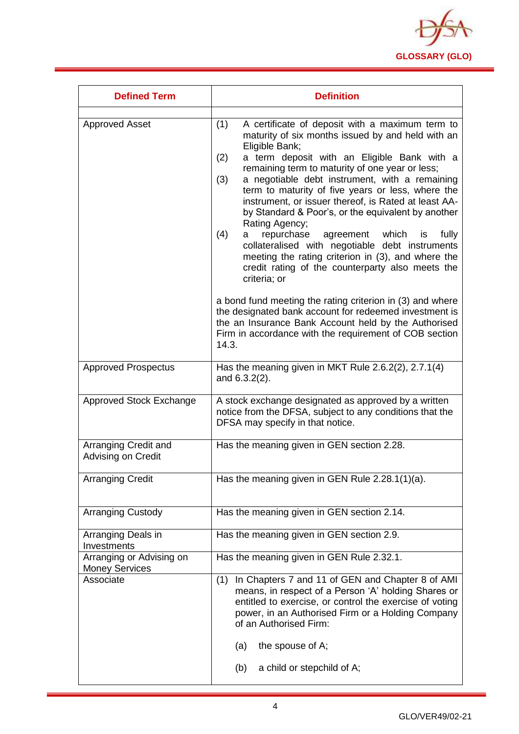

| <b>Defined Term</b>                               | <b>Definition</b>                                                                                                                                                                                                                                                                                                                                                                                                                                                                                                                                                                                                                                                                                                                                                                                                                                                                                                                                                            |
|---------------------------------------------------|------------------------------------------------------------------------------------------------------------------------------------------------------------------------------------------------------------------------------------------------------------------------------------------------------------------------------------------------------------------------------------------------------------------------------------------------------------------------------------------------------------------------------------------------------------------------------------------------------------------------------------------------------------------------------------------------------------------------------------------------------------------------------------------------------------------------------------------------------------------------------------------------------------------------------------------------------------------------------|
| <b>Approved Asset</b>                             | A certificate of deposit with a maximum term to<br>(1)<br>maturity of six months issued by and held with an<br>Eligible Bank;<br>a term deposit with an Eligible Bank with a<br>(2)<br>remaining term to maturity of one year or less;<br>(3)<br>a negotiable debt instrument, with a remaining<br>term to maturity of five years or less, where the<br>instrument, or issuer thereof, is Rated at least AA-<br>by Standard & Poor's, or the equivalent by another<br>Rating Agency;<br>(4)<br>repurchase<br>agreement which is<br>fully<br>а<br>collateralised with negotiable debt instruments<br>meeting the rating criterion in (3), and where the<br>credit rating of the counterparty also meets the<br>criteria; or<br>a bond fund meeting the rating criterion in (3) and where<br>the designated bank account for redeemed investment is<br>the an Insurance Bank Account held by the Authorised<br>Firm in accordance with the requirement of COB section<br>14.3. |
| <b>Approved Prospectus</b>                        | Has the meaning given in MKT Rule 2.6.2(2), 2.7.1(4)<br>and 6.3.2(2).                                                                                                                                                                                                                                                                                                                                                                                                                                                                                                                                                                                                                                                                                                                                                                                                                                                                                                        |
| <b>Approved Stock Exchange</b>                    | A stock exchange designated as approved by a written<br>notice from the DFSA, subject to any conditions that the<br>DFSA may specify in that notice.                                                                                                                                                                                                                                                                                                                                                                                                                                                                                                                                                                                                                                                                                                                                                                                                                         |
| Arranging Credit and<br>Advising on Credit        | Has the meaning given in GEN section 2.28.                                                                                                                                                                                                                                                                                                                                                                                                                                                                                                                                                                                                                                                                                                                                                                                                                                                                                                                                   |
| <b>Arranging Credit</b>                           | Has the meaning given in GEN Rule 2.28.1(1)(a).                                                                                                                                                                                                                                                                                                                                                                                                                                                                                                                                                                                                                                                                                                                                                                                                                                                                                                                              |
| <b>Arranging Custody</b>                          | Has the meaning given in GEN section 2.14.                                                                                                                                                                                                                                                                                                                                                                                                                                                                                                                                                                                                                                                                                                                                                                                                                                                                                                                                   |
| Arranging Deals in<br>Investments                 | Has the meaning given in GEN section 2.9.                                                                                                                                                                                                                                                                                                                                                                                                                                                                                                                                                                                                                                                                                                                                                                                                                                                                                                                                    |
| Arranging or Advising on<br><b>Money Services</b> | Has the meaning given in GEN Rule 2.32.1.                                                                                                                                                                                                                                                                                                                                                                                                                                                                                                                                                                                                                                                                                                                                                                                                                                                                                                                                    |
| Associate                                         | In Chapters 7 and 11 of GEN and Chapter 8 of AMI<br>(1)<br>means, in respect of a Person 'A' holding Shares or<br>entitled to exercise, or control the exercise of voting<br>power, in an Authorised Firm or a Holding Company<br>of an Authorised Firm:<br>the spouse of A;<br>(a)                                                                                                                                                                                                                                                                                                                                                                                                                                                                                                                                                                                                                                                                                          |
|                                                   | (b)<br>a child or stepchild of A;                                                                                                                                                                                                                                                                                                                                                                                                                                                                                                                                                                                                                                                                                                                                                                                                                                                                                                                                            |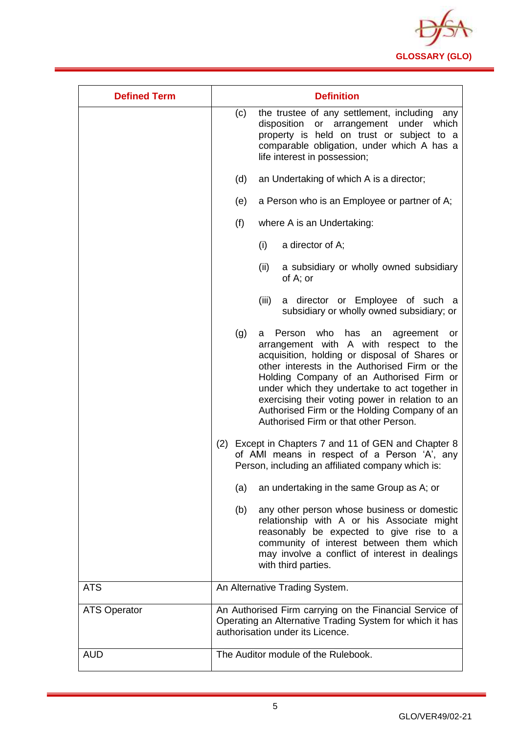

| <b>Defined Term</b> | <b>Definition</b>                                                                                                                                                                                                                                                                                                                                                                                                                              |
|---------------------|------------------------------------------------------------------------------------------------------------------------------------------------------------------------------------------------------------------------------------------------------------------------------------------------------------------------------------------------------------------------------------------------------------------------------------------------|
|                     | (c)<br>the trustee of any settlement, including<br>any<br>disposition<br>or arrangement<br>under which<br>property is held on trust or subject to a<br>comparable obligation, under which A has a<br>life interest in possession;                                                                                                                                                                                                              |
|                     | (d)<br>an Undertaking of which A is a director;                                                                                                                                                                                                                                                                                                                                                                                                |
|                     | a Person who is an Employee or partner of A;<br>(e)                                                                                                                                                                                                                                                                                                                                                                                            |
|                     | (f)<br>where A is an Undertaking:                                                                                                                                                                                                                                                                                                                                                                                                              |
|                     | (i)<br>a director of A;                                                                                                                                                                                                                                                                                                                                                                                                                        |
|                     | (ii)<br>a subsidiary or wholly owned subsidiary<br>of A; or                                                                                                                                                                                                                                                                                                                                                                                    |
|                     | (iii)<br>a director or Employee of such a<br>subsidiary or wholly owned subsidiary; or                                                                                                                                                                                                                                                                                                                                                         |
|                     | who<br>(g)<br>Person<br>has<br>agreement<br>a<br>an<br>or<br>arrangement with A with respect to the<br>acquisition, holding or disposal of Shares or<br>other interests in the Authorised Firm or the<br>Holding Company of an Authorised Firm or<br>under which they undertake to act together in<br>exercising their voting power in relation to an<br>Authorised Firm or the Holding Company of an<br>Authorised Firm or that other Person. |
|                     | Except in Chapters 7 and 11 of GEN and Chapter 8<br>(2)<br>of AMI means in respect of a Person 'A', any<br>Person, including an affiliated company which is:                                                                                                                                                                                                                                                                                   |
|                     | an undertaking in the same Group as A; or<br>(a)                                                                                                                                                                                                                                                                                                                                                                                               |
|                     | (b)<br>any other person whose business or domestic<br>relationship with A or his Associate might<br>reasonably be expected to give rise to a<br>community of interest between them which<br>may involve a conflict of interest in dealings<br>with third parties.                                                                                                                                                                              |
| <b>ATS</b>          | An Alternative Trading System.                                                                                                                                                                                                                                                                                                                                                                                                                 |
| <b>ATS Operator</b> | An Authorised Firm carrying on the Financial Service of<br>Operating an Alternative Trading System for which it has<br>authorisation under its Licence.                                                                                                                                                                                                                                                                                        |
| <b>AUD</b>          | The Auditor module of the Rulebook.                                                                                                                                                                                                                                                                                                                                                                                                            |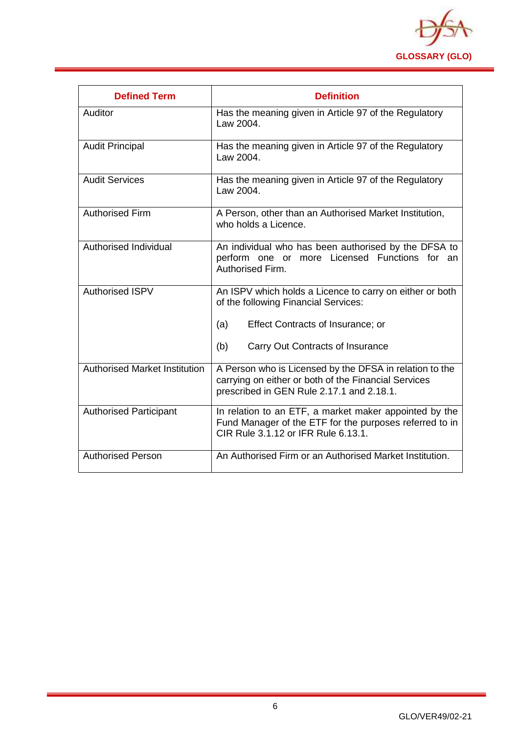

| <b>Defined Term</b>                  | <b>Definition</b>                                                                                                                                            |
|--------------------------------------|--------------------------------------------------------------------------------------------------------------------------------------------------------------|
| Auditor                              | Has the meaning given in Article 97 of the Regulatory<br>Law 2004.                                                                                           |
| <b>Audit Principal</b>               | Has the meaning given in Article 97 of the Regulatory<br>Law 2004.                                                                                           |
| <b>Audit Services</b>                | Has the meaning given in Article 97 of the Regulatory<br>Law 2004.                                                                                           |
| <b>Authorised Firm</b>               | A Person, other than an Authorised Market Institution,<br>who holds a Licence.                                                                               |
| Authorised Individual                | An individual who has been authorised by the DFSA to<br>perform one or more Licensed Functions for an<br>Authorised Firm.                                    |
| <b>Authorised ISPV</b>               | An ISPV which holds a Licence to carry on either or both<br>of the following Financial Services:                                                             |
|                                      | Effect Contracts of Insurance; or<br>(a)                                                                                                                     |
|                                      | Carry Out Contracts of Insurance<br>(b)                                                                                                                      |
| <b>Authorised Market Institution</b> | A Person who is Licensed by the DFSA in relation to the<br>carrying on either or both of the Financial Services<br>prescribed in GEN Rule 2.17.1 and 2.18.1. |
| <b>Authorised Participant</b>        | In relation to an ETF, a market maker appointed by the<br>Fund Manager of the ETF for the purposes referred to in<br>CIR Rule 3.1.12 or IFR Rule 6.13.1.     |
| <b>Authorised Person</b>             | An Authorised Firm or an Authorised Market Institution.                                                                                                      |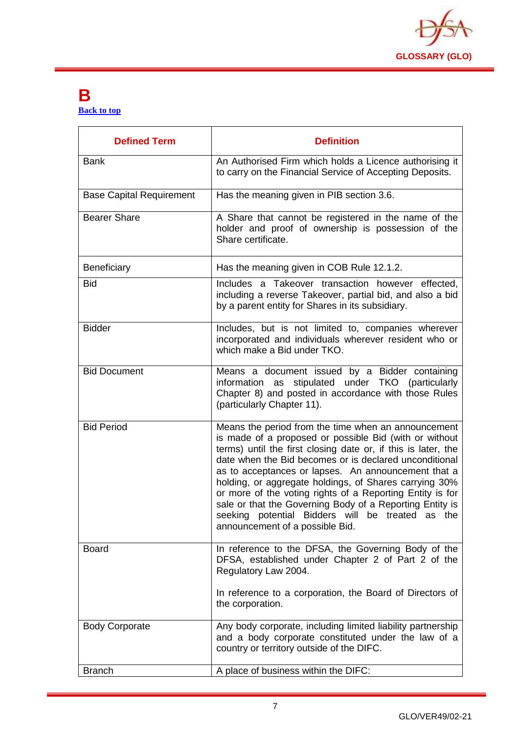

#### <span id="page-7-0"></span>**B [Back to top](#page-1-0)**

| <b>Defined Term</b>             | <b>Definition</b>                                                                                                                                                                                                                                                                                                                                                                                                                                                                                                                                                            |
|---------------------------------|------------------------------------------------------------------------------------------------------------------------------------------------------------------------------------------------------------------------------------------------------------------------------------------------------------------------------------------------------------------------------------------------------------------------------------------------------------------------------------------------------------------------------------------------------------------------------|
| <b>Bank</b>                     | An Authorised Firm which holds a Licence authorising it<br>to carry on the Financial Service of Accepting Deposits.                                                                                                                                                                                                                                                                                                                                                                                                                                                          |
| <b>Base Capital Requirement</b> | Has the meaning given in PIB section 3.6.                                                                                                                                                                                                                                                                                                                                                                                                                                                                                                                                    |
| <b>Bearer Share</b>             | A Share that cannot be registered in the name of the<br>holder and proof of ownership is possession of the<br>Share certificate.                                                                                                                                                                                                                                                                                                                                                                                                                                             |
| <b>Beneficiary</b>              | Has the meaning given in COB Rule 12.1.2.                                                                                                                                                                                                                                                                                                                                                                                                                                                                                                                                    |
| <b>Bid</b>                      | Includes a Takeover transaction however effected,<br>including a reverse Takeover, partial bid, and also a bid<br>by a parent entity for Shares in its subsidiary.                                                                                                                                                                                                                                                                                                                                                                                                           |
| <b>Bidder</b>                   | Includes, but is not limited to, companies wherever<br>incorporated and individuals wherever resident who or<br>which make a Bid under TKO.                                                                                                                                                                                                                                                                                                                                                                                                                                  |
| <b>Bid Document</b>             | Means a document issued by a Bidder containing<br>under TKO (particularly<br>information<br>stipulated<br>as<br>Chapter 8) and posted in accordance with those Rules<br>(particularly Chapter 11).                                                                                                                                                                                                                                                                                                                                                                           |
| <b>Bid Period</b>               | Means the period from the time when an announcement<br>is made of a proposed or possible Bid (with or without<br>terms) until the first closing date or, if this is later, the<br>date when the Bid becomes or is declared unconditional<br>as to acceptances or lapses. An announcement that a<br>holding, or aggregate holdings, of Shares carrying 30%<br>or more of the voting rights of a Reporting Entity is for<br>sale or that the Governing Body of a Reporting Entity is<br>potential Bidders will be treated as the<br>seeking<br>announcement of a possible Bid. |
| <b>Board</b>                    | In reference to the DFSA, the Governing Body of the<br>DFSA, established under Chapter 2 of Part 2 of the<br>Regulatory Law 2004.<br>In reference to a corporation, the Board of Directors of<br>the corporation.                                                                                                                                                                                                                                                                                                                                                            |
|                                 |                                                                                                                                                                                                                                                                                                                                                                                                                                                                                                                                                                              |
| <b>Body Corporate</b>           | Any body corporate, including limited liability partnership<br>and a body corporate constituted under the law of a<br>country or territory outside of the DIFC.                                                                                                                                                                                                                                                                                                                                                                                                              |
| <b>Branch</b>                   | A place of business within the DIFC:                                                                                                                                                                                                                                                                                                                                                                                                                                                                                                                                         |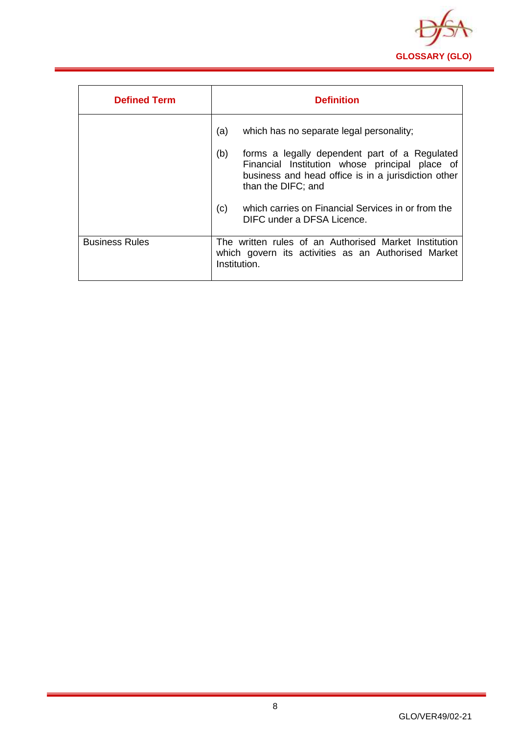

| <b>Defined Term</b>   | <b>Definition</b>                                                                                                                                                                   |
|-----------------------|-------------------------------------------------------------------------------------------------------------------------------------------------------------------------------------|
|                       | (a)<br>which has no separate legal personality;                                                                                                                                     |
|                       | (b)<br>forms a legally dependent part of a Regulated<br>Financial Institution whose principal place of<br>business and head office is in a jurisdiction other<br>than the DIFC; and |
|                       | which carries on Financial Services in or from the<br>(c)<br>DIFC under a DFSA Licence.                                                                                             |
| <b>Business Rules</b> | The written rules of an Authorised Market Institution<br>which govern its activities as an Authorised Market<br>Institution.                                                        |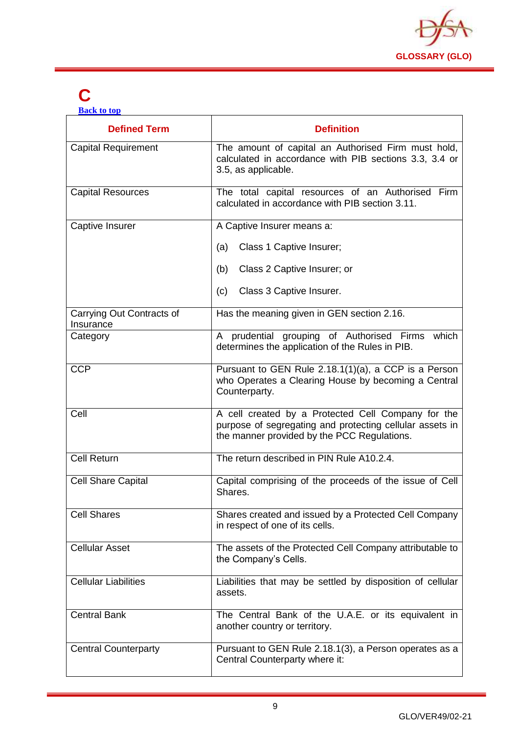

# <span id="page-9-0"></span>**C**

**[Back to top](#page-1-0)**

| <b>Defined Term</b>                    | <b>Definition</b>                                                                                                                                             |
|----------------------------------------|---------------------------------------------------------------------------------------------------------------------------------------------------------------|
| <b>Capital Requirement</b>             | The amount of capital an Authorised Firm must hold,<br>calculated in accordance with PIB sections 3.3, 3.4 or<br>3.5, as applicable.                          |
| <b>Capital Resources</b>               | The total capital resources of an Authorised Firm<br>calculated in accordance with PIB section 3.11.                                                          |
| Captive Insurer                        | A Captive Insurer means a:                                                                                                                                    |
|                                        | Class 1 Captive Insurer;<br>(a)                                                                                                                               |
|                                        | Class 2 Captive Insurer; or<br>(b)                                                                                                                            |
|                                        | Class 3 Captive Insurer.<br>(c)                                                                                                                               |
| Carrying Out Contracts of<br>Insurance | Has the meaning given in GEN section 2.16.                                                                                                                    |
| Category                               | A prudential grouping of Authorised Firms<br>which<br>determines the application of the Rules in PIB.                                                         |
| <b>CCP</b>                             | Pursuant to GEN Rule 2.18.1(1)(a), a CCP is a Person<br>who Operates a Clearing House by becoming a Central<br>Counterparty.                                  |
| Cell                                   | A cell created by a Protected Cell Company for the<br>purpose of segregating and protecting cellular assets in<br>the manner provided by the PCC Regulations. |
| <b>Cell Return</b>                     | The return described in PIN Rule A10.2.4.                                                                                                                     |
| <b>Cell Share Capital</b>              | Capital comprising of the proceeds of the issue of Cell<br>Shares.                                                                                            |
| <b>Cell Shares</b>                     | Shares created and issued by a Protected Cell Company<br>in respect of one of its cells.                                                                      |
| <b>Cellular Asset</b>                  | The assets of the Protected Cell Company attributable to<br>the Company's Cells.                                                                              |
| <b>Cellular Liabilities</b>            | Liabilities that may be settled by disposition of cellular<br>assets.                                                                                         |
| <b>Central Bank</b>                    | The Central Bank of the U.A.E. or its equivalent in<br>another country or territory.                                                                          |
| <b>Central Counterparty</b>            | Pursuant to GEN Rule 2.18.1(3), a Person operates as a<br>Central Counterparty where it:                                                                      |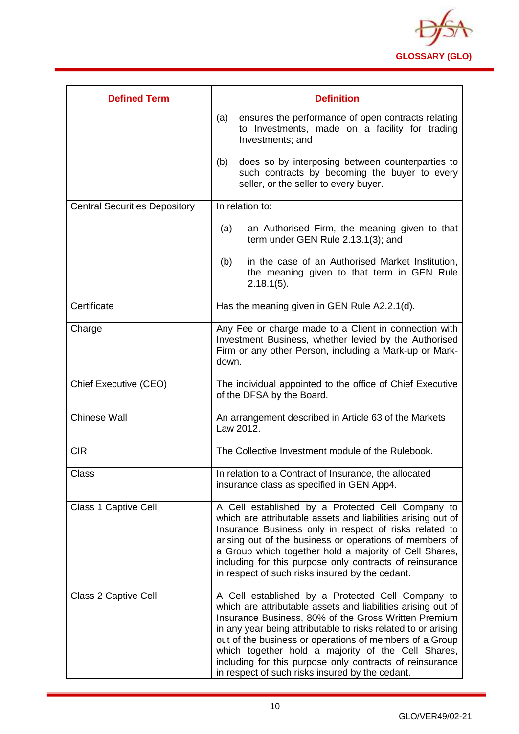

| <b>Defined Term</b>                  | <b>Definition</b>                                                                                                                                                                                                                                                                                                                                                                                                                                                          |
|--------------------------------------|----------------------------------------------------------------------------------------------------------------------------------------------------------------------------------------------------------------------------------------------------------------------------------------------------------------------------------------------------------------------------------------------------------------------------------------------------------------------------|
|                                      | ensures the performance of open contracts relating<br>(a)<br>to Investments, made on a facility for trading<br>Investments; and                                                                                                                                                                                                                                                                                                                                            |
|                                      | does so by interposing between counterparties to<br>(b)<br>such contracts by becoming the buyer to every<br>seller, or the seller to every buyer.                                                                                                                                                                                                                                                                                                                          |
| <b>Central Securities Depository</b> | In relation to:                                                                                                                                                                                                                                                                                                                                                                                                                                                            |
|                                      | an Authorised Firm, the meaning given to that<br>(a)<br>term under GEN Rule 2.13.1(3); and                                                                                                                                                                                                                                                                                                                                                                                 |
|                                      | in the case of an Authorised Market Institution,<br>(b)<br>the meaning given to that term in GEN Rule<br>$2.18.1(5)$ .                                                                                                                                                                                                                                                                                                                                                     |
| Certificate                          | Has the meaning given in GEN Rule A2.2.1(d).                                                                                                                                                                                                                                                                                                                                                                                                                               |
| Charge                               | Any Fee or charge made to a Client in connection with<br>Investment Business, whether levied by the Authorised<br>Firm or any other Person, including a Mark-up or Mark-<br>down.                                                                                                                                                                                                                                                                                          |
| Chief Executive (CEO)                | The individual appointed to the office of Chief Executive<br>of the DFSA by the Board.                                                                                                                                                                                                                                                                                                                                                                                     |
| <b>Chinese Wall</b>                  | An arrangement described in Article 63 of the Markets<br>Law 2012.                                                                                                                                                                                                                                                                                                                                                                                                         |
| <b>CIR</b>                           | The Collective Investment module of the Rulebook.                                                                                                                                                                                                                                                                                                                                                                                                                          |
| Class                                | In relation to a Contract of Insurance, the allocated<br>insurance class as specified in GEN App4.                                                                                                                                                                                                                                                                                                                                                                         |
| <b>Class 1 Captive Cell</b>          | A Cell established by a Protected Cell Company to<br>which are attributable assets and liabilities arising out of<br>Insurance Business only in respect of risks related to<br>arising out of the business or operations of members of<br>a Group which together hold a majority of Cell Shares,<br>including for this purpose only contracts of reinsurance<br>in respect of such risks insured by the cedant.                                                            |
| Class 2 Captive Cell                 | A Cell established by a Protected Cell Company to<br>which are attributable assets and liabilities arising out of<br>Insurance Business, 80% of the Gross Written Premium<br>in any year being attributable to risks related to or arising<br>out of the business or operations of members of a Group<br>which together hold a majority of the Cell Shares,<br>including for this purpose only contracts of reinsurance<br>in respect of such risks insured by the cedant. |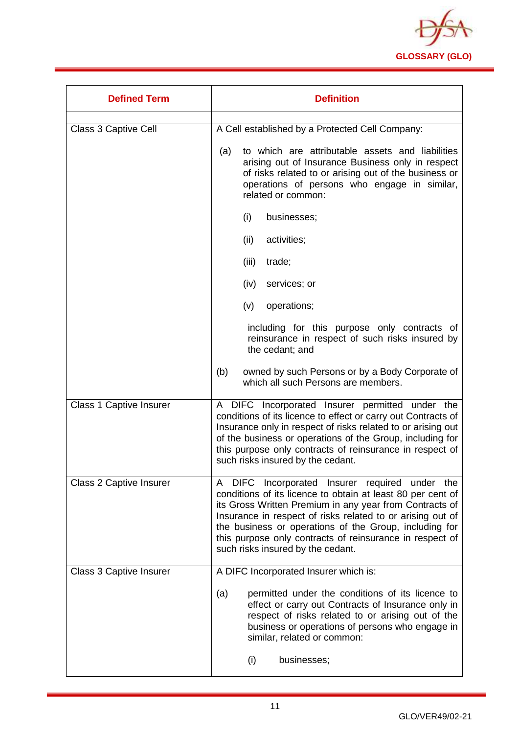

| <b>Defined Term</b>            | <b>Definition</b>                                                                                                                                                                                                                                                                                                                                                                                    |
|--------------------------------|------------------------------------------------------------------------------------------------------------------------------------------------------------------------------------------------------------------------------------------------------------------------------------------------------------------------------------------------------------------------------------------------------|
| Class 3 Captive Cell           | A Cell established by a Protected Cell Company:                                                                                                                                                                                                                                                                                                                                                      |
|                                |                                                                                                                                                                                                                                                                                                                                                                                                      |
|                                | to which are attributable assets and liabilities<br>(a)<br>arising out of Insurance Business only in respect<br>of risks related to or arising out of the business or<br>operations of persons who engage in similar,<br>related or common:                                                                                                                                                          |
|                                | (i)<br>businesses;                                                                                                                                                                                                                                                                                                                                                                                   |
|                                | activities;<br>(ii)                                                                                                                                                                                                                                                                                                                                                                                  |
|                                | (iii)<br>trade;                                                                                                                                                                                                                                                                                                                                                                                      |
|                                | services; or<br>(iv)                                                                                                                                                                                                                                                                                                                                                                                 |
|                                | operations;<br>(v)                                                                                                                                                                                                                                                                                                                                                                                   |
|                                | including for this purpose only contracts of<br>reinsurance in respect of such risks insured by<br>the cedant; and                                                                                                                                                                                                                                                                                   |
|                                | (b)<br>owned by such Persons or by a Body Corporate of<br>which all such Persons are members.                                                                                                                                                                                                                                                                                                        |
| Class 1 Captive Insurer        | A DIFC Incorporated Insurer permitted under the<br>conditions of its licence to effect or carry out Contracts of<br>Insurance only in respect of risks related to or arising out<br>of the business or operations of the Group, including for<br>this purpose only contracts of reinsurance in respect of<br>such risks insured by the cedant.                                                       |
| <b>Class 2 Captive Insurer</b> | DIFC Incorporated Insurer required under the<br>A<br>conditions of its licence to obtain at least 80 per cent of<br>its Gross Written Premium in any year from Contracts of<br>Insurance in respect of risks related to or arising out of<br>the business or operations of the Group, including for<br>this purpose only contracts of reinsurance in respect of<br>such risks insured by the cedant. |
| <b>Class 3 Captive Insurer</b> | A DIFC Incorporated Insurer which is:                                                                                                                                                                                                                                                                                                                                                                |
|                                | permitted under the conditions of its licence to<br>(a)<br>effect or carry out Contracts of Insurance only in<br>respect of risks related to or arising out of the<br>business or operations of persons who engage in<br>similar, related or common:                                                                                                                                                 |
|                                | (i)<br>businesses;                                                                                                                                                                                                                                                                                                                                                                                   |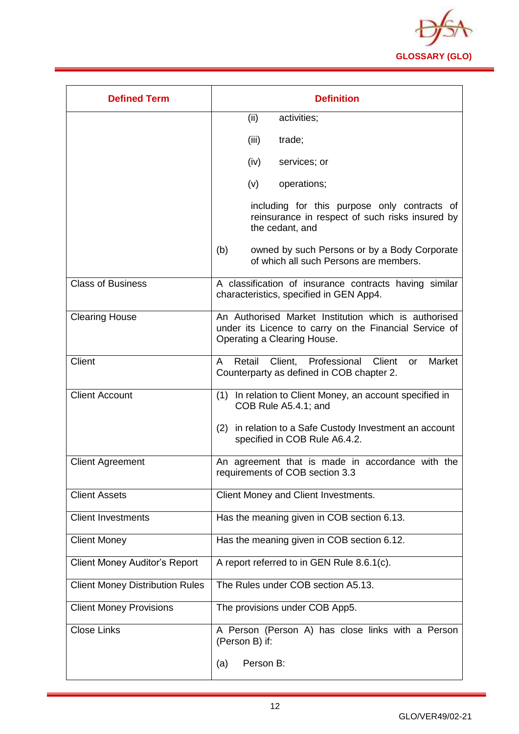

| <b>Defined Term</b>                    | <b>Definition</b>                                                                                                                             |
|----------------------------------------|-----------------------------------------------------------------------------------------------------------------------------------------------|
|                                        | (ii)<br>activities;                                                                                                                           |
|                                        | (iii)<br>trade;                                                                                                                               |
|                                        | (iv)<br>services; or                                                                                                                          |
|                                        | (v)<br>operations;                                                                                                                            |
|                                        | including for this purpose only contracts of<br>reinsurance in respect of such risks insured by<br>the cedant, and                            |
|                                        | owned by such Persons or by a Body Corporate<br>(b)<br>of which all such Persons are members.                                                 |
| <b>Class of Business</b>               | A classification of insurance contracts having similar<br>characteristics, specified in GEN App4.                                             |
| <b>Clearing House</b>                  | An Authorised Market Institution which is authorised<br>under its Licence to carry on the Financial Service of<br>Operating a Clearing House. |
| Client                                 | Retail Client, Professional Client<br>Market<br>or<br>A<br>Counterparty as defined in COB chapter 2.                                          |
| <b>Client Account</b>                  | In relation to Client Money, an account specified in<br>(1)<br>COB Rule A5.4.1; and                                                           |
|                                        | in relation to a Safe Custody Investment an account<br>(2)<br>specified in COB Rule A6.4.2.                                                   |
| <b>Client Agreement</b>                | An agreement that is made in accordance with the<br>requirements of COB section 3.3                                                           |
| <b>Client Assets</b>                   | Client Money and Client Investments.                                                                                                          |
| <b>Client Investments</b>              | Has the meaning given in COB section 6.13.                                                                                                    |
| <b>Client Money</b>                    | Has the meaning given in COB section 6.12.                                                                                                    |
| <b>Client Money Auditor's Report</b>   | A report referred to in GEN Rule 8.6.1(c).                                                                                                    |
| <b>Client Money Distribution Rules</b> | The Rules under COB section A5.13.                                                                                                            |
| <b>Client Money Provisions</b>         | The provisions under COB App5.                                                                                                                |
| <b>Close Links</b>                     | A Person (Person A) has close links with a Person<br>(Person B) if:                                                                           |
|                                        | Person B:<br>(a)                                                                                                                              |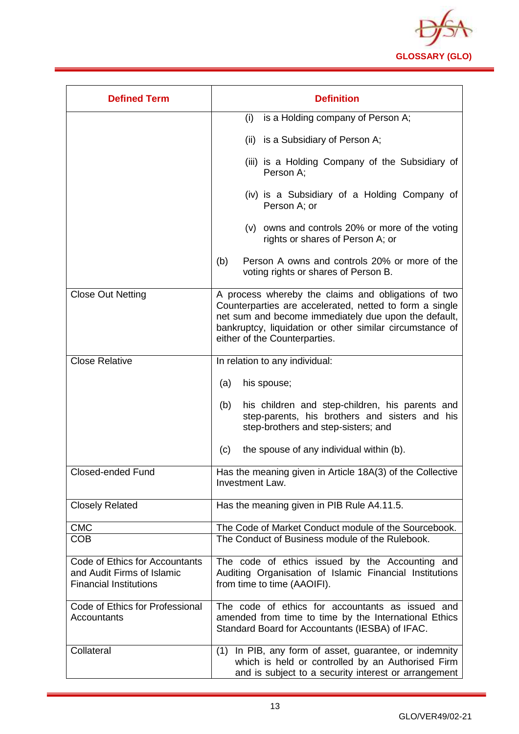

| <b>Defined Term</b>                                                                           | <b>Definition</b>                                                                                                                                                                                                                                                   |
|-----------------------------------------------------------------------------------------------|---------------------------------------------------------------------------------------------------------------------------------------------------------------------------------------------------------------------------------------------------------------------|
|                                                                                               | is a Holding company of Person A;<br>(i)                                                                                                                                                                                                                            |
|                                                                                               | (ii) is a Subsidiary of Person A;                                                                                                                                                                                                                                   |
|                                                                                               | (iii) is a Holding Company of the Subsidiary of<br>Person A;                                                                                                                                                                                                        |
|                                                                                               | (iv) is a Subsidiary of a Holding Company of<br>Person A; or                                                                                                                                                                                                        |
|                                                                                               | $(v)$ owns and controls 20% or more of the voting<br>rights or shares of Person A; or                                                                                                                                                                               |
|                                                                                               | Person A owns and controls 20% or more of the<br>(b)<br>voting rights or shares of Person B.                                                                                                                                                                        |
| <b>Close Out Netting</b>                                                                      | A process whereby the claims and obligations of two<br>Counterparties are accelerated, netted to form a single<br>net sum and become immediately due upon the default,<br>bankruptcy, liquidation or other similar circumstance of<br>either of the Counterparties. |
| <b>Close Relative</b>                                                                         | In relation to any individual:                                                                                                                                                                                                                                      |
|                                                                                               | (a)<br>his spouse;                                                                                                                                                                                                                                                  |
|                                                                                               | his children and step-children, his parents and<br>(b)<br>step-parents, his brothers and sisters and his<br>step-brothers and step-sisters; and                                                                                                                     |
|                                                                                               | (c)<br>the spouse of any individual within (b).                                                                                                                                                                                                                     |
| <b>Closed-ended Fund</b>                                                                      | Has the meaning given in Article 18A(3) of the Collective<br>Investment Law.                                                                                                                                                                                        |
| <b>Closely Related</b>                                                                        | Has the meaning given in PIB Rule A4.11.5.                                                                                                                                                                                                                          |
| <b>CMC</b>                                                                                    | The Code of Market Conduct module of the Sourcebook.                                                                                                                                                                                                                |
| <b>COB</b>                                                                                    | The Conduct of Business module of the Rulebook.                                                                                                                                                                                                                     |
| Code of Ethics for Accountants<br>and Audit Firms of Islamic<br><b>Financial Institutions</b> | The code of ethics issued by the Accounting and<br>Auditing Organisation of Islamic Financial Institutions<br>from time to time (AAOIFI).                                                                                                                           |
| Code of Ethics for Professional<br><b>Accountants</b>                                         | The code of ethics for accountants as issued and<br>amended from time to time by the International Ethics<br>Standard Board for Accountants (IESBA) of IFAC.                                                                                                        |
| Collateral                                                                                    | In PIB, any form of asset, guarantee, or indemnity<br>(1)<br>which is held or controlled by an Authorised Firm<br>and is subject to a security interest or arrangement                                                                                              |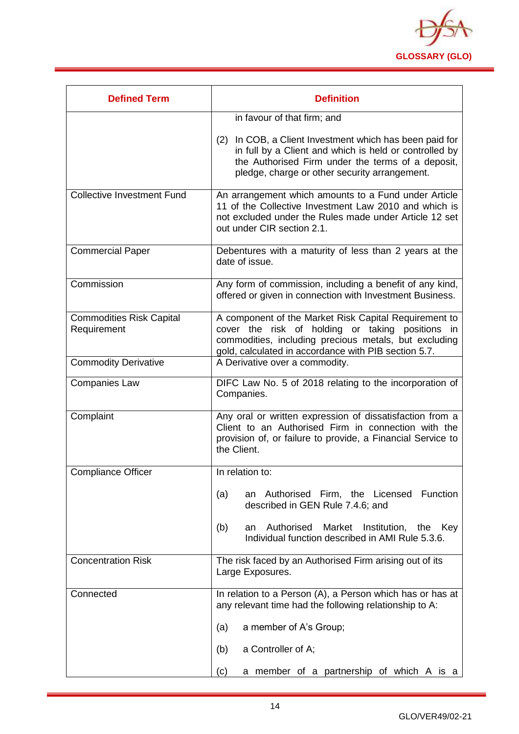

| <b>Defined Term</b>                            | <b>Definition</b>                                                                                                                                                                                                          |
|------------------------------------------------|----------------------------------------------------------------------------------------------------------------------------------------------------------------------------------------------------------------------------|
|                                                | in favour of that firm; and                                                                                                                                                                                                |
|                                                | (2) In COB, a Client Investment which has been paid for<br>in full by a Client and which is held or controlled by<br>the Authorised Firm under the terms of a deposit,<br>pledge, charge or other security arrangement.    |
| <b>Collective Investment Fund</b>              | An arrangement which amounts to a Fund under Article<br>11 of the Collective Investment Law 2010 and which is<br>not excluded under the Rules made under Article 12 set<br>out under CIR section 2.1.                      |
| <b>Commercial Paper</b>                        | Debentures with a maturity of less than 2 years at the<br>date of issue.                                                                                                                                                   |
| Commission                                     | Any form of commission, including a benefit of any kind,<br>offered or given in connection with Investment Business.                                                                                                       |
| <b>Commodities Risk Capital</b><br>Requirement | A component of the Market Risk Capital Requirement to<br>cover the risk of holding or taking positions in<br>commodities, including precious metals, but excluding<br>gold, calculated in accordance with PIB section 5.7. |
| <b>Commodity Derivative</b>                    | A Derivative over a commodity.                                                                                                                                                                                             |
| <b>Companies Law</b>                           | DIFC Law No. 5 of 2018 relating to the incorporation of<br>Companies.                                                                                                                                                      |
| Complaint                                      | Any oral or written expression of dissatisfaction from a<br>Client to an Authorised Firm in connection with the<br>provision of, or failure to provide, a Financial Service to<br>the Client.                              |
| <b>Compliance Officer</b>                      | In relation to:                                                                                                                                                                                                            |
|                                                | an Authorised Firm, the Licensed Function<br>(a)<br>described in GEN Rule 7.4.6; and                                                                                                                                       |
|                                                | Authorised<br>Market<br>Institution, the<br>(b)<br>Key<br>an<br>Individual function described in AMI Rule 5.3.6.                                                                                                           |
| <b>Concentration Risk</b>                      | The risk faced by an Authorised Firm arising out of its<br>Large Exposures.                                                                                                                                                |
| Connected                                      | In relation to a Person (A), a Person which has or has at<br>any relevant time had the following relationship to A:                                                                                                        |
|                                                | a member of A's Group;<br>(a)                                                                                                                                                                                              |
|                                                | a Controller of A;<br>(b)                                                                                                                                                                                                  |
|                                                | a member of a partnership of which A is a<br>(c)                                                                                                                                                                           |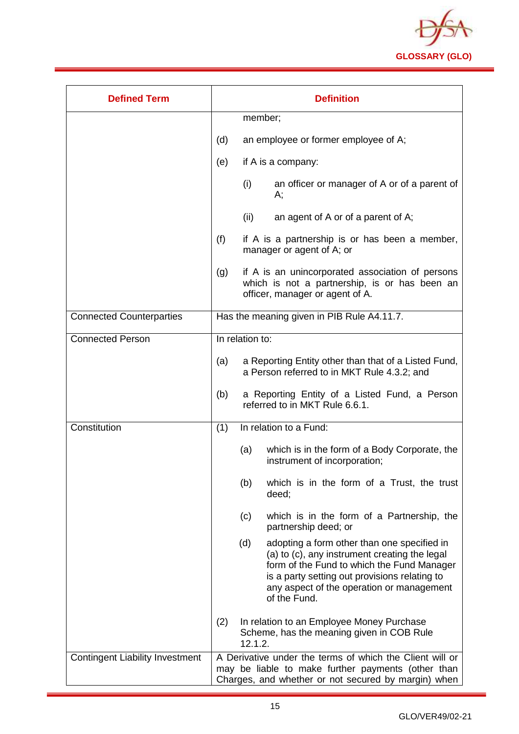

| <b>Defined Term</b>                    |     |                 | <b>Definition</b>                                                                                                                                                                                                                                        |
|----------------------------------------|-----|-----------------|----------------------------------------------------------------------------------------------------------------------------------------------------------------------------------------------------------------------------------------------------------|
|                                        |     | member;         |                                                                                                                                                                                                                                                          |
|                                        | (d) |                 | an employee or former employee of A;                                                                                                                                                                                                                     |
|                                        | (e) |                 | if A is a company:                                                                                                                                                                                                                                       |
|                                        |     | (i)             | an officer or manager of A or of a parent of<br>А;                                                                                                                                                                                                       |
|                                        |     | (ii)            | an agent of A or of a parent of A;                                                                                                                                                                                                                       |
|                                        | (f) |                 | if A is a partnership is or has been a member,<br>manager or agent of A; or                                                                                                                                                                              |
|                                        | (g) |                 | if A is an unincorporated association of persons<br>which is not a partnership, is or has been an<br>officer, manager or agent of A.                                                                                                                     |
| <b>Connected Counterparties</b>        |     |                 | Has the meaning given in PIB Rule A4.11.7.                                                                                                                                                                                                               |
| <b>Connected Person</b>                |     | In relation to: |                                                                                                                                                                                                                                                          |
|                                        | (a) |                 | a Reporting Entity other than that of a Listed Fund,<br>a Person referred to in MKT Rule 4.3.2; and                                                                                                                                                      |
|                                        | (b) |                 | a Reporting Entity of a Listed Fund, a Person<br>referred to in MKT Rule 6.6.1.                                                                                                                                                                          |
| Constitution                           | (1) |                 | In relation to a Fund:                                                                                                                                                                                                                                   |
|                                        |     | (a)             | which is in the form of a Body Corporate, the<br>instrument of incorporation;                                                                                                                                                                            |
|                                        |     | (b)             | which is in the form of a Trust, the trust<br>deed;                                                                                                                                                                                                      |
|                                        |     | (c)             | which is in the form of a Partnership, the<br>partnership deed; or                                                                                                                                                                                       |
|                                        |     | (d)             | adopting a form other than one specified in<br>(a) to (c), any instrument creating the legal<br>form of the Fund to which the Fund Manager<br>is a party setting out provisions relating to<br>any aspect of the operation or management<br>of the Fund. |
|                                        | (2) | 12.1.2.         | In relation to an Employee Money Purchase<br>Scheme, has the meaning given in COB Rule                                                                                                                                                                   |
| <b>Contingent Liability Investment</b> |     |                 | A Derivative under the terms of which the Client will or<br>may be liable to make further payments (other than<br>Charges, and whether or not secured by margin) when                                                                                    |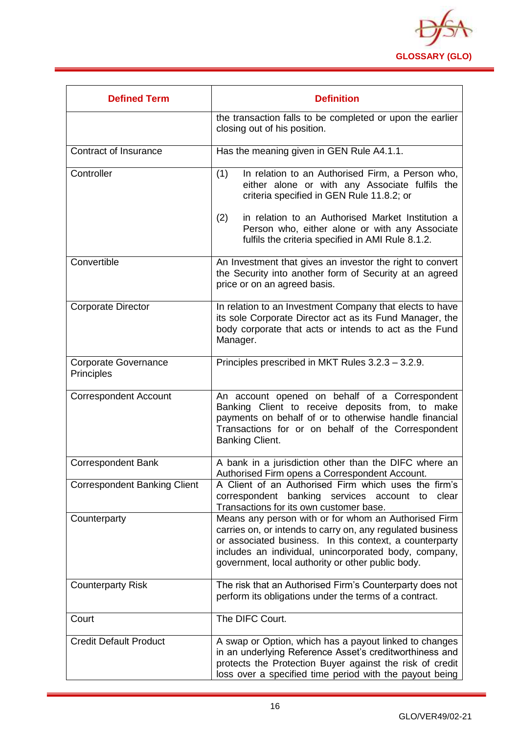

| <b>Defined Term</b>                       | <b>Definition</b>                                                                                                                                                                                                                                                                           |
|-------------------------------------------|---------------------------------------------------------------------------------------------------------------------------------------------------------------------------------------------------------------------------------------------------------------------------------------------|
|                                           | the transaction falls to be completed or upon the earlier<br>closing out of his position.                                                                                                                                                                                                   |
| Contract of Insurance                     | Has the meaning given in GEN Rule A4.1.1.                                                                                                                                                                                                                                                   |
| Controller                                | (1)<br>In relation to an Authorised Firm, a Person who,<br>either alone or with any Associate fulfils the<br>criteria specified in GEN Rule 11.8.2; or                                                                                                                                      |
|                                           | in relation to an Authorised Market Institution a<br>(2)<br>Person who, either alone or with any Associate<br>fulfils the criteria specified in AMI Rule 8.1.2.                                                                                                                             |
| Convertible                               | An Investment that gives an investor the right to convert<br>the Security into another form of Security at an agreed<br>price or on an agreed basis.                                                                                                                                        |
| <b>Corporate Director</b>                 | In relation to an Investment Company that elects to have<br>its sole Corporate Director act as its Fund Manager, the<br>body corporate that acts or intends to act as the Fund<br>Manager.                                                                                                  |
| <b>Corporate Governance</b><br>Principles | Principles prescribed in MKT Rules $3.2.3 - 3.2.9$ .                                                                                                                                                                                                                                        |
| <b>Correspondent Account</b>              | An account opened on behalf of a Correspondent<br>Banking Client to receive deposits from, to make<br>payments on behalf of or to otherwise handle financial<br>Transactions for or on behalf of the Correspondent<br>Banking Client.                                                       |
| <b>Correspondent Bank</b>                 | A bank in a jurisdiction other than the DIFC where an<br>Authorised Firm opens a Correspondent Account.                                                                                                                                                                                     |
| <b>Correspondent Banking Client</b>       | A Client of an Authorised Firm which uses the firm's<br>banking services account to<br>correspondent<br>clear<br>Transactions for its own customer base.                                                                                                                                    |
| Counterparty                              | Means any person with or for whom an Authorised Firm<br>carries on, or intends to carry on, any regulated business<br>or associated business. In this context, a counterparty<br>includes an individual, unincorporated body, company,<br>government, local authority or other public body. |
| <b>Counterparty Risk</b>                  | The risk that an Authorised Firm's Counterparty does not<br>perform its obligations under the terms of a contract.                                                                                                                                                                          |
| Court                                     | The DIFC Court.                                                                                                                                                                                                                                                                             |
| <b>Credit Default Product</b>             | A swap or Option, which has a payout linked to changes<br>in an underlying Reference Asset's creditworthiness and<br>protects the Protection Buyer against the risk of credit<br>loss over a specified time period with the payout being                                                    |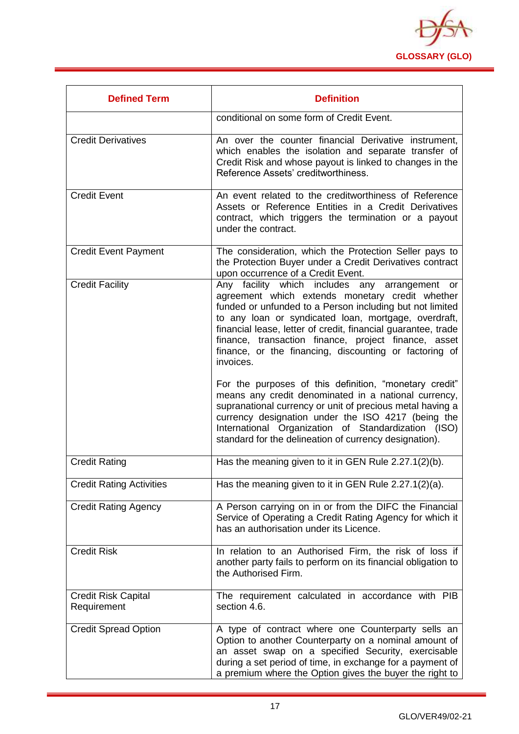

| <b>Defined Term</b>                       | <b>Definition</b>                                                                                                                                                                                                                                                                                                                                                                                                     |
|-------------------------------------------|-----------------------------------------------------------------------------------------------------------------------------------------------------------------------------------------------------------------------------------------------------------------------------------------------------------------------------------------------------------------------------------------------------------------------|
|                                           | conditional on some form of Credit Event.                                                                                                                                                                                                                                                                                                                                                                             |
| <b>Credit Derivatives</b>                 | An over the counter financial Derivative instrument,<br>which enables the isolation and separate transfer of<br>Credit Risk and whose payout is linked to changes in the<br>Reference Assets' creditworthiness.                                                                                                                                                                                                       |
| <b>Credit Event</b>                       | An event related to the creditworthiness of Reference<br>Assets or Reference Entities in a Credit Derivatives<br>contract, which triggers the termination or a payout<br>under the contract.                                                                                                                                                                                                                          |
| <b>Credit Event Payment</b>               | The consideration, which the Protection Seller pays to<br>the Protection Buyer under a Credit Derivatives contract<br>upon occurrence of a Credit Event.                                                                                                                                                                                                                                                              |
| <b>Credit Facility</b>                    | Any facility which includes any arrangement or<br>agreement which extends monetary credit whether<br>funded or unfunded to a Person including but not limited<br>to any loan or syndicated loan, mortgage, overdraft,<br>financial lease, letter of credit, financial guarantee, trade<br>finance, transaction finance, project finance, asset<br>finance, or the financing, discounting or factoring of<br>invoices. |
|                                           | For the purposes of this definition, "monetary credit"<br>means any credit denominated in a national currency,<br>supranational currency or unit of precious metal having a<br>currency designation under the ISO 4217 (being the<br>International Organization of Standardization (ISO)<br>standard for the delineation of currency designation).                                                                    |
| <b>Credit Rating</b>                      | Has the meaning given to it in GEN Rule 2.27.1(2)(b).                                                                                                                                                                                                                                                                                                                                                                 |
| <b>Credit Rating Activities</b>           | Has the meaning given to it in GEN Rule 2.27.1(2)(a).                                                                                                                                                                                                                                                                                                                                                                 |
| <b>Credit Rating Agency</b>               | A Person carrying on in or from the DIFC the Financial<br>Service of Operating a Credit Rating Agency for which it<br>has an authorisation under its Licence.                                                                                                                                                                                                                                                         |
| <b>Credit Risk</b>                        | In relation to an Authorised Firm, the risk of loss if<br>another party fails to perform on its financial obligation to<br>the Authorised Firm.                                                                                                                                                                                                                                                                       |
| <b>Credit Risk Capital</b><br>Requirement | The requirement calculated in accordance with PIB<br>section 4.6.                                                                                                                                                                                                                                                                                                                                                     |
| <b>Credit Spread Option</b>               | A type of contract where one Counterparty sells an<br>Option to another Counterparty on a nominal amount of<br>an asset swap on a specified Security, exercisable<br>during a set period of time, in exchange for a payment of<br>a premium where the Option gives the buyer the right to                                                                                                                             |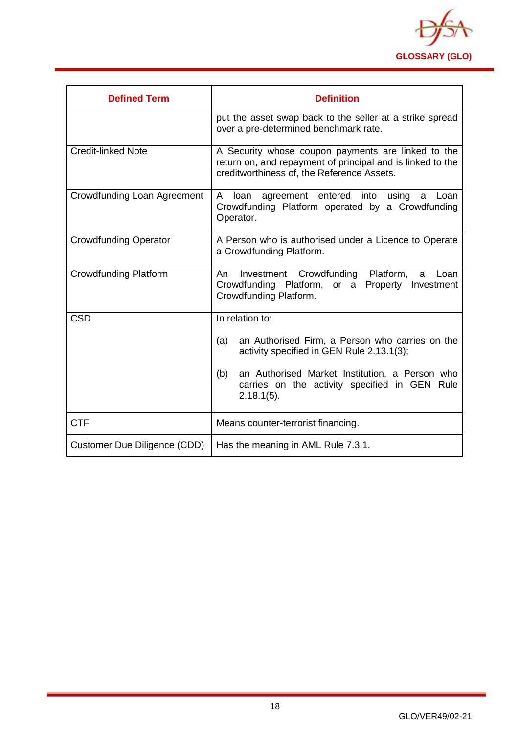

<span id="page-18-0"></span>

| <b>Defined Term</b>          | <b>Definition</b>                                                                                                                                              |
|------------------------------|----------------------------------------------------------------------------------------------------------------------------------------------------------------|
|                              | put the asset swap back to the seller at a strike spread<br>over a pre-determined benchmark rate.                                                              |
| <b>Credit-linked Note</b>    | A Security whose coupon payments are linked to the<br>return on, and repayment of principal and is linked to the<br>creditworthiness of, the Reference Assets. |
| Crowdfunding Loan Agreement  | $\mathsf{A}$<br>agreement entered into<br>using<br>loan<br>Loan<br>a<br>Crowdfunding Platform operated by a Crowdfunding<br>Operator.                          |
| <b>Crowdfunding Operator</b> | A Person who is authorised under a Licence to Operate<br>a Crowdfunding Platform.                                                                              |
| <b>Crowdfunding Platform</b> | Investment Crowdfunding Platform,<br>An<br>Loan<br>a<br>Crowdfunding Platform, or a Property<br>Investment<br>Crowdfunding Platform.                           |
| <b>CSD</b>                   | In relation to:                                                                                                                                                |
|                              | an Authorised Firm, a Person who carries on the<br>(a)<br>activity specified in GEN Rule 2.13.1(3);                                                            |
|                              | an Authorised Market Institution, a Person who<br>(b)<br>carries on the activity specified in GEN Rule<br>$2.18.1(5)$ .                                        |
| <b>CTF</b>                   | Means counter-terrorist financing.                                                                                                                             |
| Customer Due Diligence (CDD) | Has the meaning in AML Rule 7.3.1.                                                                                                                             |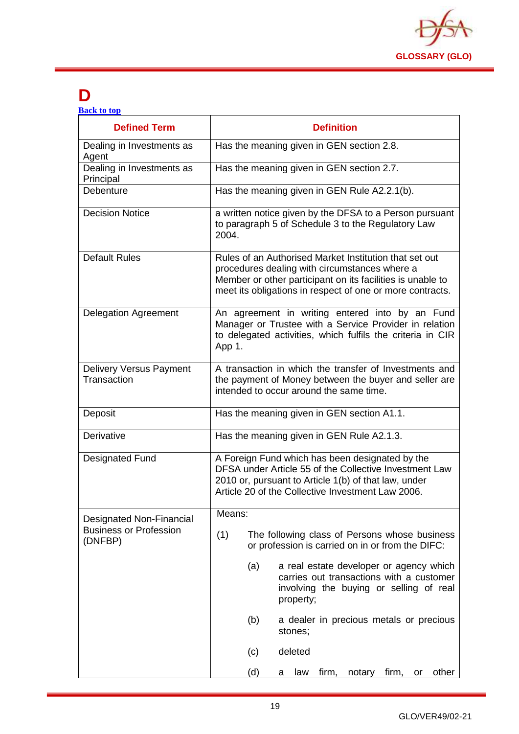

## **D**

| <b>Back to top</b> |  |  |
|--------------------|--|--|
|                    |  |  |

| <b>Defined Term</b>                           | <b>Definition</b>                                                                                                                                                                                                                  |
|-----------------------------------------------|------------------------------------------------------------------------------------------------------------------------------------------------------------------------------------------------------------------------------------|
| Dealing in Investments as<br>Agent            | Has the meaning given in GEN section 2.8.                                                                                                                                                                                          |
| Dealing in Investments as<br>Principal        | Has the meaning given in GEN section 2.7.                                                                                                                                                                                          |
| Debenture                                     | Has the meaning given in GEN Rule A2.2.1(b).                                                                                                                                                                                       |
| <b>Decision Notice</b>                        | a written notice given by the DFSA to a Person pursuant<br>to paragraph 5 of Schedule 3 to the Regulatory Law<br>2004.                                                                                                             |
| <b>Default Rules</b>                          | Rules of an Authorised Market Institution that set out<br>procedures dealing with circumstances where a<br>Member or other participant on its facilities is unable to<br>meet its obligations in respect of one or more contracts. |
| <b>Delegation Agreement</b>                   | An agreement in writing entered into by an Fund<br>Manager or Trustee with a Service Provider in relation<br>to delegated activities, which fulfils the criteria in CIR<br>App 1.                                                  |
| <b>Delivery Versus Payment</b><br>Transaction | A transaction in which the transfer of Investments and<br>the payment of Money between the buyer and seller are<br>intended to occur around the same time.                                                                         |
| Deposit                                       | Has the meaning given in GEN section A1.1.                                                                                                                                                                                         |
| Derivative                                    | Has the meaning given in GEN Rule A2.1.3.                                                                                                                                                                                          |
| <b>Designated Fund</b>                        | A Foreign Fund which has been designated by the<br>DFSA under Article 55 of the Collective Investment Law<br>2010 or, pursuant to Article 1(b) of that law, under<br>Article 20 of the Collective Investment Law 2006.             |
| <b>Designated Non-Financial</b>               | Means:                                                                                                                                                                                                                             |
| <b>Business or Profession</b><br>(DNFBP)      | (1)<br>The following class of Persons whose business<br>or profession is carried on in or from the DIFC:                                                                                                                           |
|                                               | a real estate developer or agency which<br>(a)<br>carries out transactions with a customer<br>involving the buying or selling of real<br>property;                                                                                 |
|                                               | a dealer in precious metals or precious<br>(b)<br>stones;                                                                                                                                                                          |
|                                               | deleted<br>(c)                                                                                                                                                                                                                     |
|                                               | (d)<br>law firm, notary firm, or<br>other<br>a                                                                                                                                                                                     |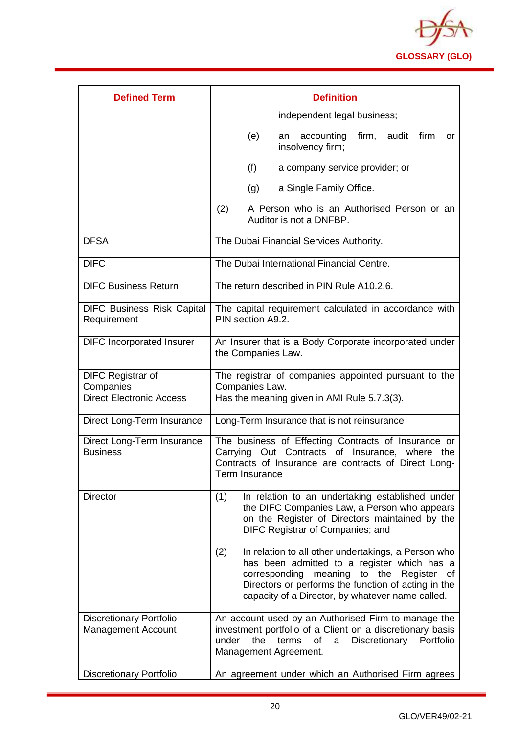

| <b>Defined Term</b>                                         | <b>Definition</b>                                                                                                                                                                                                                                                      |
|-------------------------------------------------------------|------------------------------------------------------------------------------------------------------------------------------------------------------------------------------------------------------------------------------------------------------------------------|
|                                                             | independent legal business;                                                                                                                                                                                                                                            |
|                                                             | (e)<br>accounting<br>firm, audit firm<br>an<br>or<br>insolvency firm;                                                                                                                                                                                                  |
|                                                             | (f)<br>a company service provider; or                                                                                                                                                                                                                                  |
|                                                             | a Single Family Office.<br>(g)                                                                                                                                                                                                                                         |
|                                                             | (2)<br>A Person who is an Authorised Person or an<br>Auditor is not a DNFBP.                                                                                                                                                                                           |
| <b>DFSA</b>                                                 | The Dubai Financial Services Authority.                                                                                                                                                                                                                                |
| <b>DIFC</b>                                                 | The Dubai International Financial Centre.                                                                                                                                                                                                                              |
| <b>DIFC Business Return</b>                                 | The return described in PIN Rule A10.2.6.                                                                                                                                                                                                                              |
| <b>DIFC Business Risk Capital</b><br>Requirement            | The capital requirement calculated in accordance with<br>PIN section A9.2.                                                                                                                                                                                             |
| <b>DIFC Incorporated Insurer</b>                            | An Insurer that is a Body Corporate incorporated under<br>the Companies Law.                                                                                                                                                                                           |
| <b>DIFC Registrar of</b><br>Companies                       | The registrar of companies appointed pursuant to the<br>Companies Law.                                                                                                                                                                                                 |
| <b>Direct Electronic Access</b>                             | Has the meaning given in AMI Rule 5.7.3(3).                                                                                                                                                                                                                            |
| Direct Long-Term Insurance                                  | Long-Term Insurance that is not reinsurance                                                                                                                                                                                                                            |
| Direct Long-Term Insurance<br><b>Business</b>               | The business of Effecting Contracts of Insurance or<br>Carrying Out Contracts of Insurance, where<br>the<br>Contracts of Insurance are contracts of Direct Long-<br>Term Insurance                                                                                     |
| <b>Director</b>                                             | In relation to an undertaking established under<br>(1)<br>the DIFC Companies Law, a Person who appears<br>on the Register of Directors maintained by the<br>DIFC Registrar of Companies; and                                                                           |
|                                                             | (2)<br>In relation to all other undertakings, a Person who<br>has been admitted to a register which has a<br>meaning to the Register<br>corresponding<br>of<br>Directors or performs the function of acting in the<br>capacity of a Director, by whatever name called. |
| <b>Discretionary Portfolio</b><br><b>Management Account</b> | An account used by an Authorised Firm to manage the<br>investment portfolio of a Client on a discretionary basis<br>under<br>the<br>Discretionary<br>terms<br>of<br>a<br>Portfolio<br>Management Agreement.                                                            |
| <b>Discretionary Portfolio</b>                              | An agreement under which an Authorised Firm agrees                                                                                                                                                                                                                     |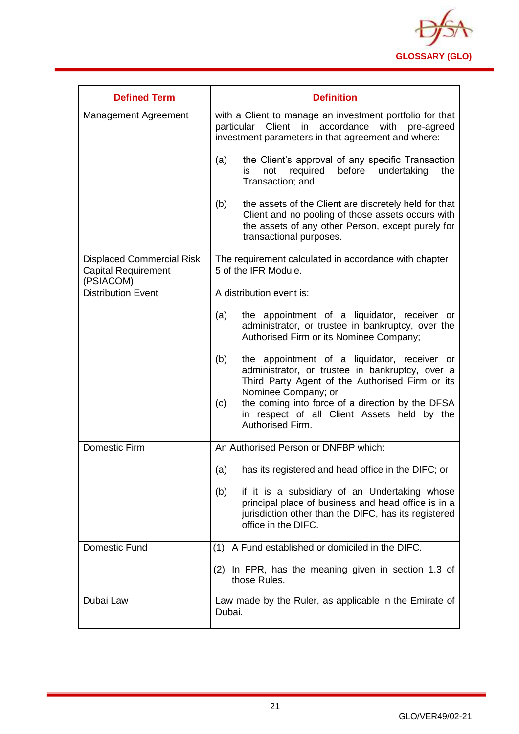

| <b>Defined Term</b>                                                         | <b>Definition</b>                                                                                                                                                                                                                                                                                              |
|-----------------------------------------------------------------------------|----------------------------------------------------------------------------------------------------------------------------------------------------------------------------------------------------------------------------------------------------------------------------------------------------------------|
| Management Agreement                                                        | with a Client to manage an investment portfolio for that<br>Client in accordance<br>with<br>particular<br>pre-agreed<br>investment parameters in that agreement and where:                                                                                                                                     |
|                                                                             | the Client's approval of any specific Transaction<br>(a)<br>undertaking<br>required<br>before<br>not<br>the<br>is<br>Transaction; and                                                                                                                                                                          |
|                                                                             | (b)<br>the assets of the Client are discretely held for that<br>Client and no pooling of those assets occurs with<br>the assets of any other Person, except purely for<br>transactional purposes.                                                                                                              |
| <b>Displaced Commercial Risk</b><br><b>Capital Requirement</b><br>(PSIACOM) | The requirement calculated in accordance with chapter<br>5 of the IFR Module.                                                                                                                                                                                                                                  |
| <b>Distribution Event</b>                                                   | A distribution event is:                                                                                                                                                                                                                                                                                       |
|                                                                             | the appointment of a liquidator, receiver or<br>(a)<br>administrator, or trustee in bankruptcy, over the<br>Authorised Firm or its Nominee Company;                                                                                                                                                            |
|                                                                             | the appointment of a liquidator, receiver or<br>(b)<br>administrator, or trustee in bankruptcy, over a<br>Third Party Agent of the Authorised Firm or its<br>Nominee Company; or<br>the coming into force of a direction by the DFSA<br>(c)<br>in respect of all Client Assets held by the<br>Authorised Firm. |
| <b>Domestic Firm</b>                                                        | An Authorised Person or DNFBP which:                                                                                                                                                                                                                                                                           |
|                                                                             | has its registered and head office in the DIFC; or<br>(a)                                                                                                                                                                                                                                                      |
|                                                                             | if it is a subsidiary of an Undertaking whose<br>(b)<br>principal place of business and head office is in a<br>jurisdiction other than the DIFC, has its registered<br>office in the DIFC.                                                                                                                     |
| Domestic Fund                                                               | (1) A Fund established or domiciled in the DIFC.                                                                                                                                                                                                                                                               |
|                                                                             | (2) In FPR, has the meaning given in section 1.3 of<br>those Rules.                                                                                                                                                                                                                                            |
| Dubai Law                                                                   | Law made by the Ruler, as applicable in the Emirate of<br>Dubai.                                                                                                                                                                                                                                               |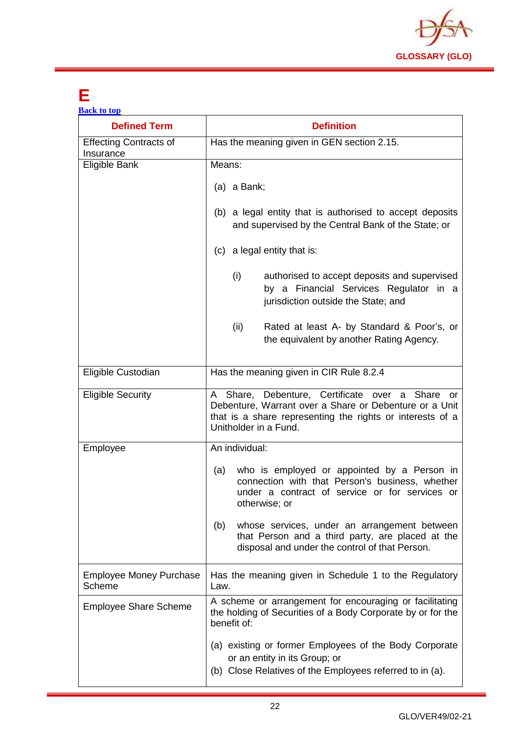

### <span id="page-22-0"></span>**E**

| <b>Back to top</b>                         |                                                                                                                                                                                                 |
|--------------------------------------------|-------------------------------------------------------------------------------------------------------------------------------------------------------------------------------------------------|
| <b>Defined Term</b>                        | <b>Definition</b>                                                                                                                                                                               |
| <b>Effecting Contracts of</b><br>Insurance | Has the meaning given in GEN section 2.15.                                                                                                                                                      |
| Eligible Bank                              | Means:                                                                                                                                                                                          |
|                                            | $(a)$ a Bank;                                                                                                                                                                                   |
|                                            | (b) a legal entity that is authorised to accept deposits<br>and supervised by the Central Bank of the State; or                                                                                 |
|                                            | (c) a legal entity that is:                                                                                                                                                                     |
|                                            | (i)<br>authorised to accept deposits and supervised<br>by a Financial Services Regulator in a<br>jurisdiction outside the State; and                                                            |
|                                            | (ii)<br>Rated at least A- by Standard & Poor's, or<br>the equivalent by another Rating Agency.                                                                                                  |
| Eligible Custodian                         | Has the meaning given in CIR Rule 8.2.4                                                                                                                                                         |
| <b>Eligible Security</b>                   | A Share, Debenture, Certificate over a Share or<br>Debenture, Warrant over a Share or Debenture or a Unit<br>that is a share representing the rights or interests of a<br>Unitholder in a Fund. |
| Employee                                   | An individual:                                                                                                                                                                                  |
|                                            | who is employed or appointed by a Person in<br>(a)<br>connection with that Person's business, whether<br>under a contract of service or for services or<br>otherwise; or                        |
|                                            | whose services, under an arrangement between<br>(b)<br>that Person and a third party, are placed at the<br>disposal and under the control of that Person.                                       |
| <b>Employee Money Purchase</b><br>Scheme   | Has the meaning given in Schedule 1 to the Regulatory<br>Law.                                                                                                                                   |
| <b>Employee Share Scheme</b>               | A scheme or arrangement for encouraging or facilitating<br>the holding of Securities of a Body Corporate by or for the<br>benefit of:                                                           |
|                                            | (a) existing or former Employees of the Body Corporate<br>or an entity in its Group; or<br>(b) Close Relatives of the Employees referred to in (a).                                             |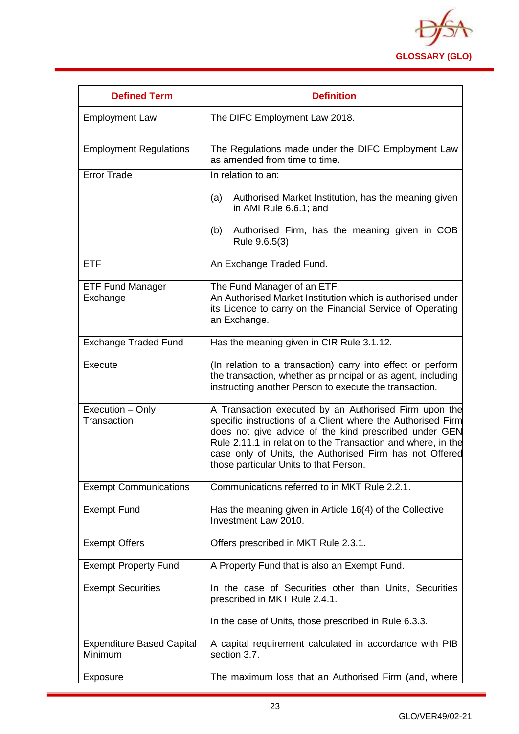

| <b>Defined Term</b>                         | <b>Definition</b>                                                                                                                                                                                                                                                                                                                                  |
|---------------------------------------------|----------------------------------------------------------------------------------------------------------------------------------------------------------------------------------------------------------------------------------------------------------------------------------------------------------------------------------------------------|
| <b>Employment Law</b>                       | The DIFC Employment Law 2018.                                                                                                                                                                                                                                                                                                                      |
| <b>Employment Regulations</b>               | The Regulations made under the DIFC Employment Law<br>as amended from time to time.                                                                                                                                                                                                                                                                |
| <b>Error Trade</b>                          | In relation to an:                                                                                                                                                                                                                                                                                                                                 |
|                                             | Authorised Market Institution, has the meaning given<br>(a)<br>in AMI Rule 6.6.1; and                                                                                                                                                                                                                                                              |
|                                             | Authorised Firm, has the meaning given in COB<br>(b)<br>Rule 9.6.5(3)                                                                                                                                                                                                                                                                              |
| <b>ETF</b>                                  | An Exchange Traded Fund.                                                                                                                                                                                                                                                                                                                           |
| <b>ETF Fund Manager</b>                     | The Fund Manager of an ETF.                                                                                                                                                                                                                                                                                                                        |
| Exchange                                    | An Authorised Market Institution which is authorised under<br>its Licence to carry on the Financial Service of Operating<br>an Exchange.                                                                                                                                                                                                           |
| <b>Exchange Traded Fund</b>                 | Has the meaning given in CIR Rule 3.1.12.                                                                                                                                                                                                                                                                                                          |
| Execute                                     | (In relation to a transaction) carry into effect or perform<br>the transaction, whether as principal or as agent, including<br>instructing another Person to execute the transaction.                                                                                                                                                              |
| Execution - Only<br>Transaction             | A Transaction executed by an Authorised Firm upon the<br>specific instructions of a Client where the Authorised Firm<br>does not give advice of the kind prescribed under GEN<br>Rule 2.11.1 in relation to the Transaction and where, in the<br>case only of Units, the Authorised Firm has not Offered<br>those particular Units to that Person. |
| <b>Exempt Communications</b>                | Communications referred to in MKT Rule 2.2.1.                                                                                                                                                                                                                                                                                                      |
| <b>Exempt Fund</b>                          | Has the meaning given in Article 16(4) of the Collective<br>Investment Law 2010.                                                                                                                                                                                                                                                                   |
| <b>Exempt Offers</b>                        | Offers prescribed in MKT Rule 2.3.1.                                                                                                                                                                                                                                                                                                               |
| <b>Exempt Property Fund</b>                 | A Property Fund that is also an Exempt Fund.                                                                                                                                                                                                                                                                                                       |
| <b>Exempt Securities</b>                    | In the case of Securities other than Units, Securities<br>prescribed in MKT Rule 2.4.1.                                                                                                                                                                                                                                                            |
|                                             | In the case of Units, those prescribed in Rule 6.3.3.                                                                                                                                                                                                                                                                                              |
| <b>Expenditure Based Capital</b><br>Minimum | A capital requirement calculated in accordance with PIB<br>section 3.7.                                                                                                                                                                                                                                                                            |
| Exposure                                    | The maximum loss that an Authorised Firm (and, where                                                                                                                                                                                                                                                                                               |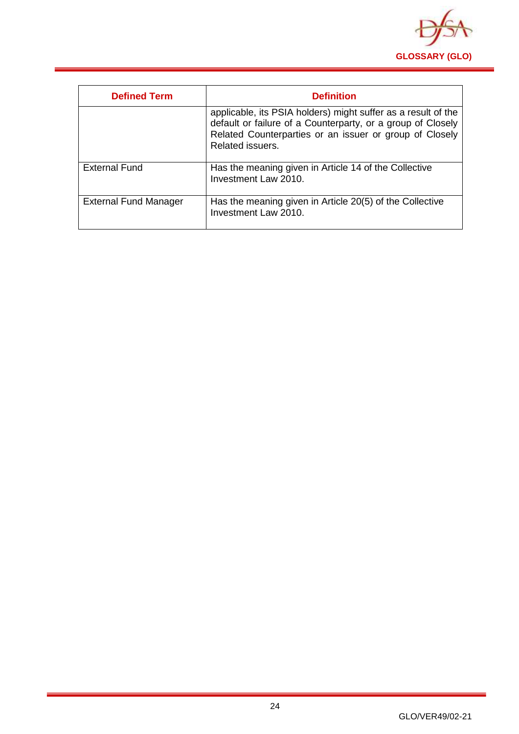

<span id="page-24-0"></span>

| <b>Defined Term</b>          | <b>Definition</b>                                                                                                                                                                                           |
|------------------------------|-------------------------------------------------------------------------------------------------------------------------------------------------------------------------------------------------------------|
|                              | applicable, its PSIA holders) might suffer as a result of the<br>default or failure of a Counterparty, or a group of Closely<br>Related Counterparties or an issuer or group of Closely<br>Related issuers. |
| <b>External Fund</b>         | Has the meaning given in Article 14 of the Collective<br>Investment Law 2010.                                                                                                                               |
| <b>External Fund Manager</b> | Has the meaning given in Article 20(5) of the Collective<br>Investment Law 2010.                                                                                                                            |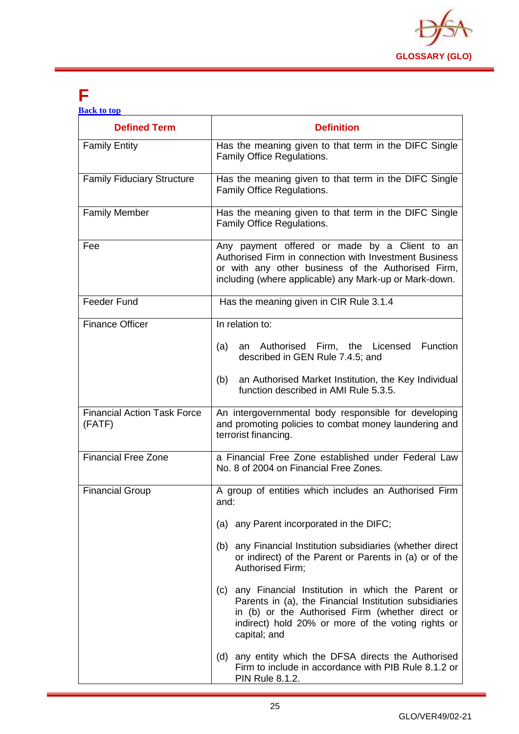

### **F**

| <b>Back to top</b> |  |  |
|--------------------|--|--|
|                    |  |  |
|                    |  |  |

| <b>Defined Term</b>                          | <b>Definition</b>                                                                                                                                                                                                                        |  |
|----------------------------------------------|------------------------------------------------------------------------------------------------------------------------------------------------------------------------------------------------------------------------------------------|--|
| <b>Family Entity</b>                         | Has the meaning given to that term in the DIFC Single<br>Family Office Regulations.                                                                                                                                                      |  |
| <b>Family Fiduciary Structure</b>            | Has the meaning given to that term in the DIFC Single<br>Family Office Regulations.                                                                                                                                                      |  |
| <b>Family Member</b>                         | Has the meaning given to that term in the DIFC Single<br>Family Office Regulations.                                                                                                                                                      |  |
| Fee                                          | Any payment offered or made by a Client to an<br>Authorised Firm in connection with Investment Business<br>or with any other business of the Authorised Firm,<br>including (where applicable) any Mark-up or Mark-down.                  |  |
| <b>Feeder Fund</b>                           | Has the meaning given in CIR Rule 3.1.4                                                                                                                                                                                                  |  |
| <b>Finance Officer</b>                       | In relation to:                                                                                                                                                                                                                          |  |
|                                              | Function<br>an Authorised Firm, the Licensed<br>(a)<br>described in GEN Rule 7.4.5; and                                                                                                                                                  |  |
|                                              | an Authorised Market Institution, the Key Individual<br>(b)<br>function described in AMI Rule 5.3.5.                                                                                                                                     |  |
| <b>Financial Action Task Force</b><br>(FATF) | An intergovernmental body responsible for developing<br>and promoting policies to combat money laundering and<br>terrorist financing.                                                                                                    |  |
| <b>Financial Free Zone</b>                   | a Financial Free Zone established under Federal Law<br>No. 8 of 2004 on Financial Free Zones.                                                                                                                                            |  |
| <b>Financial Group</b>                       | A group of entities which includes an Authorised Firm<br>and:                                                                                                                                                                            |  |
|                                              | (a) any Parent incorporated in the DIFC;                                                                                                                                                                                                 |  |
|                                              | (b) any Financial Institution subsidiaries (whether direct<br>or indirect) of the Parent or Parents in (a) or of the<br>Authorised Firm;                                                                                                 |  |
|                                              | (c) any Financial Institution in which the Parent or<br>Parents in (a), the Financial Institution subsidiaries<br>in (b) or the Authorised Firm (whether direct or<br>indirect) hold 20% or more of the voting rights or<br>capital; and |  |
|                                              | (d) any entity which the DFSA directs the Authorised<br>Firm to include in accordance with PIB Rule 8.1.2 or<br>PIN Rule 8.1.2.                                                                                                          |  |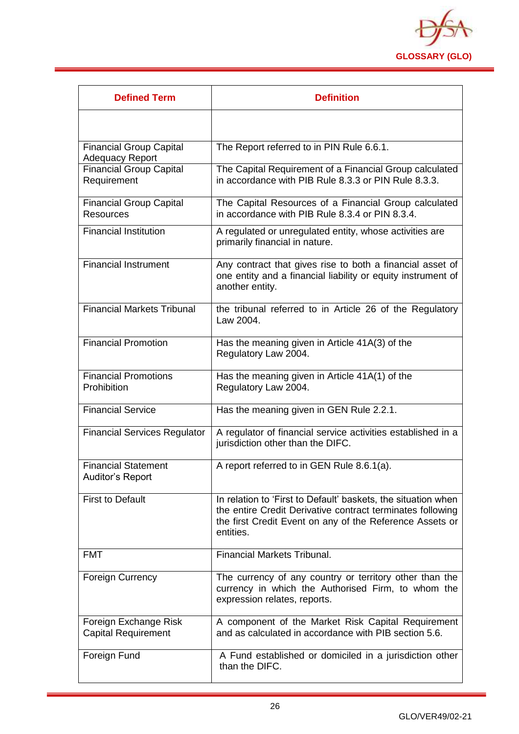

| <b>Defined Term</b>                                      | <b>Definition</b>                                                                                                                                                                                    |
|----------------------------------------------------------|------------------------------------------------------------------------------------------------------------------------------------------------------------------------------------------------------|
|                                                          |                                                                                                                                                                                                      |
| <b>Financial Group Capital</b><br><b>Adequacy Report</b> | The Report referred to in PIN Rule 6.6.1.                                                                                                                                                            |
| <b>Financial Group Capital</b><br>Requirement            | The Capital Requirement of a Financial Group calculated<br>in accordance with PIB Rule 8.3.3 or PIN Rule 8.3.3.                                                                                      |
| <b>Financial Group Capital</b><br><b>Resources</b>       | The Capital Resources of a Financial Group calculated<br>in accordance with PIB Rule 8.3.4 or PIN 8.3.4.                                                                                             |
| <b>Financial Institution</b>                             | A regulated or unregulated entity, whose activities are<br>primarily financial in nature.                                                                                                            |
| Financial Instrument                                     | Any contract that gives rise to both a financial asset of<br>one entity and a financial liability or equity instrument of<br>another entity.                                                         |
| <b>Financial Markets Tribunal</b>                        | the tribunal referred to in Article 26 of the Regulatory<br>Law 2004.                                                                                                                                |
| <b>Financial Promotion</b>                               | Has the meaning given in Article 41A(3) of the<br>Regulatory Law 2004.                                                                                                                               |
| <b>Financial Promotions</b><br>Prohibition               | Has the meaning given in Article 41A(1) of the<br>Regulatory Law 2004.                                                                                                                               |
| <b>Financial Service</b>                                 | Has the meaning given in GEN Rule 2.2.1.                                                                                                                                                             |
| <b>Financial Services Regulator</b>                      | A regulator of financial service activities established in a<br>jurisdiction other than the DIFC.                                                                                                    |
| <b>Financial Statement</b><br><b>Auditor's Report</b>    | A report referred to in GEN Rule 8.6.1(a).                                                                                                                                                           |
| <b>First to Default</b>                                  | In relation to 'First to Default' baskets, the situation when<br>the entire Credit Derivative contract terminates following<br>the first Credit Event on any of the Reference Assets or<br>entities. |
| <b>FMT</b>                                               | Financial Markets Tribunal.                                                                                                                                                                          |
| <b>Foreign Currency</b>                                  | The currency of any country or territory other than the<br>currency in which the Authorised Firm, to whom the<br>expression relates, reports.                                                        |
| Foreign Exchange Risk<br><b>Capital Requirement</b>      | A component of the Market Risk Capital Requirement<br>and as calculated in accordance with PIB section 5.6.                                                                                          |
| Foreign Fund                                             | A Fund established or domiciled in a jurisdiction other<br>than the DIFC.                                                                                                                            |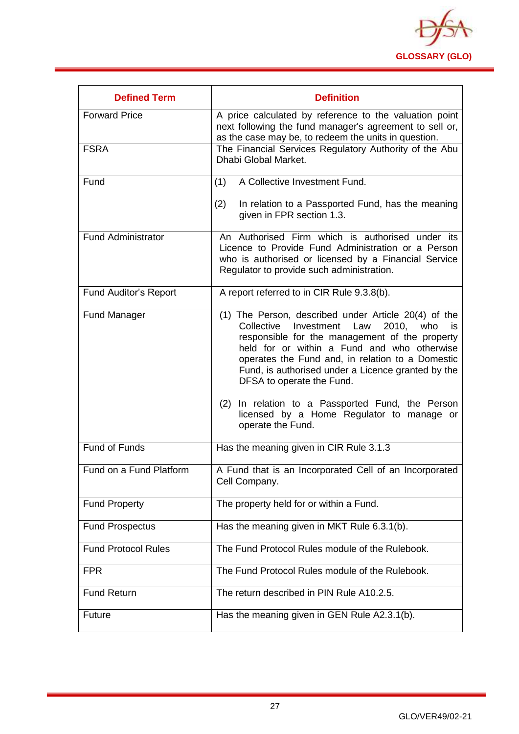

<span id="page-27-0"></span>

| <b>Defined Term</b>          | <b>Definition</b>                                                                                                                                                                                                                                                                                                                                                                                                                                                            |
|------------------------------|------------------------------------------------------------------------------------------------------------------------------------------------------------------------------------------------------------------------------------------------------------------------------------------------------------------------------------------------------------------------------------------------------------------------------------------------------------------------------|
| <b>Forward Price</b>         | A price calculated by reference to the valuation point<br>next following the fund manager's agreement to sell or,<br>as the case may be, to redeem the units in question.                                                                                                                                                                                                                                                                                                    |
| <b>FSRA</b>                  | The Financial Services Regulatory Authority of the Abu<br>Dhabi Global Market.                                                                                                                                                                                                                                                                                                                                                                                               |
| Fund                         | A Collective Investment Fund.<br>(1)                                                                                                                                                                                                                                                                                                                                                                                                                                         |
|                              | (2)<br>In relation to a Passported Fund, has the meaning<br>given in FPR section 1.3.                                                                                                                                                                                                                                                                                                                                                                                        |
| <b>Fund Administrator</b>    | An Authorised Firm which is authorised under its<br>Licence to Provide Fund Administration or a Person<br>who is authorised or licensed by a Financial Service<br>Regulator to provide such administration.                                                                                                                                                                                                                                                                  |
| <b>Fund Auditor's Report</b> | A report referred to in CIR Rule 9.3.8(b).                                                                                                                                                                                                                                                                                                                                                                                                                                   |
| <b>Fund Manager</b>          | (1) The Person, described under Article 20(4) of the<br>Law<br>Collective<br>Investment<br>2010.<br>who<br>is.<br>responsible for the management of the property<br>held for or within a Fund and who otherwise<br>operates the Fund and, in relation to a Domestic<br>Fund, is authorised under a Licence granted by the<br>DFSA to operate the Fund.<br>(2) In relation to a Passported Fund, the Person<br>licensed by a Home Regulator to manage or<br>operate the Fund. |
| Fund of Funds                | Has the meaning given in CIR Rule 3.1.3                                                                                                                                                                                                                                                                                                                                                                                                                                      |
| Fund on a Fund Platform      | A Fund that is an Incorporated Cell of an Incorporated<br>Cell Company.                                                                                                                                                                                                                                                                                                                                                                                                      |
| <b>Fund Property</b>         | The property held for or within a Fund.                                                                                                                                                                                                                                                                                                                                                                                                                                      |
| <b>Fund Prospectus</b>       | Has the meaning given in MKT Rule 6.3.1(b).                                                                                                                                                                                                                                                                                                                                                                                                                                  |
| <b>Fund Protocol Rules</b>   | The Fund Protocol Rules module of the Rulebook.                                                                                                                                                                                                                                                                                                                                                                                                                              |
| <b>FPR</b>                   | The Fund Protocol Rules module of the Rulebook.                                                                                                                                                                                                                                                                                                                                                                                                                              |
| <b>Fund Return</b>           | The return described in PIN Rule A10.2.5.                                                                                                                                                                                                                                                                                                                                                                                                                                    |
| <b>Future</b>                | Has the meaning given in GEN Rule A2.3.1(b).                                                                                                                                                                                                                                                                                                                                                                                                                                 |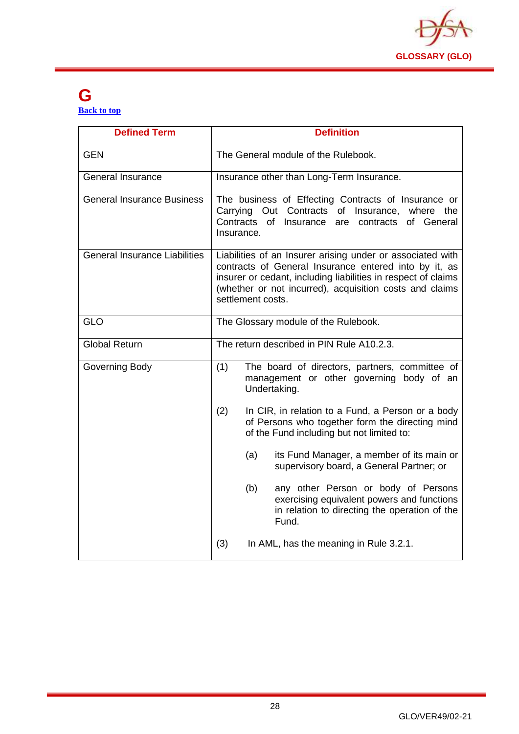

#### **G [Back to top](#page-1-0)**

| <b>Defined Term</b>                  | <b>Definition</b>                                                                                                                                                                                                                                                    |
|--------------------------------------|----------------------------------------------------------------------------------------------------------------------------------------------------------------------------------------------------------------------------------------------------------------------|
| <b>GEN</b>                           | The General module of the Rulebook.                                                                                                                                                                                                                                  |
| <b>General Insurance</b>             | Insurance other than Long-Term Insurance.                                                                                                                                                                                                                            |
| <b>General Insurance Business</b>    | The business of Effecting Contracts of Insurance or<br>Carrying Out Contracts of Insurance, where the<br>Contracts<br>of Insurance<br>contracts of General<br>are<br>Insurance.                                                                                      |
| <b>General Insurance Liabilities</b> | Liabilities of an Insurer arising under or associated with<br>contracts of General Insurance entered into by it, as<br>insurer or cedant, including liabilities in respect of claims<br>(whether or not incurred), acquisition costs and claims<br>settlement costs. |
| <b>GLO</b>                           | The Glossary module of the Rulebook.                                                                                                                                                                                                                                 |
| <b>Global Return</b>                 | The return described in PIN Rule A10.2.3.                                                                                                                                                                                                                            |
| Governing Body                       | (1)<br>The board of directors, partners, committee of<br>management or other governing body of an<br>Undertaking.                                                                                                                                                    |
|                                      | In CIR, in relation to a Fund, a Person or a body<br>(2)<br>of Persons who together form the directing mind<br>of the Fund including but not limited to:                                                                                                             |
|                                      | its Fund Manager, a member of its main or<br>(a)<br>supervisory board, a General Partner; or                                                                                                                                                                         |
|                                      | any other Person or body of Persons<br>(b)<br>exercising equivalent powers and functions<br>in relation to directing the operation of the<br>Fund.                                                                                                                   |
|                                      | (3)<br>In AML, has the meaning in Rule 3.2.1.                                                                                                                                                                                                                        |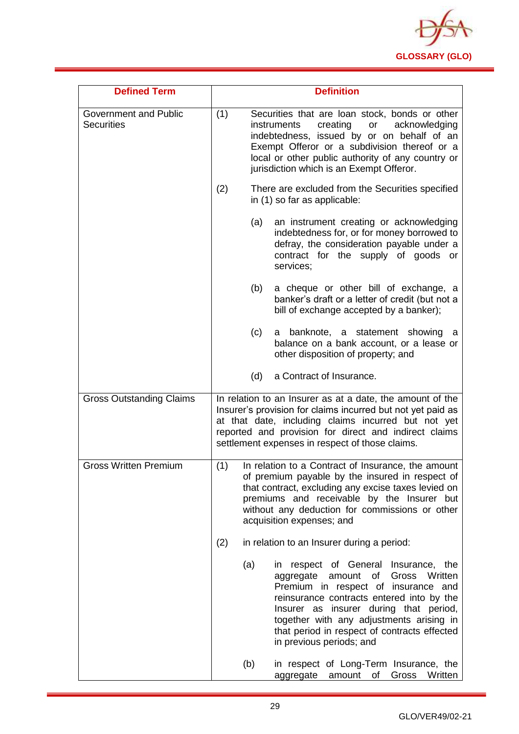

| <b>Defined Term</b>                               |     | <b>Definition</b>                                                                                                                                                                                                                                                                                                                            |
|---------------------------------------------------|-----|----------------------------------------------------------------------------------------------------------------------------------------------------------------------------------------------------------------------------------------------------------------------------------------------------------------------------------------------|
| <b>Government and Public</b><br><b>Securities</b> | (1) | Securities that are loan stock, bonds or other<br>creating<br>acknowledging<br>instruments<br>or<br>indebtedness, issued by or on behalf of an<br>Exempt Offeror or a subdivision thereof or a<br>local or other public authority of any country or<br>jurisdiction which is an Exempt Offeror.                                              |
|                                                   | (2) | There are excluded from the Securities specified<br>in (1) so far as applicable:                                                                                                                                                                                                                                                             |
|                                                   |     | an instrument creating or acknowledging<br>(a)<br>indebtedness for, or for money borrowed to<br>defray, the consideration payable under a<br>contract for the supply of goods or<br>services;                                                                                                                                                |
|                                                   |     | (b)<br>a cheque or other bill of exchange, a<br>banker's draft or a letter of credit (but not a<br>bill of exchange accepted by a banker);                                                                                                                                                                                                   |
|                                                   |     | (c)<br>a banknote, a statement showing<br>а<br>balance on a bank account, or a lease or<br>other disposition of property; and                                                                                                                                                                                                                |
|                                                   |     | a Contract of Insurance.<br>(d)                                                                                                                                                                                                                                                                                                              |
| <b>Gross Outstanding Claims</b>                   |     | In relation to an Insurer as at a date, the amount of the<br>Insurer's provision for claims incurred but not yet paid as<br>at that date, including claims incurred but not yet<br>reported and provision for direct and indirect claims<br>settlement expenses in respect of those claims.                                                  |
| <b>Gross Written Premium</b>                      | (1) | In relation to a Contract of Insurance, the amount<br>of premium payable by the insured in respect of<br>that contract, excluding any excise taxes levied on<br>premiums and receivable by the Insurer but<br>without any deduction for commissions or other<br>acquisition expenses; and                                                    |
|                                                   | (2) | in relation to an Insurer during a period:                                                                                                                                                                                                                                                                                                   |
|                                                   |     | (a)<br>in respect of General Insurance, the<br>amount of<br>Gross Written<br>aggregate<br>Premium in respect of insurance and<br>reinsurance contracts entered into by the<br>Insurer as insurer during that period,<br>together with any adjustments arising in<br>that period in respect of contracts effected<br>in previous periods; and |
|                                                   |     | (b)<br>in respect of Long-Term Insurance, the<br>Gross<br>Written<br>aggregate amount of                                                                                                                                                                                                                                                     |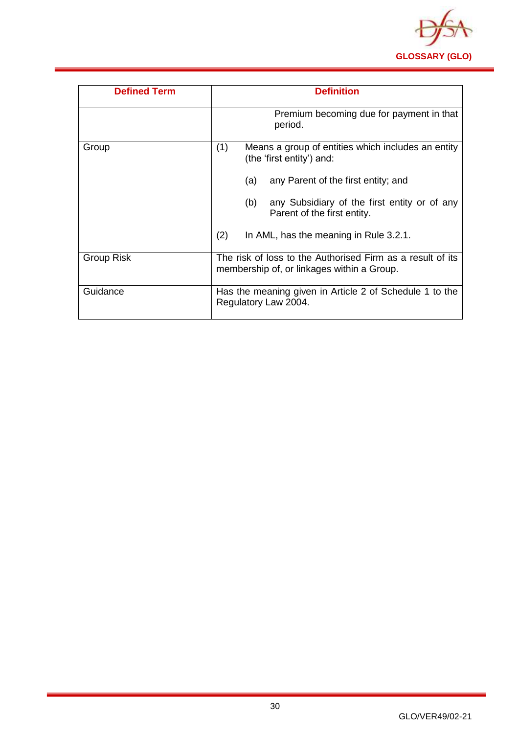

| <b>Defined Term</b> | <b>Definition</b>                                                                                        |
|---------------------|----------------------------------------------------------------------------------------------------------|
|                     | Premium becoming due for payment in that<br>period.                                                      |
| Group               | (1)<br>Means a group of entities which includes an entity<br>(the 'first entity') and:                   |
|                     | any Parent of the first entity; and<br>(a)                                                               |
|                     | any Subsidiary of the first entity or of any<br>(b)<br>Parent of the first entity.                       |
|                     | (2)<br>In AML, has the meaning in Rule 3.2.1.                                                            |
| Group Risk          | The risk of loss to the Authorised Firm as a result of its<br>membership of, or linkages within a Group. |
| Guidance            | Has the meaning given in Article 2 of Schedule 1 to the<br>Regulatory Law 2004.                          |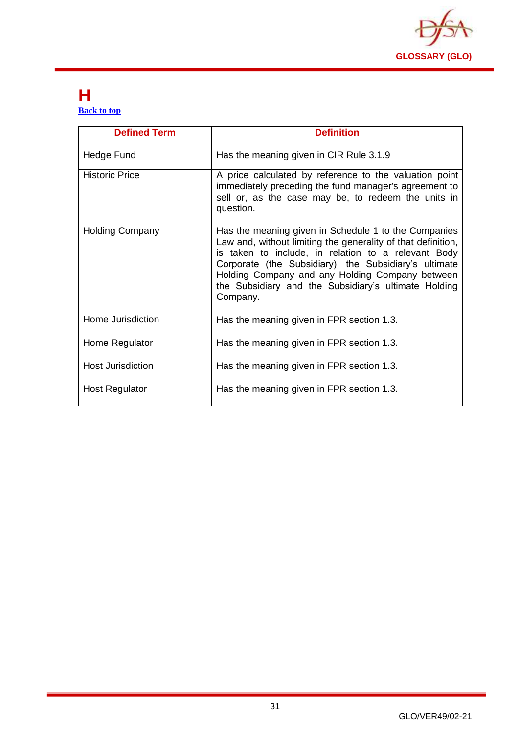

#### <span id="page-31-0"></span>**H [Back to top](#page-1-0)**

| <b>Defined Term</b>    | <b>Definition</b>                                                                                                                                                                                                                                                                                                                                           |
|------------------------|-------------------------------------------------------------------------------------------------------------------------------------------------------------------------------------------------------------------------------------------------------------------------------------------------------------------------------------------------------------|
| Hedge Fund             | Has the meaning given in CIR Rule 3.1.9                                                                                                                                                                                                                                                                                                                     |
| <b>Historic Price</b>  | A price calculated by reference to the valuation point<br>immediately preceding the fund manager's agreement to<br>sell or, as the case may be, to redeem the units in<br>question.                                                                                                                                                                         |
| <b>Holding Company</b> | Has the meaning given in Schedule 1 to the Companies<br>Law and, without limiting the generality of that definition,<br>is taken to include, in relation to a relevant Body<br>Corporate (the Subsidiary), the Subsidiary's ultimate<br>Holding Company and any Holding Company between<br>the Subsidiary and the Subsidiary's ultimate Holding<br>Company. |
| Home Jurisdiction      | Has the meaning given in FPR section 1.3.                                                                                                                                                                                                                                                                                                                   |
| Home Regulator         | Has the meaning given in FPR section 1.3.                                                                                                                                                                                                                                                                                                                   |
| Host Jurisdiction      | Has the meaning given in FPR section 1.3.                                                                                                                                                                                                                                                                                                                   |
| <b>Host Regulator</b>  | Has the meaning given in FPR section 1.3.                                                                                                                                                                                                                                                                                                                   |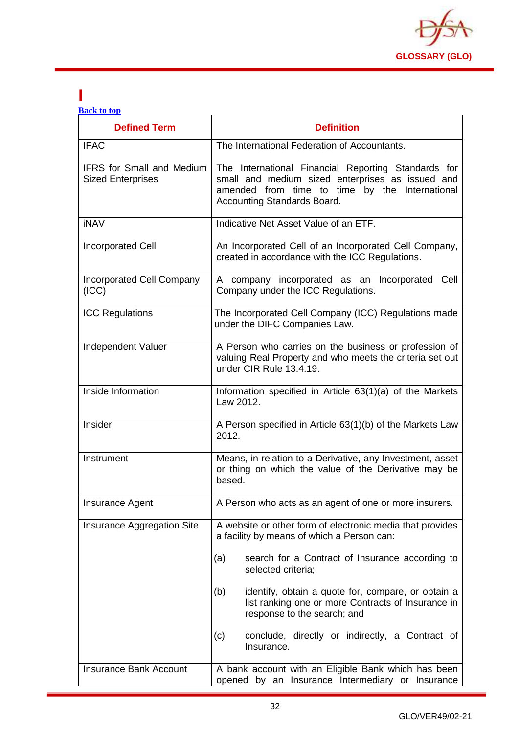

#### <span id="page-32-0"></span>**I [Back to top](#page-1-0)**

| <b>Defined Term</b>                                   | <b>Definition</b>                                                                                                                                                                        |
|-------------------------------------------------------|------------------------------------------------------------------------------------------------------------------------------------------------------------------------------------------|
| <b>IFAC</b>                                           | The International Federation of Accountants.                                                                                                                                             |
| IFRS for Small and Medium<br><b>Sized Enterprises</b> | The International Financial Reporting Standards for<br>small and medium sized enterprises as issued and<br>amended from time to time by the International<br>Accounting Standards Board. |
| <b>iNAV</b>                                           | Indicative Net Asset Value of an ETF.                                                                                                                                                    |
| <b>Incorporated Cell</b>                              | An Incorporated Cell of an Incorporated Cell Company,<br>created in accordance with the ICC Regulations.                                                                                 |
| Incorporated Cell Company<br>(ICC)                    | A company incorporated as an Incorporated Cell<br>Company under the ICC Regulations.                                                                                                     |
| <b>ICC Regulations</b>                                | The Incorporated Cell Company (ICC) Regulations made<br>under the DIFC Companies Law.                                                                                                    |
| Independent Valuer                                    | A Person who carries on the business or profession of<br>valuing Real Property and who meets the criteria set out<br>under CIR Rule 13.4.19.                                             |
| Inside Information                                    | Information specified in Article 63(1)(a) of the Markets<br>Law 2012.                                                                                                                    |
| Insider                                               | A Person specified in Article 63(1)(b) of the Markets Law<br>2012.                                                                                                                       |
| Instrument                                            | Means, in relation to a Derivative, any Investment, asset<br>or thing on which the value of the Derivative may be<br>based.                                                              |
| Insurance Agent                                       | A Person who acts as an agent of one or more insurers.                                                                                                                                   |
| Insurance Aggregation Site                            | A website or other form of electronic media that provides<br>a facility by means of which a Person can:                                                                                  |
|                                                       | search for a Contract of Insurance according to<br>(a)<br>selected criteria;                                                                                                             |
|                                                       | identify, obtain a quote for, compare, or obtain a<br>(b)<br>list ranking one or more Contracts of Insurance in<br>response to the search; and                                           |
|                                                       | conclude, directly or indirectly, a Contract of<br>(c)<br>Insurance.                                                                                                                     |
| <b>Insurance Bank Account</b>                         | A bank account with an Eligible Bank which has been<br>opened by an Insurance Intermediary or Insurance                                                                                  |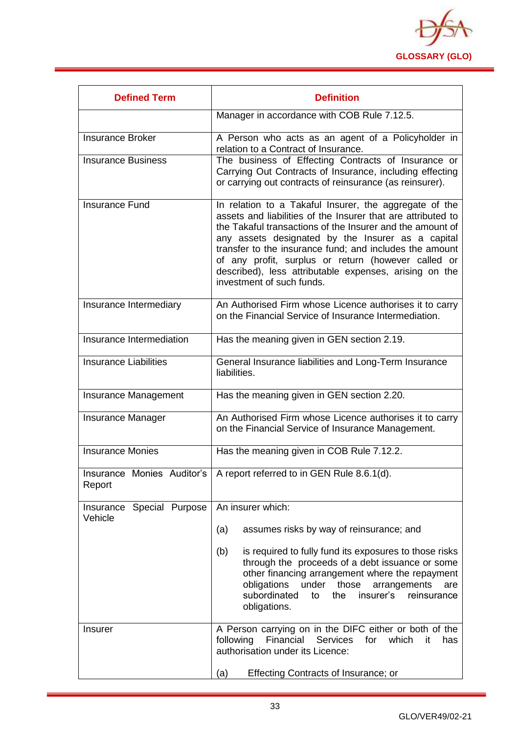

| <b>Defined Term</b>                  | <b>Definition</b>                                                                                                                                                                                                                                                                                                                                                                                                                                 |  |
|--------------------------------------|---------------------------------------------------------------------------------------------------------------------------------------------------------------------------------------------------------------------------------------------------------------------------------------------------------------------------------------------------------------------------------------------------------------------------------------------------|--|
|                                      | Manager in accordance with COB Rule 7.12.5.                                                                                                                                                                                                                                                                                                                                                                                                       |  |
| <b>Insurance Broker</b>              | A Person who acts as an agent of a Policyholder in<br>relation to a Contract of Insurance.                                                                                                                                                                                                                                                                                                                                                        |  |
| <b>Insurance Business</b>            | The business of Effecting Contracts of Insurance or<br>Carrying Out Contracts of Insurance, including effecting<br>or carrying out contracts of reinsurance (as reinsurer).                                                                                                                                                                                                                                                                       |  |
| Insurance Fund                       | In relation to a Takaful Insurer, the aggregate of the<br>assets and liabilities of the Insurer that are attributed to<br>the Takaful transactions of the Insurer and the amount of<br>any assets designated by the Insurer as a capital<br>transfer to the insurance fund; and includes the amount<br>of any profit, surplus or return (however called or<br>described), less attributable expenses, arising on the<br>investment of such funds. |  |
| Insurance Intermediary               | An Authorised Firm whose Licence authorises it to carry<br>on the Financial Service of Insurance Intermediation.                                                                                                                                                                                                                                                                                                                                  |  |
| Insurance Intermediation             | Has the meaning given in GEN section 2.19.                                                                                                                                                                                                                                                                                                                                                                                                        |  |
| Insurance Liabilities                | General Insurance liabilities and Long-Term Insurance<br>liabilities.                                                                                                                                                                                                                                                                                                                                                                             |  |
| Insurance Management                 | Has the meaning given in GEN section 2.20.                                                                                                                                                                                                                                                                                                                                                                                                        |  |
| <b>Insurance Manager</b>             | An Authorised Firm whose Licence authorises it to carry<br>on the Financial Service of Insurance Management.                                                                                                                                                                                                                                                                                                                                      |  |
| <b>Insurance Monies</b>              | Has the meaning given in COB Rule 7.12.2.                                                                                                                                                                                                                                                                                                                                                                                                         |  |
| Report                               | Insurance Monies Auditor's   A report referred to in GEN Rule 8.6.1(d).                                                                                                                                                                                                                                                                                                                                                                           |  |
| Insurance Special Purpose<br>Vehicle | An insurer which:                                                                                                                                                                                                                                                                                                                                                                                                                                 |  |
|                                      | assumes risks by way of reinsurance; and<br>(a)                                                                                                                                                                                                                                                                                                                                                                                                   |  |
|                                      | (b)<br>is required to fully fund its exposures to those risks<br>through the proceeds of a debt issuance or some<br>other financing arrangement where the repayment<br>obligations<br>those<br>under<br>arrangements<br>are<br>subordinated<br>the<br>insurer's<br>reinsurance<br>to<br>obligations.                                                                                                                                              |  |
| <b>Insurer</b>                       | A Person carrying on in the DIFC either or both of the<br>Financial Services<br>following<br>for<br>which<br>it<br>has<br>authorisation under its Licence:                                                                                                                                                                                                                                                                                        |  |
|                                      | Effecting Contracts of Insurance; or<br>(a)                                                                                                                                                                                                                                                                                                                                                                                                       |  |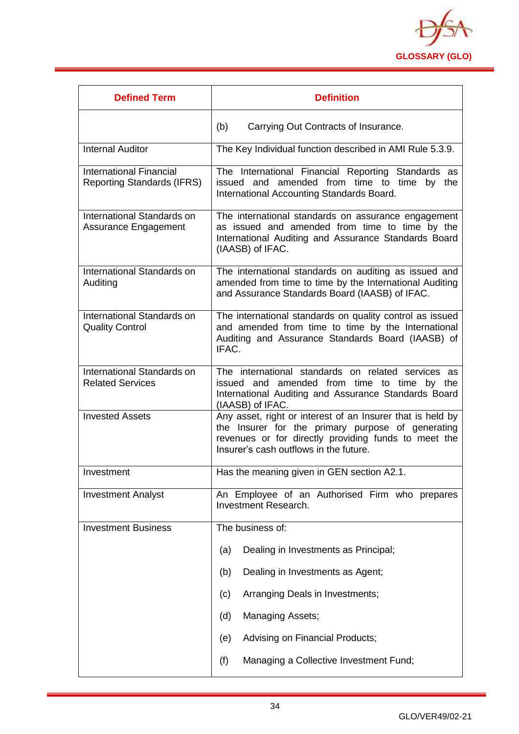

| <b>Defined Term</b>                                                 | <b>Definition</b>                                                                                                                                                                                                 |  |
|---------------------------------------------------------------------|-------------------------------------------------------------------------------------------------------------------------------------------------------------------------------------------------------------------|--|
|                                                                     | (b)<br>Carrying Out Contracts of Insurance.                                                                                                                                                                       |  |
| <b>Internal Auditor</b>                                             | The Key Individual function described in AMI Rule 5.3.9.                                                                                                                                                          |  |
| <b>International Financial</b><br><b>Reporting Standards (IFRS)</b> | The International Financial Reporting Standards as<br>issued and amended from time to time by<br>the<br>International Accounting Standards Board.                                                                 |  |
| International Standards on<br>Assurance Engagement                  | The international standards on assurance engagement<br>as issued and amended from time to time by the<br>International Auditing and Assurance Standards Board<br>(IAASB) of IFAC.                                 |  |
| International Standards on<br>Auditing                              | The international standards on auditing as issued and<br>amended from time to time by the International Auditing<br>and Assurance Standards Board (IAASB) of IFAC.                                                |  |
| International Standards on<br><b>Quality Control</b>                | The international standards on quality control as issued<br>and amended from time to time by the International<br>Auditing and Assurance Standards Board (IAASB) of<br>IFAC.                                      |  |
| International Standards on<br><b>Related Services</b>               | The international standards on related services as<br>issued and amended from time to time by the<br>International Auditing and Assurance Standards Board<br>(IAASB) of IFAC.                                     |  |
| <b>Invested Assets</b>                                              | Any asset, right or interest of an Insurer that is held by<br>the Insurer for the primary purpose of generating<br>revenues or for directly providing funds to meet the<br>Insurer's cash outflows in the future. |  |
| Investment                                                          | Has the meaning given in GEN section A2.1.                                                                                                                                                                        |  |
| <b>Investment Analyst</b>                                           | An Employee of an Authorised Firm who prepares<br><b>Investment Research.</b>                                                                                                                                     |  |
| <b>Investment Business</b>                                          | The business of:                                                                                                                                                                                                  |  |
|                                                                     | Dealing in Investments as Principal;<br>(a)                                                                                                                                                                       |  |
|                                                                     | (b)<br>Dealing in Investments as Agent;                                                                                                                                                                           |  |
|                                                                     | Arranging Deals in Investments;<br>(c)                                                                                                                                                                            |  |
|                                                                     | <b>Managing Assets;</b><br>(d)                                                                                                                                                                                    |  |
|                                                                     | Advising on Financial Products;<br>(e)                                                                                                                                                                            |  |
|                                                                     | (f)<br>Managing a Collective Investment Fund;                                                                                                                                                                     |  |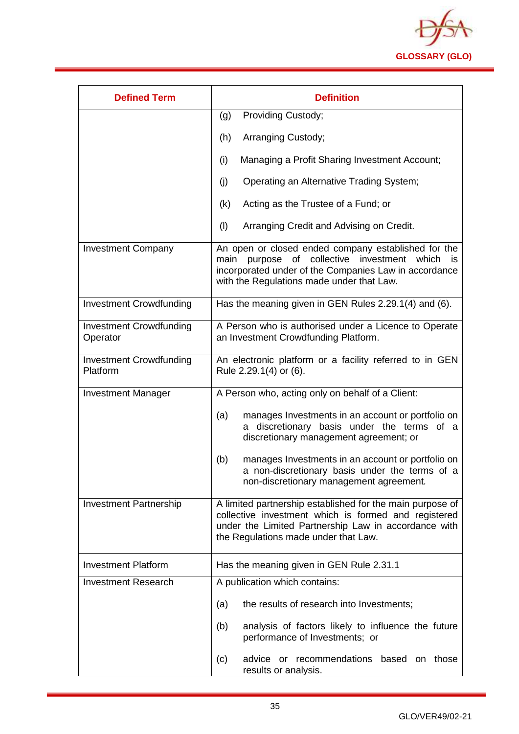

| <b>Defined Term</b>                        | <b>Definition</b>                                                                                                                                                                                                  |  |  |
|--------------------------------------------|--------------------------------------------------------------------------------------------------------------------------------------------------------------------------------------------------------------------|--|--|
|                                            | Providing Custody;<br>(g)                                                                                                                                                                                          |  |  |
|                                            | (h)<br>Arranging Custody;                                                                                                                                                                                          |  |  |
|                                            | Managing a Profit Sharing Investment Account;<br>(i)                                                                                                                                                               |  |  |
|                                            | (j)<br>Operating an Alternative Trading System;                                                                                                                                                                    |  |  |
|                                            | Acting as the Trustee of a Fund; or<br>(k)                                                                                                                                                                         |  |  |
|                                            | (1)<br>Arranging Credit and Advising on Credit.                                                                                                                                                                    |  |  |
| <b>Investment Company</b>                  | An open or closed ended company established for the<br>purpose of collective investment which<br>main<br>is.<br>incorporated under of the Companies Law in accordance<br>with the Regulations made under that Law. |  |  |
| <b>Investment Crowdfunding</b>             | Has the meaning given in GEN Rules 2.29.1(4) and (6).                                                                                                                                                              |  |  |
| <b>Investment Crowdfunding</b><br>Operator | A Person who is authorised under a Licence to Operate<br>an Investment Crowdfunding Platform.                                                                                                                      |  |  |
| <b>Investment Crowdfunding</b><br>Platform | An electronic platform or a facility referred to in GEN<br>Rule 2.29.1(4) or (6).                                                                                                                                  |  |  |
| <b>Investment Manager</b>                  | A Person who, acting only on behalf of a Client:                                                                                                                                                                   |  |  |
|                                            | manages Investments in an account or portfolio on<br>(a)<br>discretionary basis under the terms of a<br>discretionary management agreement; or                                                                     |  |  |
|                                            | (b)<br>manages Investments in an account or portfolio on<br>a non-discretionary basis under the terms of a<br>non-discretionary management agreement.                                                              |  |  |
| Investment Partnership                     | A limited partnership established for the main purpose of<br>collective investment which is formed and registered<br>under the Limited Partnership Law in accordance with<br>the Regulations made under that Law.  |  |  |
| <b>Investment Platform</b>                 | Has the meaning given in GEN Rule 2.31.1                                                                                                                                                                           |  |  |
| <b>Investment Research</b>                 | A publication which contains:                                                                                                                                                                                      |  |  |
|                                            | the results of research into Investments;<br>(a)                                                                                                                                                                   |  |  |
|                                            | analysis of factors likely to influence the future<br>(b)<br>performance of Investments; or                                                                                                                        |  |  |
|                                            | advice or recommendations based on<br>those<br>(c)<br>results or analysis.                                                                                                                                         |  |  |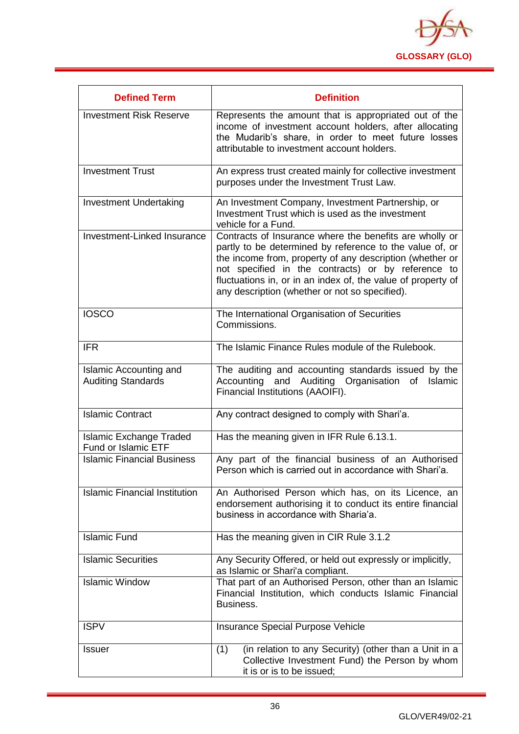

| <b>Defined Term</b>                                          | <b>Definition</b>                                                                                                                                                                                                                                                                                                                                       |
|--------------------------------------------------------------|---------------------------------------------------------------------------------------------------------------------------------------------------------------------------------------------------------------------------------------------------------------------------------------------------------------------------------------------------------|
| <b>Investment Risk Reserve</b>                               | Represents the amount that is appropriated out of the<br>income of investment account holders, after allocating<br>the Mudarib's share, in order to meet future losses<br>attributable to investment account holders.                                                                                                                                   |
| <b>Investment Trust</b>                                      | An express trust created mainly for collective investment<br>purposes under the Investment Trust Law.                                                                                                                                                                                                                                                   |
| <b>Investment Undertaking</b>                                | An Investment Company, Investment Partnership, or<br>Investment Trust which is used as the investment<br>vehicle for a Fund.                                                                                                                                                                                                                            |
| Investment-Linked Insurance                                  | Contracts of Insurance where the benefits are wholly or<br>partly to be determined by reference to the value of, or<br>the income from, property of any description (whether or<br>not specified in the contracts) or by reference to<br>fluctuations in, or in an index of, the value of property of<br>any description (whether or not so specified). |
| <b>IOSCO</b>                                                 | The International Organisation of Securities<br>Commissions.                                                                                                                                                                                                                                                                                            |
| <b>IFR</b>                                                   | The Islamic Finance Rules module of the Rulebook.                                                                                                                                                                                                                                                                                                       |
| <b>Islamic Accounting and</b><br><b>Auditing Standards</b>   | The auditing and accounting standards issued by the<br>Accounting and<br>Auditing<br>Organisation<br>Islamic<br>of<br>Financial Institutions (AAOIFI).                                                                                                                                                                                                  |
| <b>Islamic Contract</b>                                      | Any contract designed to comply with Shari'a.                                                                                                                                                                                                                                                                                                           |
| <b>Islamic Exchange Traded</b><br><b>Fund or Islamic ETF</b> | Has the meaning given in IFR Rule 6.13.1.                                                                                                                                                                                                                                                                                                               |
| <b>Islamic Financial Business</b>                            | Any part of the financial business of an Authorised<br>Person which is carried out in accordance with Shari'a.                                                                                                                                                                                                                                          |
| <b>Islamic Financial Institution</b>                         | An Authorised Person which has, on its Licence, an<br>endorsement authorising it to conduct its entire financial<br>business in accordance with Sharia'a.                                                                                                                                                                                               |
| <b>Islamic Fund</b>                                          | Has the meaning given in CIR Rule 3.1.2                                                                                                                                                                                                                                                                                                                 |
| <b>Islamic Securities</b>                                    | Any Security Offered, or held out expressly or implicitly,<br>as Islamic or Shari'a compliant.                                                                                                                                                                                                                                                          |
| <b>Islamic Window</b>                                        | That part of an Authorised Person, other than an Islamic<br>Financial Institution, which conducts Islamic Financial<br>Business.                                                                                                                                                                                                                        |
| <b>ISPV</b>                                                  | Insurance Special Purpose Vehicle                                                                                                                                                                                                                                                                                                                       |
| <b>Issuer</b>                                                | (1)<br>(in relation to any Security) (other than a Unit in a<br>Collective Investment Fund) the Person by whom<br>it is or is to be issued;                                                                                                                                                                                                             |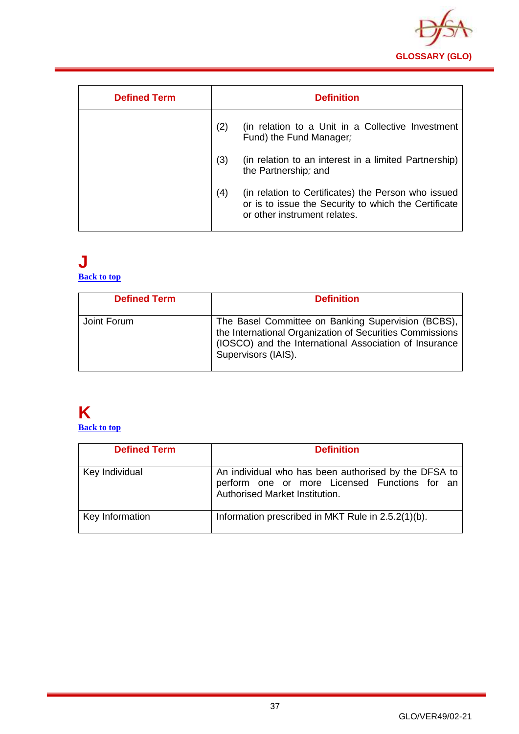

| <b>Defined Term</b> |     | <b>Definition</b>                                                                                                                           |
|---------------------|-----|---------------------------------------------------------------------------------------------------------------------------------------------|
|                     | (2) | (in relation to a Unit in a Collective Investment<br>Fund) the Fund Manager;                                                                |
|                     | (3) | (in relation to an interest in a limited Partnership)<br>the Partnership; and                                                               |
|                     | (4) | (in relation to Certificates) the Person who issued<br>or is to issue the Security to which the Certificate<br>or other instrument relates. |

#### **J [Back to top](#page-1-0)**

| <b>Defined Term</b> | <b>Definition</b>                                                                                                                                                                               |
|---------------------|-------------------------------------------------------------------------------------------------------------------------------------------------------------------------------------------------|
| Joint Forum         | The Basel Committee on Banking Supervision (BCBS),<br>the International Organization of Securities Commissions<br>(IOSCO) and the International Association of Insurance<br>Supervisors (IAIS). |

# **K**

**[Back to top](#page-1-0)**

| <b>Defined Term</b> | <b>Definition</b>                                                                                                                       |
|---------------------|-----------------------------------------------------------------------------------------------------------------------------------------|
| Key Individual      | An individual who has been authorised by the DFSA to<br>perform one or more Licensed Functions for an<br>Authorised Market Institution. |
| Key Information     | Information prescribed in MKT Rule in 2.5.2(1)(b).                                                                                      |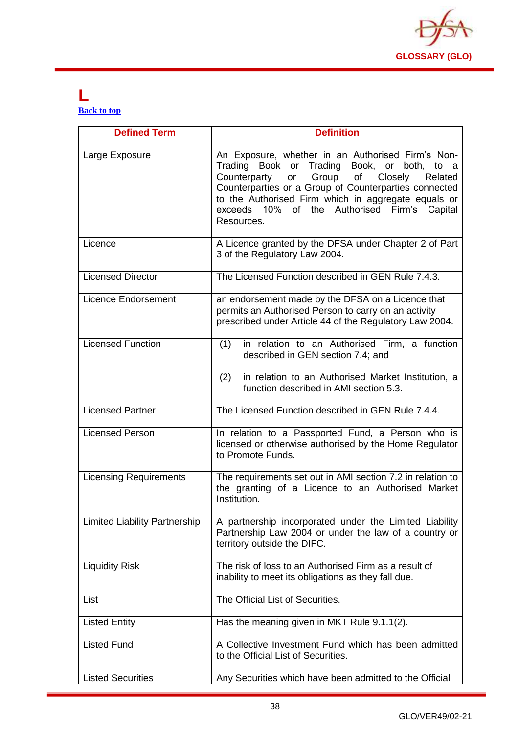

#### **L [Back to top](#page-1-0)**

| <b>Defined Term</b>                  | <b>Definition</b>                                                                                                                                                                                                                                                                                                                            |
|--------------------------------------|----------------------------------------------------------------------------------------------------------------------------------------------------------------------------------------------------------------------------------------------------------------------------------------------------------------------------------------------|
| Large Exposure                       | An Exposure, whether in an Authorised Firm's Non-<br>Trading Book or Trading Book, or both, to a<br>Group of<br>Counterparty<br>Closely<br>Related<br>or<br>Counterparties or a Group of Counterparties connected<br>to the Authorised Firm which in aggregate equals or<br>exceeds 10% of the Authorised<br>Firm's<br>Capital<br>Resources. |
| Licence                              | A Licence granted by the DFSA under Chapter 2 of Part<br>3 of the Regulatory Law 2004.                                                                                                                                                                                                                                                       |
| <b>Licensed Director</b>             | The Licensed Function described in GEN Rule 7.4.3.                                                                                                                                                                                                                                                                                           |
| <b>Licence Endorsement</b>           | an endorsement made by the DFSA on a Licence that<br>permits an Authorised Person to carry on an activity<br>prescribed under Article 44 of the Regulatory Law 2004.                                                                                                                                                                         |
| <b>Licensed Function</b>             | (1)<br>in relation to an Authorised Firm, a function<br>described in GEN section 7.4; and<br>(2)<br>in relation to an Authorised Market Institution, a<br>function described in AMI section 5.3.                                                                                                                                             |
| <b>Licensed Partner</b>              | The Licensed Function described in GEN Rule 7.4.4.                                                                                                                                                                                                                                                                                           |
| <b>Licensed Person</b>               | In relation to a Passported Fund, a Person who is<br>licensed or otherwise authorised by the Home Regulator<br>to Promote Funds.                                                                                                                                                                                                             |
| <b>Licensing Requirements</b>        | The requirements set out in AMI section 7.2 in relation to<br>the granting of a Licence to an Authorised Market<br>Institution.                                                                                                                                                                                                              |
| <b>Limited Liability Partnership</b> | A partnership incorporated under the Limited Liability<br>Partnership Law 2004 or under the law of a country or<br>territory outside the DIFC.                                                                                                                                                                                               |
| <b>Liquidity Risk</b>                | The risk of loss to an Authorised Firm as a result of<br>inability to meet its obligations as they fall due.                                                                                                                                                                                                                                 |
| List                                 | The Official List of Securities.                                                                                                                                                                                                                                                                                                             |
| <b>Listed Entity</b>                 | Has the meaning given in MKT Rule 9.1.1(2).                                                                                                                                                                                                                                                                                                  |
| <b>Listed Fund</b>                   | A Collective Investment Fund which has been admitted<br>to the Official List of Securities.                                                                                                                                                                                                                                                  |
| <b>Listed Securities</b>             | Any Securities which have been admitted to the Official                                                                                                                                                                                                                                                                                      |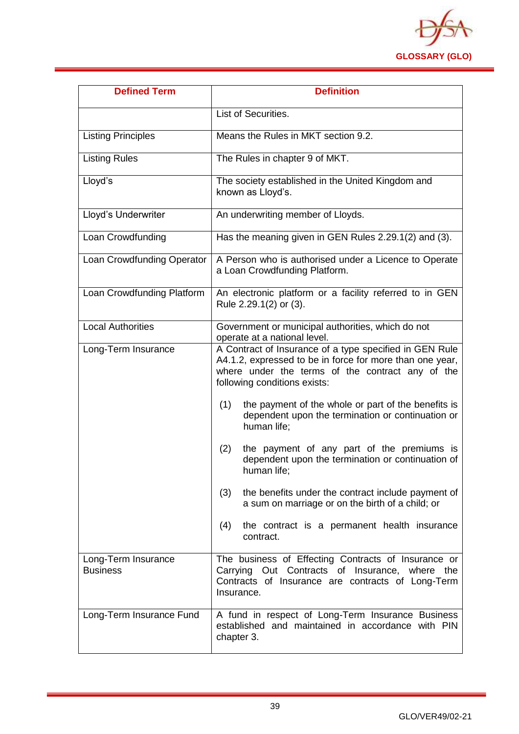

| <b>Defined Term</b>                    | <b>Definition</b>                                                                                                                                                                                       |
|----------------------------------------|---------------------------------------------------------------------------------------------------------------------------------------------------------------------------------------------------------|
|                                        | List of Securities.                                                                                                                                                                                     |
| <b>Listing Principles</b>              | Means the Rules in MKT section 9.2.                                                                                                                                                                     |
| <b>Listing Rules</b>                   | The Rules in chapter 9 of MKT.                                                                                                                                                                          |
| Lloyd's                                | The society established in the United Kingdom and<br>known as Lloyd's.                                                                                                                                  |
| Lloyd's Underwriter                    | An underwriting member of Lloyds.                                                                                                                                                                       |
| Loan Crowdfunding                      | Has the meaning given in GEN Rules 2.29.1(2) and (3).                                                                                                                                                   |
| Loan Crowdfunding Operator             | A Person who is authorised under a Licence to Operate<br>a Loan Crowdfunding Platform.                                                                                                                  |
| Loan Crowdfunding Platform             | An electronic platform or a facility referred to in GEN<br>Rule 2.29.1(2) or (3).                                                                                                                       |
| <b>Local Authorities</b>               | Government or municipal authorities, which do not<br>operate at a national level.                                                                                                                       |
| Long-Term Insurance                    | A Contract of Insurance of a type specified in GEN Rule<br>A4.1.2, expressed to be in force for more than one year,<br>where under the terms of the contract any of the<br>following conditions exists: |
|                                        | the payment of the whole or part of the benefits is<br>(1)<br>dependent upon the termination or continuation or<br>human life;                                                                          |
|                                        | the payment of any part of the premiums is<br>(2)<br>dependent upon the termination or continuation of<br>human life;                                                                                   |
|                                        | (3)<br>the benefits under the contract include payment of<br>a sum on marriage or on the birth of a child; or                                                                                           |
|                                        | the contract is a permanent health insurance<br>(4)<br>contract.                                                                                                                                        |
| Long-Term Insurance<br><b>Business</b> | The business of Effecting Contracts of Insurance or<br>Out Contracts of Insurance, where the<br>Carrying<br>Contracts of Insurance are contracts of Long-Term<br>Insurance.                             |
| Long-Term Insurance Fund               | A fund in respect of Long-Term Insurance Business<br>established and maintained in accordance with PIN<br>chapter 3.                                                                                    |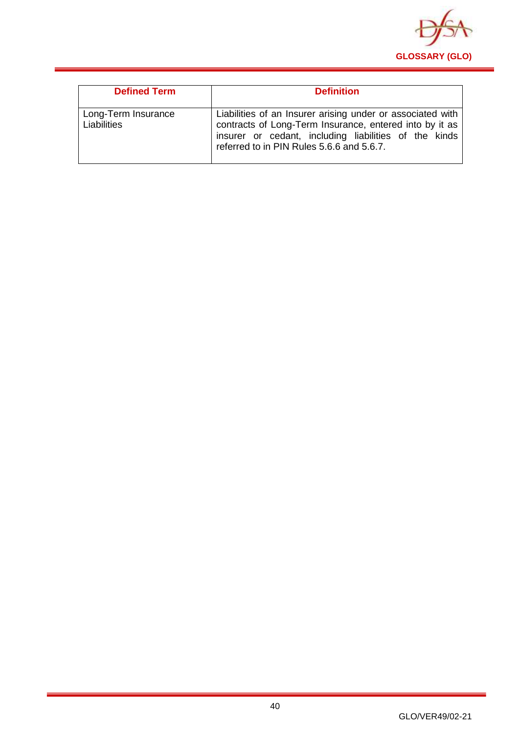

| <b>Defined Term</b>                | <b>Definition</b>                                                                                                                                                                                                           |
|------------------------------------|-----------------------------------------------------------------------------------------------------------------------------------------------------------------------------------------------------------------------------|
| Long-Term Insurance<br>Liabilities | Liabilities of an Insurer arising under or associated with<br>contracts of Long-Term Insurance, entered into by it as<br>insurer or cedant, including liabilities of the kinds<br>referred to in PIN Rules 5.6.6 and 5.6.7. |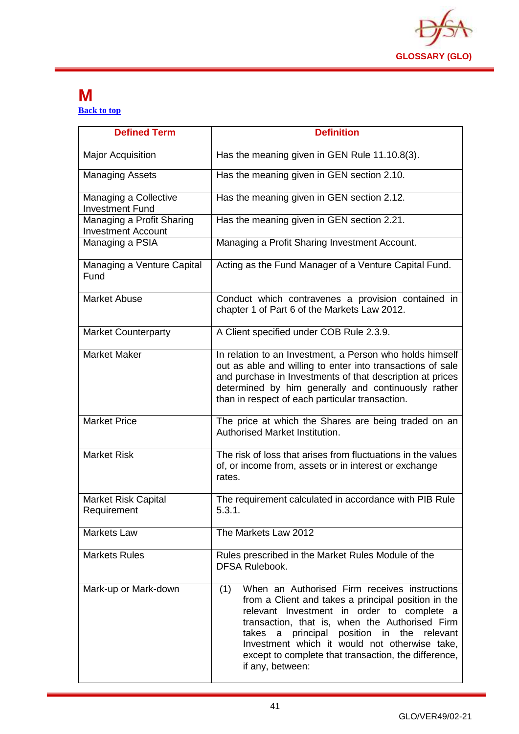

#### **M [Back to top](#page-1-0)**

| <b>Defined Term</b>                                    | <b>Definition</b>                                                                                                                                                                                                                                                                                                                                                                               |
|--------------------------------------------------------|-------------------------------------------------------------------------------------------------------------------------------------------------------------------------------------------------------------------------------------------------------------------------------------------------------------------------------------------------------------------------------------------------|
| <b>Major Acquisition</b>                               | Has the meaning given in GEN Rule 11.10.8(3).                                                                                                                                                                                                                                                                                                                                                   |
| <b>Managing Assets</b>                                 | Has the meaning given in GEN section 2.10.                                                                                                                                                                                                                                                                                                                                                      |
| Managing a Collective<br><b>Investment Fund</b>        | Has the meaning given in GEN section 2.12.                                                                                                                                                                                                                                                                                                                                                      |
| Managing a Profit Sharing<br><b>Investment Account</b> | Has the meaning given in GEN section 2.21.                                                                                                                                                                                                                                                                                                                                                      |
| Managing a PSIA                                        | Managing a Profit Sharing Investment Account.                                                                                                                                                                                                                                                                                                                                                   |
| Managing a Venture Capital<br>Fund                     | Acting as the Fund Manager of a Venture Capital Fund.                                                                                                                                                                                                                                                                                                                                           |
| <b>Market Abuse</b>                                    | Conduct which contravenes a provision contained in<br>chapter 1 of Part 6 of the Markets Law 2012.                                                                                                                                                                                                                                                                                              |
| <b>Market Counterparty</b>                             | A Client specified under COB Rule 2.3.9.                                                                                                                                                                                                                                                                                                                                                        |
| <b>Market Maker</b>                                    | In relation to an Investment, a Person who holds himself<br>out as able and willing to enter into transactions of sale<br>and purchase in Investments of that description at prices<br>determined by him generally and continuously rather<br>than in respect of each particular transaction.                                                                                                   |
| <b>Market Price</b>                                    | The price at which the Shares are being traded on an<br>Authorised Market Institution.                                                                                                                                                                                                                                                                                                          |
| <b>Market Risk</b>                                     | The risk of loss that arises from fluctuations in the values<br>of, or income from, assets or in interest or exchange<br>rates.                                                                                                                                                                                                                                                                 |
| <b>Market Risk Capital</b><br>Requirement              | The requirement calculated in accordance with PIB Rule<br>5.3.1.                                                                                                                                                                                                                                                                                                                                |
| <b>Markets Law</b>                                     | The Markets Law 2012                                                                                                                                                                                                                                                                                                                                                                            |
| <b>Markets Rules</b>                                   | Rules prescribed in the Market Rules Module of the<br><b>DFSA Rulebook.</b>                                                                                                                                                                                                                                                                                                                     |
| Mark-up or Mark-down                                   | When an Authorised Firm receives instructions<br>(1)<br>from a Client and takes a principal position in the<br>relevant Investment in order to complete a<br>transaction, that is, when the Authorised Firm<br>principal position in the<br>takes<br>a<br>relevant<br>Investment which it would not otherwise take,<br>except to complete that transaction, the difference,<br>if any, between: |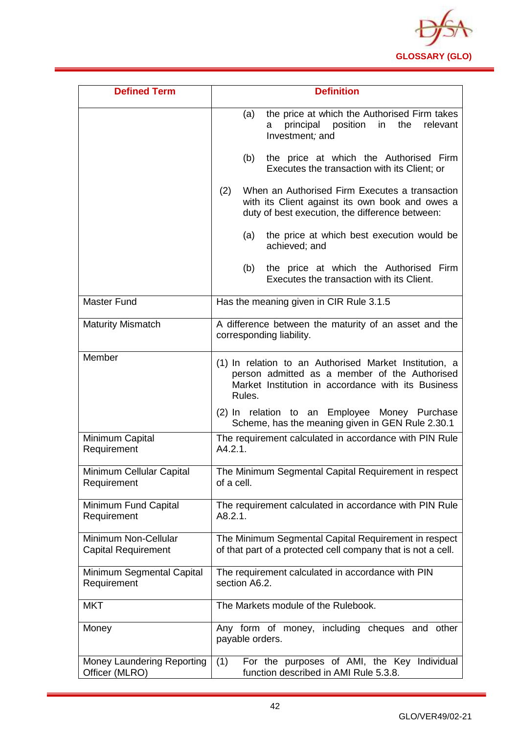

| <b>Defined Term</b>                                | <b>Definition</b>                                                                                                                                                       |
|----------------------------------------------------|-------------------------------------------------------------------------------------------------------------------------------------------------------------------------|
|                                                    | the price at which the Authorised Firm takes<br>(a)<br>principal<br>position<br>in<br>the<br>relevant<br>а<br>Investment; and                                           |
|                                                    | the price at which the Authorised Firm<br>(b)<br>Executes the transaction with its Client; or                                                                           |
|                                                    | When an Authorised Firm Executes a transaction<br>(2)<br>with its Client against its own book and owes a<br>duty of best execution, the difference between:             |
|                                                    | the price at which best execution would be<br>(a)<br>achieved; and                                                                                                      |
|                                                    | the price at which the Authorised Firm<br>(b)<br>Executes the transaction with its Client.                                                                              |
| <b>Master Fund</b>                                 | Has the meaning given in CIR Rule 3.1.5                                                                                                                                 |
| <b>Maturity Mismatch</b>                           | A difference between the maturity of an asset and the<br>corresponding liability.                                                                                       |
| Member                                             | (1) In relation to an Authorised Market Institution, a<br>person admitted as a member of the Authorised<br>Market Institution in accordance with its Business<br>Rules. |
|                                                    | (2) In relation to an Employee Money Purchase<br>Scheme, has the meaning given in GEN Rule 2.30.1                                                                       |
| Minimum Capital<br>Requirement                     | The requirement calculated in accordance with PIN Rule<br>A4.2.1.                                                                                                       |
| Minimum Cellular Capital<br>Requirement            | The Minimum Segmental Capital Requirement in respect<br>of a cell.                                                                                                      |
| Minimum Fund Capital<br>Requirement                | The requirement calculated in accordance with PIN Rule<br>A8.2.1.                                                                                                       |
| Minimum Non-Cellular<br><b>Capital Requirement</b> | The Minimum Segmental Capital Requirement in respect<br>of that part of a protected cell company that is not a cell.                                                    |
| Minimum Segmental Capital<br>Requirement           | The requirement calculated in accordance with PIN<br>section A6.2.                                                                                                      |
| <b>MKT</b>                                         | The Markets module of the Rulebook.                                                                                                                                     |
| Money                                              | Any form of money, including cheques and other<br>payable orders.                                                                                                       |
| Money Laundering Reporting<br>Officer (MLRO)       | For the purposes of AMI, the Key Individual<br>(1)<br>function described in AMI Rule 5.3.8.                                                                             |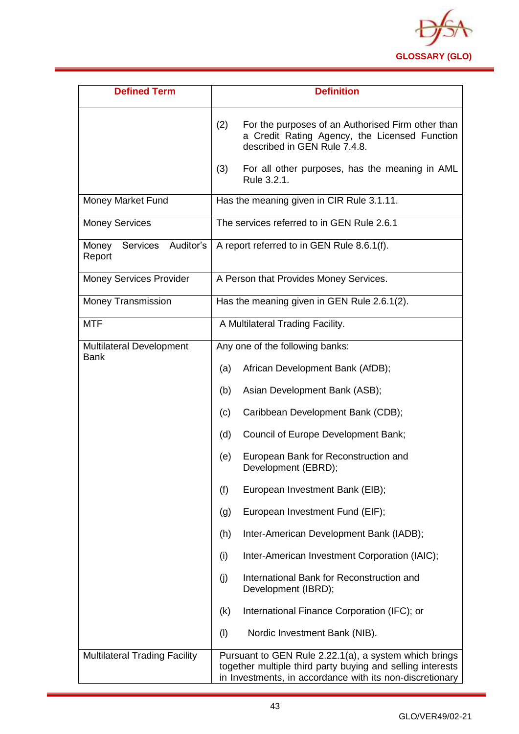

| <b>Defined Term</b>                      | <b>Definition</b>                                                                                                                                                                                                 |
|------------------------------------------|-------------------------------------------------------------------------------------------------------------------------------------------------------------------------------------------------------------------|
|                                          | For the purposes of an Authorised Firm other than<br>(2)<br>a Credit Rating Agency, the Licensed Function<br>described in GEN Rule 7.4.8.<br>For all other purposes, has the meaning in AML<br>(3)<br>Rule 3.2.1. |
|                                          |                                                                                                                                                                                                                   |
| Money Market Fund                        | Has the meaning given in CIR Rule 3.1.11.                                                                                                                                                                         |
| <b>Money Services</b>                    | The services referred to in GEN Rule 2.6.1                                                                                                                                                                        |
| Auditor's<br>Services<br>Money<br>Report | A report referred to in GEN Rule 8.6.1(f).                                                                                                                                                                        |
| <b>Money Services Provider</b>           | A Person that Provides Money Services.                                                                                                                                                                            |
| <b>Money Transmission</b>                | Has the meaning given in GEN Rule 2.6.1(2).                                                                                                                                                                       |
| <b>MTF</b>                               | A Multilateral Trading Facility.                                                                                                                                                                                  |
| <b>Multilateral Development</b>          | Any one of the following banks:                                                                                                                                                                                   |
| <b>Bank</b>                              | African Development Bank (AfDB);<br>(a)                                                                                                                                                                           |
|                                          | (b)<br>Asian Development Bank (ASB);                                                                                                                                                                              |
|                                          | Caribbean Development Bank (CDB);<br>(c)                                                                                                                                                                          |
|                                          | Council of Europe Development Bank;<br>(d)                                                                                                                                                                        |
|                                          | European Bank for Reconstruction and<br>(e)<br>Development (EBRD);                                                                                                                                                |
|                                          | (f)<br>European Investment Bank (EIB);                                                                                                                                                                            |
|                                          | European Investment Fund (EIF);<br>(g)                                                                                                                                                                            |
|                                          | Inter-American Development Bank (IADB);<br>(h)                                                                                                                                                                    |
|                                          | (i)<br>Inter-American Investment Corporation (IAIC);                                                                                                                                                              |
|                                          | (j)<br>International Bank for Reconstruction and<br>Development (IBRD);                                                                                                                                           |
|                                          | International Finance Corporation (IFC); or<br>(k)                                                                                                                                                                |
|                                          | (1)<br>Nordic Investment Bank (NIB).                                                                                                                                                                              |
| <b>Multilateral Trading Facility</b>     | Pursuant to GEN Rule 2.22.1(a), a system which brings<br>together multiple third party buying and selling interests<br>in Investments, in accordance with its non-discretionary                                   |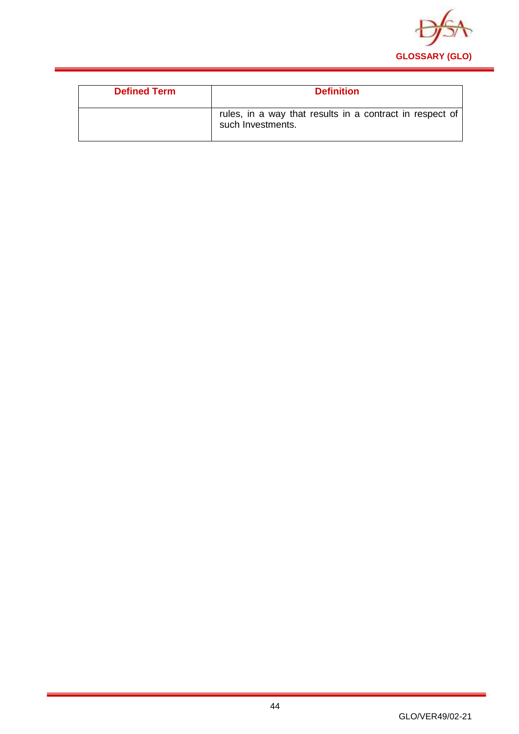

| <b>Defined Term</b> | <b>Definition</b>                                                             |
|---------------------|-------------------------------------------------------------------------------|
|                     | rules, in a way that results in a contract in respect of<br>such Investments. |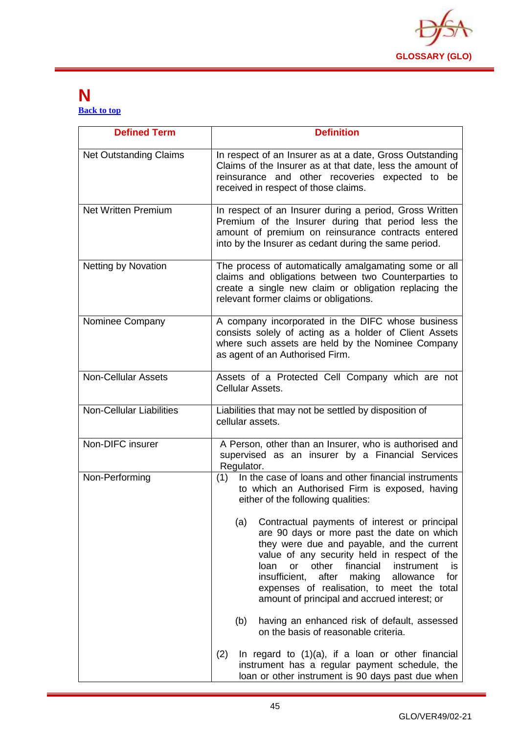

#### **N [Back to top](#page-1-0)**

| <b>Defined Term</b>             | <b>Definition</b>                                                                                                                                                                                                                                                                                                                                                                                                     |
|---------------------------------|-----------------------------------------------------------------------------------------------------------------------------------------------------------------------------------------------------------------------------------------------------------------------------------------------------------------------------------------------------------------------------------------------------------------------|
| <b>Net Outstanding Claims</b>   | In respect of an Insurer as at a date, Gross Outstanding<br>Claims of the Insurer as at that date, less the amount of<br>reinsurance and other recoveries expected to be<br>received in respect of those claims.                                                                                                                                                                                                      |
| <b>Net Written Premium</b>      | In respect of an Insurer during a period, Gross Written<br>Premium of the Insurer during that period less the<br>amount of premium on reinsurance contracts entered<br>into by the Insurer as cedant during the same period.                                                                                                                                                                                          |
| <b>Netting by Novation</b>      | The process of automatically amalgamating some or all<br>claims and obligations between two Counterparties to<br>create a single new claim or obligation replacing the<br>relevant former claims or obligations.                                                                                                                                                                                                      |
| Nominee Company                 | A company incorporated in the DIFC whose business<br>consists solely of acting as a holder of Client Assets<br>where such assets are held by the Nominee Company<br>as agent of an Authorised Firm.                                                                                                                                                                                                                   |
| <b>Non-Cellular Assets</b>      | Assets of a Protected Cell Company which are not<br>Cellular Assets.                                                                                                                                                                                                                                                                                                                                                  |
| <b>Non-Cellular Liabilities</b> | Liabilities that may not be settled by disposition of<br>cellular assets.                                                                                                                                                                                                                                                                                                                                             |
| Non-DIFC insurer                | A Person, other than an Insurer, who is authorised and<br>supervised as an insurer by a Financial Services<br>Regulator.                                                                                                                                                                                                                                                                                              |
| Non-Performing                  | (1) In the case of loans and other financial instruments<br>to which an Authorised Firm is exposed, having<br>either of the following qualities:                                                                                                                                                                                                                                                                      |
|                                 | (a)<br>Contractual payments of interest or principal<br>are 90 days or more past the date on which<br>they were due and payable, and the current<br>value of any security held in respect of the<br>financial<br>instrument<br>loan<br><b>or</b><br>other<br>is<br>insufficient,<br>after<br>making<br>for<br>allowance<br>expenses of realisation, to meet the total<br>amount of principal and accrued interest; or |
|                                 | having an enhanced risk of default, assessed<br>(b)<br>on the basis of reasonable criteria.                                                                                                                                                                                                                                                                                                                           |
|                                 | (2)<br>In regard to $(1)(a)$ , if a loan or other financial<br>instrument has a regular payment schedule, the<br>loan or other instrument is 90 days past due when                                                                                                                                                                                                                                                    |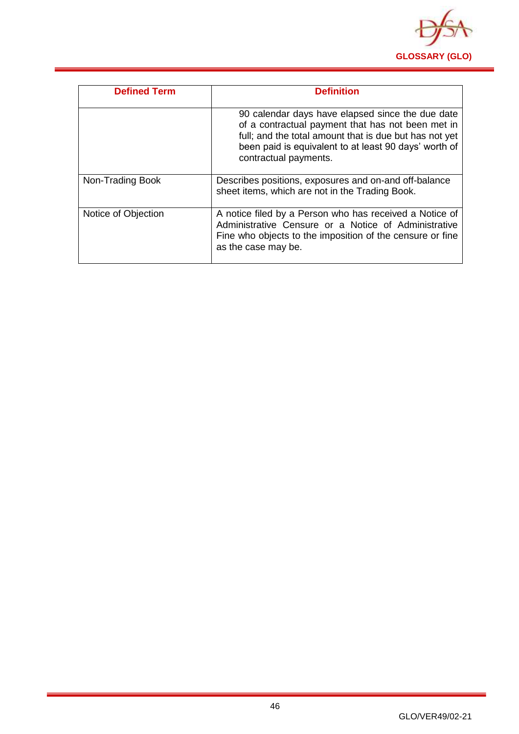

| <b>Defined Term</b> | <b>Definition</b>                                                                                                                                                                                                                                 |
|---------------------|---------------------------------------------------------------------------------------------------------------------------------------------------------------------------------------------------------------------------------------------------|
|                     | 90 calendar days have elapsed since the due date<br>of a contractual payment that has not been met in<br>full; and the total amount that is due but has not yet<br>been paid is equivalent to at least 90 days' worth of<br>contractual payments. |
| Non-Trading Book    | Describes positions, exposures and on-and off-balance<br>sheet items, which are not in the Trading Book.                                                                                                                                          |
| Notice of Objection | A notice filed by a Person who has received a Notice of<br>Administrative Censure or a Notice of Administrative<br>Fine who objects to the imposition of the censure or fine<br>as the case may be.                                               |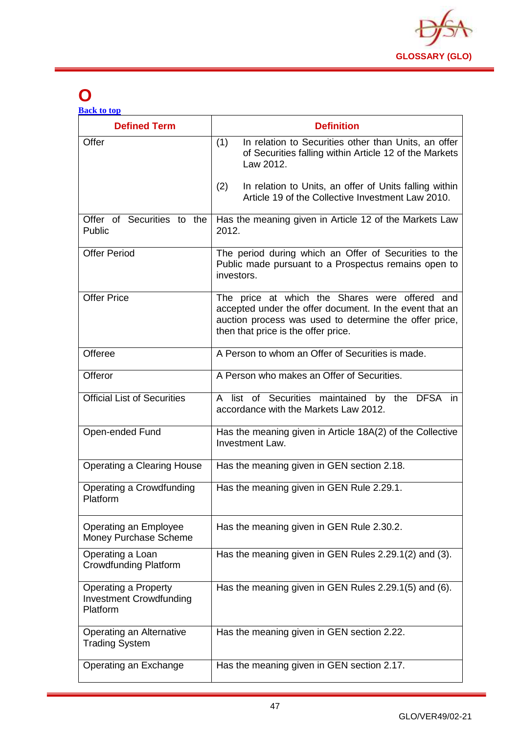

## **O**

| <b>Back to top</b> |  |  |
|--------------------|--|--|
|                    |  |  |

| <b>Defined Term</b>                                                       | <b>Definition</b>                                                                                                                                                                                          |
|---------------------------------------------------------------------------|------------------------------------------------------------------------------------------------------------------------------------------------------------------------------------------------------------|
| Offer                                                                     | (1)<br>In relation to Securities other than Units, an offer<br>of Securities falling within Article 12 of the Markets<br>Law 2012.                                                                         |
|                                                                           | In relation to Units, an offer of Units falling within<br>(2)<br>Article 19 of the Collective Investment Law 2010.                                                                                         |
| Offer of Securities to the<br>Public                                      | Has the meaning given in Article 12 of the Markets Law<br>2012.                                                                                                                                            |
| <b>Offer Period</b>                                                       | The period during which an Offer of Securities to the<br>Public made pursuant to a Prospectus remains open to<br>investors.                                                                                |
| <b>Offer Price</b>                                                        | The price at which the Shares were offered and<br>accepted under the offer document. In the event that an<br>auction process was used to determine the offer price,<br>then that price is the offer price. |
| Offeree                                                                   | A Person to whom an Offer of Securities is made.                                                                                                                                                           |
| Offeror                                                                   | A Person who makes an Offer of Securities.                                                                                                                                                                 |
| <b>Official List of Securities</b>                                        | A list of Securities maintained by the DFSA in<br>accordance with the Markets Law 2012.                                                                                                                    |
| Open-ended Fund                                                           | Has the meaning given in Article 18A(2) of the Collective<br><b>Investment Law.</b>                                                                                                                        |
| <b>Operating a Clearing House</b>                                         | Has the meaning given in GEN section 2.18.                                                                                                                                                                 |
| Operating a Crowdfunding<br>Platform                                      | Has the meaning given in GEN Rule 2.29.1.                                                                                                                                                                  |
| Operating an Employee<br>Money Purchase Scheme                            | Has the meaning given in GEN Rule 2.30.2.                                                                                                                                                                  |
| Operating a Loan<br><b>Crowdfunding Platform</b>                          | Has the meaning given in GEN Rules 2.29.1(2) and (3).                                                                                                                                                      |
| <b>Operating a Property</b><br><b>Investment Crowdfunding</b><br>Platform | Has the meaning given in GEN Rules 2.29.1(5) and (6).                                                                                                                                                      |
| Operating an Alternative<br><b>Trading System</b>                         | Has the meaning given in GEN section 2.22.                                                                                                                                                                 |
| Operating an Exchange                                                     | Has the meaning given in GEN section 2.17.                                                                                                                                                                 |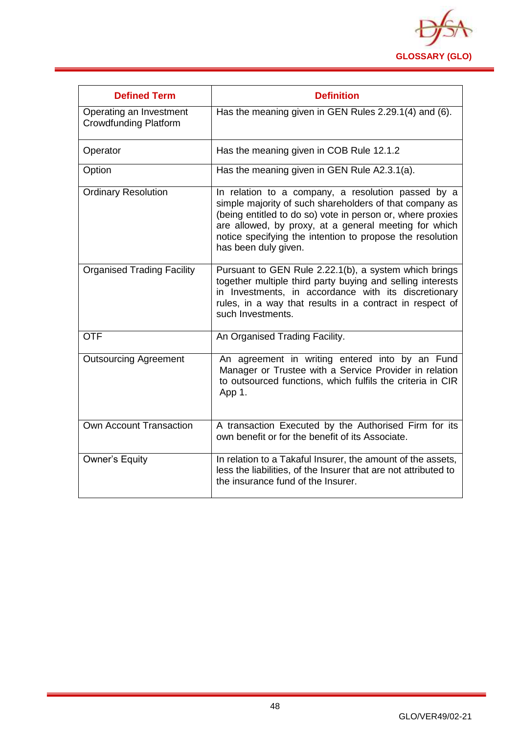

| <b>Defined Term</b>                                     | <b>Definition</b>                                                                                                                                                                                                                                                                                                         |
|---------------------------------------------------------|---------------------------------------------------------------------------------------------------------------------------------------------------------------------------------------------------------------------------------------------------------------------------------------------------------------------------|
| Operating an Investment<br><b>Crowdfunding Platform</b> | Has the meaning given in GEN Rules 2.29.1(4) and (6).                                                                                                                                                                                                                                                                     |
| Operator                                                | Has the meaning given in COB Rule 12.1.2                                                                                                                                                                                                                                                                                  |
| Option                                                  | Has the meaning given in GEN Rule A2.3.1(a).                                                                                                                                                                                                                                                                              |
| <b>Ordinary Resolution</b>                              | In relation to a company, a resolution passed by a<br>simple majority of such shareholders of that company as<br>(being entitled to do so) vote in person or, where proxies<br>are allowed, by proxy, at a general meeting for which<br>notice specifying the intention to propose the resolution<br>has been duly given. |
| <b>Organised Trading Facility</b>                       | Pursuant to GEN Rule 2.22.1(b), a system which brings<br>together multiple third party buying and selling interests<br>in Investments, in accordance with its discretionary<br>rules, in a way that results in a contract in respect of<br>such Investments.                                                              |
| <b>OTF</b>                                              | An Organised Trading Facility.                                                                                                                                                                                                                                                                                            |
| <b>Outsourcing Agreement</b>                            | An agreement in writing entered into by an Fund<br>Manager or Trustee with a Service Provider in relation<br>to outsourced functions, which fulfils the criteria in CIR<br>App 1.                                                                                                                                         |
| Own Account Transaction                                 | A transaction Executed by the Authorised Firm for its<br>own benefit or for the benefit of its Associate.                                                                                                                                                                                                                 |
| <b>Owner's Equity</b>                                   | In relation to a Takaful Insurer, the amount of the assets,<br>less the liabilities, of the Insurer that are not attributed to<br>the insurance fund of the Insurer.                                                                                                                                                      |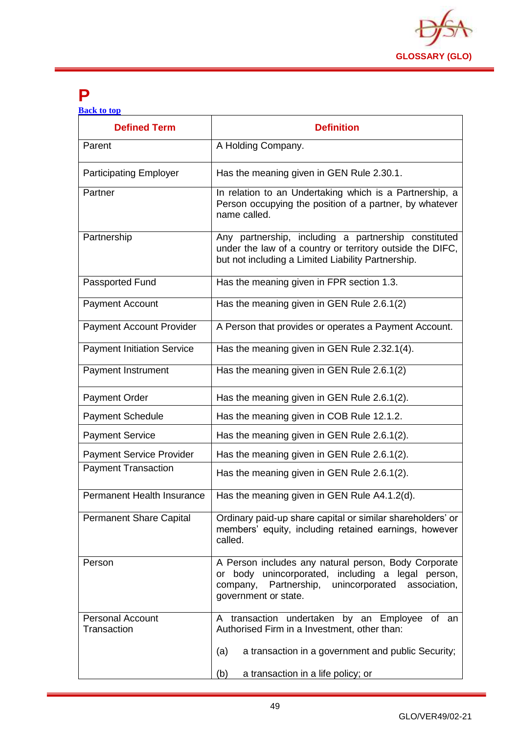

### **P**

| <b>Back to top</b> |  |  |
|--------------------|--|--|
|                    |  |  |
|                    |  |  |

| <b>Defined Term</b>                    | <b>Definition</b>                                                                                                                                                                                  |
|----------------------------------------|----------------------------------------------------------------------------------------------------------------------------------------------------------------------------------------------------|
| Parent                                 | A Holding Company.                                                                                                                                                                                 |
| <b>Participating Employer</b>          | Has the meaning given in GEN Rule 2.30.1.                                                                                                                                                          |
| Partner                                | In relation to an Undertaking which is a Partnership, a<br>Person occupying the position of a partner, by whatever<br>name called.                                                                 |
| Partnership                            | Any partnership, including a partnership constituted<br>under the law of a country or territory outside the DIFC,<br>but not including a Limited Liability Partnership.                            |
| Passported Fund                        | Has the meaning given in FPR section 1.3.                                                                                                                                                          |
| <b>Payment Account</b>                 | Has the meaning given in GEN Rule 2.6.1(2)                                                                                                                                                         |
| <b>Payment Account Provider</b>        | A Person that provides or operates a Payment Account.                                                                                                                                              |
| <b>Payment Initiation Service</b>      | Has the meaning given in GEN Rule 2.32.1(4).                                                                                                                                                       |
| Payment Instrument                     | Has the meaning given in GEN Rule 2.6.1(2)                                                                                                                                                         |
| <b>Payment Order</b>                   | Has the meaning given in GEN Rule 2.6.1(2).                                                                                                                                                        |
| <b>Payment Schedule</b>                | Has the meaning given in COB Rule 12.1.2.                                                                                                                                                          |
| <b>Payment Service</b>                 | Has the meaning given in GEN Rule 2.6.1(2).                                                                                                                                                        |
| <b>Payment Service Provider</b>        | Has the meaning given in GEN Rule 2.6.1(2).                                                                                                                                                        |
| <b>Payment Transaction</b>             | Has the meaning given in GEN Rule 2.6.1(2).                                                                                                                                                        |
| <b>Permanent Health Insurance</b>      | Has the meaning given in GEN Rule A4.1.2(d).                                                                                                                                                       |
| <b>Permanent Share Capital</b>         | Ordinary paid-up share capital or similar shareholders' or<br>members' equity, including retained earnings, however<br>called.                                                                     |
| Person                                 | A Person includes any natural person, Body Corporate<br>unincorporated, including a legal person,<br>or body<br>Partnership,<br>company,<br>unincorporated<br>association,<br>government or state. |
| <b>Personal Account</b><br>Transaction | A transaction undertaken by an Employee of an<br>Authorised Firm in a Investment, other than:                                                                                                      |
|                                        | a transaction in a government and public Security;<br>(a)                                                                                                                                          |
|                                        | a transaction in a life policy; or<br>(b)                                                                                                                                                          |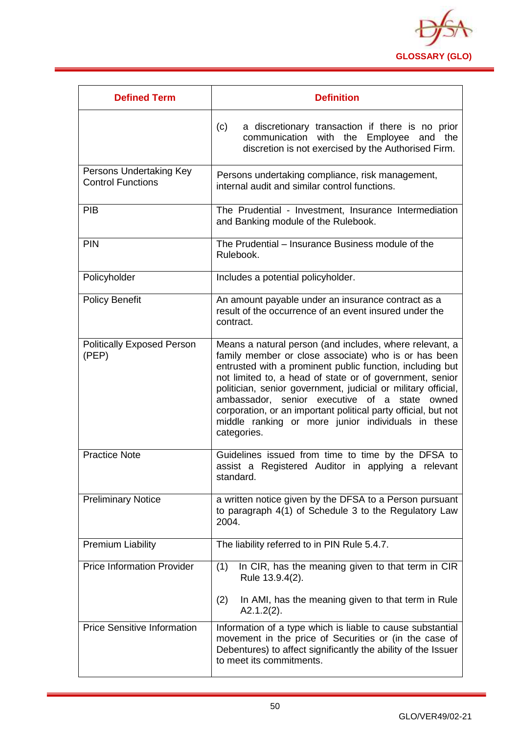

| <b>Defined Term</b>                                 | <b>Definition</b>                                                                                                                                                                                                                                                                                                                                                                                                                                                                                          |
|-----------------------------------------------------|------------------------------------------------------------------------------------------------------------------------------------------------------------------------------------------------------------------------------------------------------------------------------------------------------------------------------------------------------------------------------------------------------------------------------------------------------------------------------------------------------------|
|                                                     | (c)<br>a discretionary transaction if there is no prior<br>with the Employee and the<br>communication<br>discretion is not exercised by the Authorised Firm.                                                                                                                                                                                                                                                                                                                                               |
| Persons Undertaking Key<br><b>Control Functions</b> | Persons undertaking compliance, risk management,<br>internal audit and similar control functions.                                                                                                                                                                                                                                                                                                                                                                                                          |
| PIB                                                 | The Prudential - Investment, Insurance Intermediation<br>and Banking module of the Rulebook.                                                                                                                                                                                                                                                                                                                                                                                                               |
| <b>PIN</b>                                          | The Prudential – Insurance Business module of the<br>Rulebook.                                                                                                                                                                                                                                                                                                                                                                                                                                             |
| Policyholder                                        | Includes a potential policyholder.                                                                                                                                                                                                                                                                                                                                                                                                                                                                         |
| <b>Policy Benefit</b>                               | An amount payable under an insurance contract as a<br>result of the occurrence of an event insured under the<br>contract.                                                                                                                                                                                                                                                                                                                                                                                  |
| <b>Politically Exposed Person</b><br>(PEP)          | Means a natural person (and includes, where relevant, a<br>family member or close associate) who is or has been<br>entrusted with a prominent public function, including but<br>not limited to, a head of state or of government, senior<br>politician, senior government, judicial or military official,<br>ambassador, senior executive of<br>a<br>state<br>owned<br>corporation, or an important political party official, but not<br>middle ranking or more junior individuals in these<br>categories. |
| <b>Practice Note</b>                                | Guidelines issued from time to time by the DFSA to<br>assist a Registered Auditor in applying a relevant<br>standard.                                                                                                                                                                                                                                                                                                                                                                                      |
| <b>Preliminary Notice</b>                           | a written notice given by the DFSA to a Person pursuant<br>to paragraph 4(1) of Schedule 3 to the Regulatory Law<br>2004.                                                                                                                                                                                                                                                                                                                                                                                  |
| <b>Premium Liability</b>                            | The liability referred to in PIN Rule 5.4.7.                                                                                                                                                                                                                                                                                                                                                                                                                                                               |
| <b>Price Information Provider</b>                   | In CIR, has the meaning given to that term in CIR<br>(1)<br>Rule 13.9.4(2).                                                                                                                                                                                                                                                                                                                                                                                                                                |
|                                                     | In AMI, has the meaning given to that term in Rule<br>(2)<br>$A2.1.2(2)$ .                                                                                                                                                                                                                                                                                                                                                                                                                                 |
| <b>Price Sensitive Information</b>                  | Information of a type which is liable to cause substantial<br>movement in the price of Securities or (in the case of<br>Debentures) to affect significantly the ability of the Issuer<br>to meet its commitments.                                                                                                                                                                                                                                                                                          |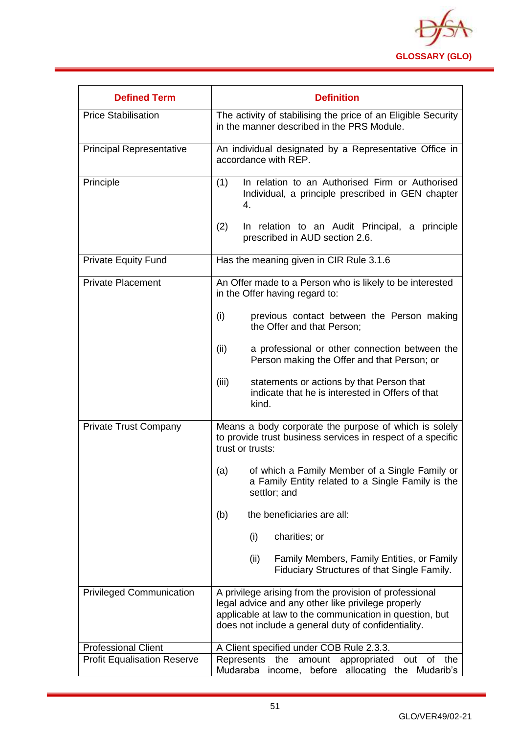

| <b>Defined Term</b>                | <b>Definition</b>                                                                                                                                                                                                              |  |
|------------------------------------|--------------------------------------------------------------------------------------------------------------------------------------------------------------------------------------------------------------------------------|--|
| <b>Price Stabilisation</b>         | The activity of stabilising the price of an Eligible Security<br>in the manner described in the PRS Module.                                                                                                                    |  |
| <b>Principal Representative</b>    | An individual designated by a Representative Office in<br>accordance with REP.                                                                                                                                                 |  |
| Principle                          | In relation to an Authorised Firm or Authorised<br>(1)<br>Individual, a principle prescribed in GEN chapter<br>4.                                                                                                              |  |
|                                    | (2)<br>In relation to an Audit Principal, a principle<br>prescribed in AUD section 2.6.                                                                                                                                        |  |
| <b>Private Equity Fund</b>         | Has the meaning given in CIR Rule 3.1.6                                                                                                                                                                                        |  |
| <b>Private Placement</b>           | An Offer made to a Person who is likely to be interested<br>in the Offer having regard to:                                                                                                                                     |  |
|                                    | (i)<br>previous contact between the Person making<br>the Offer and that Person;                                                                                                                                                |  |
|                                    | (ii)<br>a professional or other connection between the<br>Person making the Offer and that Person; or                                                                                                                          |  |
|                                    | (iii)<br>statements or actions by that Person that<br>indicate that he is interested in Offers of that<br>kind.                                                                                                                |  |
| <b>Private Trust Company</b>       | Means a body corporate the purpose of which is solely<br>to provide trust business services in respect of a specific<br>trust or trusts:                                                                                       |  |
|                                    | of which a Family Member of a Single Family or<br>(a)<br>a Family Entity related to a Single Family is the<br>settlor; and                                                                                                     |  |
|                                    | the beneficiaries are all:<br>(b)                                                                                                                                                                                              |  |
|                                    | (i)<br>charities; or                                                                                                                                                                                                           |  |
|                                    | (ii)<br>Family Members, Family Entities, or Family<br>Fiduciary Structures of that Single Family.                                                                                                                              |  |
| <b>Privileged Communication</b>    | A privilege arising from the provision of professional<br>legal advice and any other like privilege properly<br>applicable at law to the communication in question, but<br>does not include a general duty of confidentiality. |  |
| <b>Professional Client</b>         | A Client specified under COB Rule 2.3.3.                                                                                                                                                                                       |  |
| <b>Profit Equalisation Reserve</b> | Represents<br>amount<br>appropriated<br>0f<br>the<br>out<br>the<br>Mudaraba<br>income,<br>before allocating the Mudarib's                                                                                                      |  |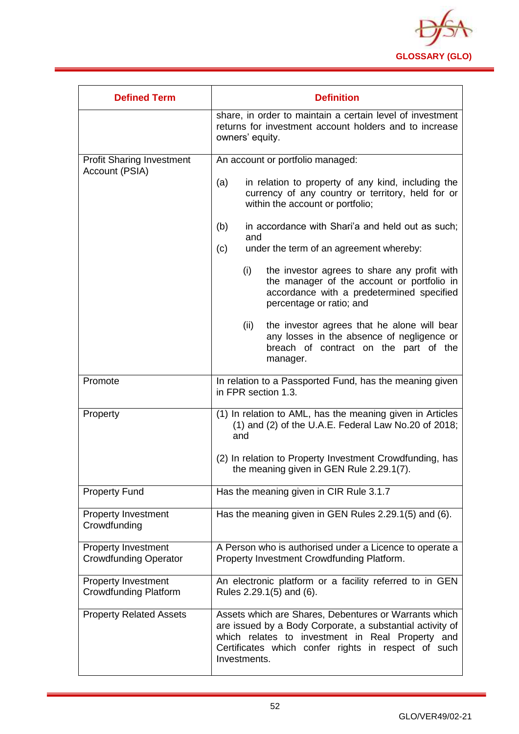

| <b>Defined Term</b>                                        | <b>Definition</b>                                                                                                                                                                                                                             |  |
|------------------------------------------------------------|-----------------------------------------------------------------------------------------------------------------------------------------------------------------------------------------------------------------------------------------------|--|
|                                                            | share, in order to maintain a certain level of investment<br>returns for investment account holders and to increase<br>owners' equity.                                                                                                        |  |
| <b>Profit Sharing Investment</b><br>Account (PSIA)         | An account or portfolio managed:                                                                                                                                                                                                              |  |
|                                                            | in relation to property of any kind, including the<br>(a)<br>currency of any country or territory, held for or<br>within the account or portfolio;                                                                                            |  |
|                                                            | in accordance with Shari'a and held out as such;<br>(b)<br>and                                                                                                                                                                                |  |
|                                                            | under the term of an agreement whereby:<br>(c)                                                                                                                                                                                                |  |
|                                                            | the investor agrees to share any profit with<br>(i)<br>the manager of the account or portfolio in<br>accordance with a predetermined specified<br>percentage or ratio; and                                                                    |  |
|                                                            | (ii)<br>the investor agrees that he alone will bear<br>any losses in the absence of negligence or<br>breach of contract on the part of the<br>manager.                                                                                        |  |
| Promote                                                    | In relation to a Passported Fund, has the meaning given<br>in FPR section 1.3.                                                                                                                                                                |  |
| Property                                                   | (1) In relation to AML, has the meaning given in Articles<br>$(1)$ and $(2)$ of the U.A.E. Federal Law No.20 of 2018;<br>and                                                                                                                  |  |
|                                                            | (2) In relation to Property Investment Crowdfunding, has<br>the meaning given in GEN Rule 2.29.1(7).                                                                                                                                          |  |
| <b>Property Fund</b>                                       | Has the meaning given in CIR Rule 3.1.7                                                                                                                                                                                                       |  |
| <b>Property Investment</b><br>Crowdfunding                 | Has the meaning given in GEN Rules 2.29.1(5) and (6).                                                                                                                                                                                         |  |
| <b>Property Investment</b><br><b>Crowdfunding Operator</b> | A Person who is authorised under a Licence to operate a<br>Property Investment Crowdfunding Platform.                                                                                                                                         |  |
| <b>Property Investment</b><br><b>Crowdfunding Platform</b> | An electronic platform or a facility referred to in GEN<br>Rules 2.29.1(5) and (6).                                                                                                                                                           |  |
| <b>Property Related Assets</b>                             | Assets which are Shares, Debentures or Warrants which<br>are issued by a Body Corporate, a substantial activity of<br>which relates to investment in Real Property and<br>Certificates which confer rights in respect of such<br>Investments. |  |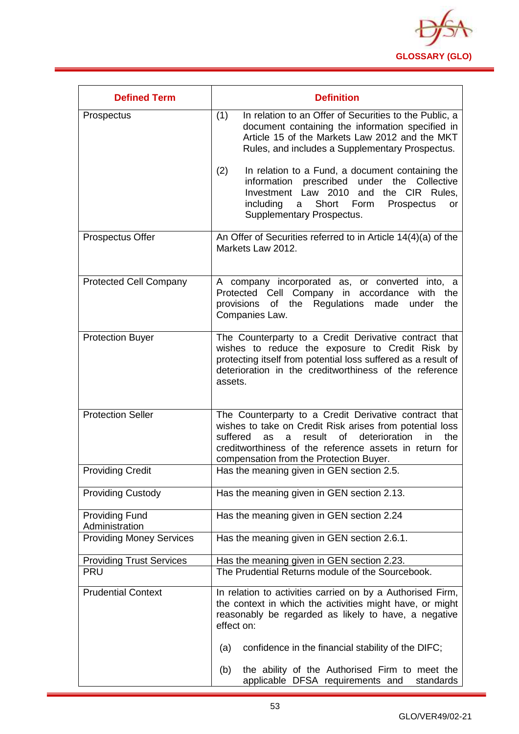

| <b>Defined Term</b>                     | <b>Definition</b>                                                                                                                                                                                                                                                                           |
|-----------------------------------------|---------------------------------------------------------------------------------------------------------------------------------------------------------------------------------------------------------------------------------------------------------------------------------------------|
| Prospectus                              | In relation to an Offer of Securities to the Public, a<br>(1)<br>document containing the information specified in<br>Article 15 of the Markets Law 2012 and the MKT<br>Rules, and includes a Supplementary Prospectus.                                                                      |
|                                         | (2)<br>In relation to a Fund, a document containing the<br>prescribed under the<br>information<br>Collective<br>Investment Law 2010 and the CIR Rules,<br>Short Form<br>including<br>a<br>Prospectus<br><b>or</b><br>Supplementary Prospectus.                                              |
| Prospectus Offer                        | An Offer of Securities referred to in Article $14(4)(a)$ of the<br>Markets Law 2012.                                                                                                                                                                                                        |
| <b>Protected Cell Company</b>           | A company incorporated as, or converted into, a<br>Protected Cell Company in accordance with<br>the<br>provisions of the Regulations<br>made<br>the<br>under<br>Companies Law.                                                                                                              |
| <b>Protection Buyer</b>                 | The Counterparty to a Credit Derivative contract that<br>wishes to reduce the exposure to Credit Risk by<br>protecting itself from potential loss suffered as a result of<br>deterioration in the creditworthiness of the reference<br>assets.                                              |
| <b>Protection Seller</b>                | The Counterparty to a Credit Derivative contract that<br>wishes to take on Credit Risk arises from potential loss<br>of<br>deterioration<br>suffered<br>result<br>in<br>the<br>as<br>a<br>creditworthiness of the reference assets in return for<br>compensation from the Protection Buyer. |
| <b>Providing Credit</b>                 | Has the meaning given in GEN section 2.5.                                                                                                                                                                                                                                                   |
| <b>Providing Custody</b>                | Has the meaning given in GEN section 2.13.                                                                                                                                                                                                                                                  |
| <b>Providing Fund</b><br>Administration | Has the meaning given in GEN section 2.24                                                                                                                                                                                                                                                   |
| <b>Providing Money Services</b>         | Has the meaning given in GEN section 2.6.1.                                                                                                                                                                                                                                                 |
| <b>Providing Trust Services</b>         | Has the meaning given in GEN section 2.23.                                                                                                                                                                                                                                                  |
| <b>PRU</b>                              | The Prudential Returns module of the Sourcebook.                                                                                                                                                                                                                                            |
| <b>Prudential Context</b>               | In relation to activities carried on by a Authorised Firm,<br>the context in which the activities might have, or might<br>reasonably be regarded as likely to have, a negative<br>effect on:                                                                                                |
|                                         | confidence in the financial stability of the DIFC;<br>(a)                                                                                                                                                                                                                                   |
|                                         | the ability of the Authorised Firm to meet the<br>(b)<br>applicable DFSA requirements and<br>standards                                                                                                                                                                                      |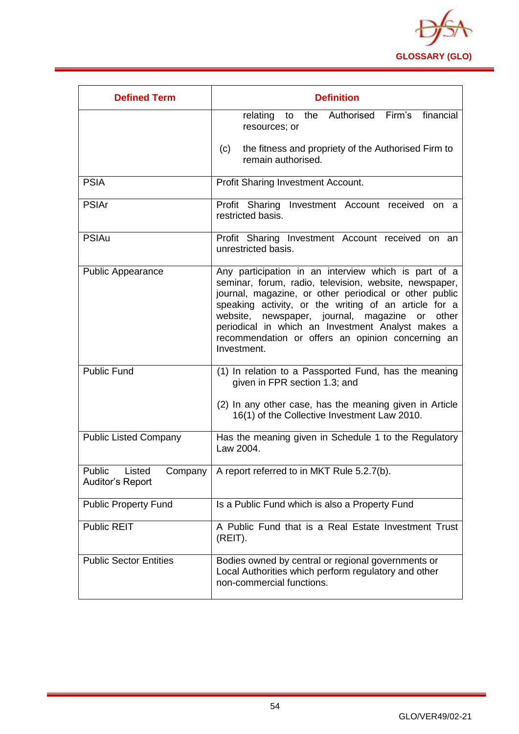

| <b>Defined Term</b>                             | <b>Definition</b>                                                                                                                                                                                                                                                                                                                                                                                                  |
|-------------------------------------------------|--------------------------------------------------------------------------------------------------------------------------------------------------------------------------------------------------------------------------------------------------------------------------------------------------------------------------------------------------------------------------------------------------------------------|
|                                                 | Firm's<br>relating to the Authorised<br>financial<br>resources; or                                                                                                                                                                                                                                                                                                                                                 |
|                                                 | the fitness and propriety of the Authorised Firm to<br>(c)<br>remain authorised.                                                                                                                                                                                                                                                                                                                                   |
| <b>PSIA</b>                                     | Profit Sharing Investment Account.                                                                                                                                                                                                                                                                                                                                                                                 |
| <b>PSIAr</b>                                    | Profit Sharing Investment Account received on a<br>restricted basis.                                                                                                                                                                                                                                                                                                                                               |
| <b>PSIAu</b>                                    | Profit Sharing Investment Account received on an<br>unrestricted basis.                                                                                                                                                                                                                                                                                                                                            |
| <b>Public Appearance</b>                        | Any participation in an interview which is part of a<br>seminar, forum, radio, television, website, newspaper,<br>journal, magazine, or other periodical or other public<br>speaking activity, or the writing of an article for a<br>newspaper, journal, magazine or<br>website,<br>other<br>periodical in which an Investment Analyst makes a<br>recommendation or offers an opinion concerning an<br>Investment. |
| <b>Public Fund</b>                              | (1) In relation to a Passported Fund, has the meaning<br>given in FPR section 1.3; and<br>(2) In any other case, has the meaning given in Article                                                                                                                                                                                                                                                                  |
|                                                 | 16(1) of the Collective Investment Law 2010.                                                                                                                                                                                                                                                                                                                                                                       |
| <b>Public Listed Company</b>                    | Has the meaning given in Schedule 1 to the Regulatory<br>Law 2004.                                                                                                                                                                                                                                                                                                                                                 |
| Public<br>Listed<br>Company<br>Auditor's Report | A report referred to in MKT Rule 5.2.7(b).                                                                                                                                                                                                                                                                                                                                                                         |
| <b>Public Property Fund</b>                     | Is a Public Fund which is also a Property Fund                                                                                                                                                                                                                                                                                                                                                                     |
| <b>Public REIT</b>                              | A Public Fund that is a Real Estate Investment Trust<br>(REIT).                                                                                                                                                                                                                                                                                                                                                    |
| <b>Public Sector Entities</b>                   | Bodies owned by central or regional governments or<br>Local Authorities which perform regulatory and other<br>non-commercial functions.                                                                                                                                                                                                                                                                            |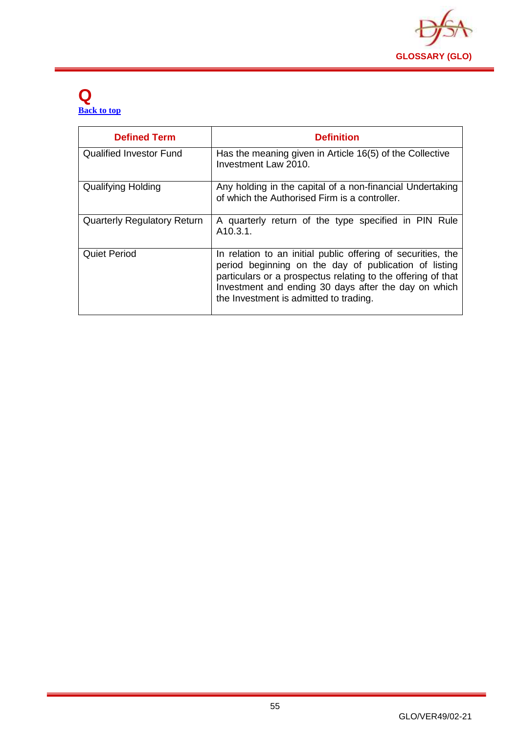

#### **Q [Back to top](#page-1-0)**

| <b>Defined Term</b>                | <b>Definition</b>                                                                                                                                                                                                                                                                       |
|------------------------------------|-----------------------------------------------------------------------------------------------------------------------------------------------------------------------------------------------------------------------------------------------------------------------------------------|
| <b>Qualified Investor Fund</b>     | Has the meaning given in Article 16(5) of the Collective<br>Investment Law 2010.                                                                                                                                                                                                        |
| <b>Qualifying Holding</b>          | Any holding in the capital of a non-financial Undertaking<br>of which the Authorised Firm is a controller.                                                                                                                                                                              |
| <b>Quarterly Regulatory Return</b> | A quarterly return of the type specified in PIN Rule<br>A10.3.1.                                                                                                                                                                                                                        |
| <b>Quiet Period</b>                | In relation to an initial public offering of securities, the<br>period beginning on the day of publication of listing<br>particulars or a prospectus relating to the offering of that<br>Investment and ending 30 days after the day on which<br>the Investment is admitted to trading. |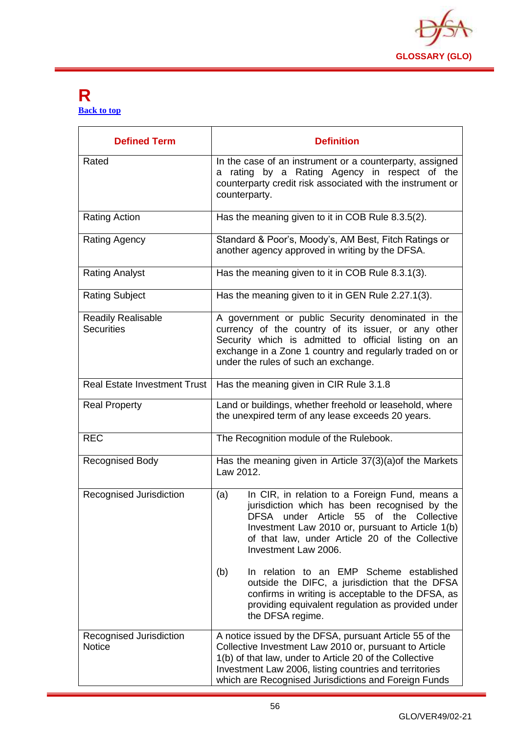

#### **R [Back to top](#page-1-0)**

| <b>Defined Term</b>                            | <b>Definition</b>                                                                                                                                                                                                                                                                              |
|------------------------------------------------|------------------------------------------------------------------------------------------------------------------------------------------------------------------------------------------------------------------------------------------------------------------------------------------------|
| Rated                                          | In the case of an instrument or a counterparty, assigned<br>a rating by a Rating Agency in respect of the<br>counterparty credit risk associated with the instrument or<br>counterparty.                                                                                                       |
| <b>Rating Action</b>                           | Has the meaning given to it in COB Rule 8.3.5(2).                                                                                                                                                                                                                                              |
| <b>Rating Agency</b>                           | Standard & Poor's, Moody's, AM Best, Fitch Ratings or<br>another agency approved in writing by the DFSA.                                                                                                                                                                                       |
| <b>Rating Analyst</b>                          | Has the meaning given to it in COB Rule 8.3.1(3).                                                                                                                                                                                                                                              |
| <b>Rating Subject</b>                          | Has the meaning given to it in GEN Rule 2.27.1(3).                                                                                                                                                                                                                                             |
| <b>Readily Realisable</b><br><b>Securities</b> | A government or public Security denominated in the<br>currency of the country of its issuer, or any other<br>Security which is admitted to official listing on an<br>exchange in a Zone 1 country and regularly traded on or<br>under the rules of such an exchange.                           |
| <b>Real Estate Investment Trust</b>            | Has the meaning given in CIR Rule 3.1.8                                                                                                                                                                                                                                                        |
| <b>Real Property</b>                           | Land or buildings, whether freehold or leasehold, where<br>the unexpired term of any lease exceeds 20 years.                                                                                                                                                                                   |
| <b>REC</b>                                     | The Recognition module of the Rulebook.                                                                                                                                                                                                                                                        |
| <b>Recognised Body</b>                         | Has the meaning given in Article 37(3)(a) of the Markets<br>Law 2012.                                                                                                                                                                                                                          |
| Recognised Jurisdiction                        | In CIR, in relation to a Foreign Fund, means a<br>(a)<br>jurisdiction which has been recognised by the<br>DFSA under Article 55 of the Collective<br>Investment Law 2010 or, pursuant to Article 1(b)<br>of that law, under Article 20 of the Collective<br>Investment Law 2006.               |
|                                                | (b)<br>In relation to an EMP Scheme established<br>outside the DIFC, a jurisdiction that the DFSA<br>confirms in writing is acceptable to the DFSA, as<br>providing equivalent regulation as provided under<br>the DFSA regime.                                                                |
| Recognised Jurisdiction<br><b>Notice</b>       | A notice issued by the DFSA, pursuant Article 55 of the<br>Collective Investment Law 2010 or, pursuant to Article<br>1(b) of that law, under to Article 20 of the Collective<br>Investment Law 2006, listing countries and territories<br>which are Recognised Jurisdictions and Foreign Funds |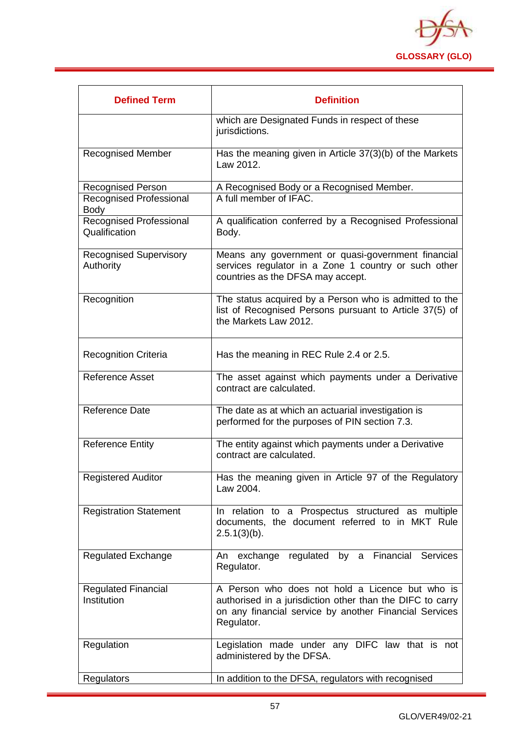

| <b>Defined Term</b>                        | <b>Definition</b>                                                                                                                                                                    |
|--------------------------------------------|--------------------------------------------------------------------------------------------------------------------------------------------------------------------------------------|
|                                            | which are Designated Funds in respect of these<br>jurisdictions.                                                                                                                     |
| <b>Recognised Member</b>                   | Has the meaning given in Article 37(3)(b) of the Markets<br>Law 2012.                                                                                                                |
| <b>Recognised Person</b>                   | A Recognised Body or a Recognised Member.                                                                                                                                            |
| Recognised Professional<br>Body            | A full member of IFAC.                                                                                                                                                               |
| Recognised Professional<br>Qualification   | A qualification conferred by a Recognised Professional<br>Body.                                                                                                                      |
| <b>Recognised Supervisory</b><br>Authority | Means any government or quasi-government financial<br>services regulator in a Zone 1 country or such other<br>countries as the DFSA may accept.                                      |
| Recognition                                | The status acquired by a Person who is admitted to the<br>list of Recognised Persons pursuant to Article 37(5) of<br>the Markets Law 2012.                                           |
| <b>Recognition Criteria</b>                | Has the meaning in REC Rule 2.4 or 2.5.                                                                                                                                              |
| Reference Asset                            | The asset against which payments under a Derivative<br>contract are calculated.                                                                                                      |
| Reference Date                             | The date as at which an actuarial investigation is<br>performed for the purposes of PIN section 7.3.                                                                                 |
| <b>Reference Entity</b>                    | The entity against which payments under a Derivative<br>contract are calculated.                                                                                                     |
| <b>Registered Auditor</b>                  | Has the meaning given in Article 97 of the Regulatory<br>Law 2004.                                                                                                                   |
| <b>Registration Statement</b>              | In relation to a Prospectus structured as multiple<br>documents, the document referred to in MKT Rule<br>$2.5.1(3)(b)$ .                                                             |
| <b>Regulated Exchange</b>                  | An exchange regulated by a Financial Services<br>Regulator.                                                                                                                          |
| <b>Regulated Financial</b><br>Institution  | A Person who does not hold a Licence but who is<br>authorised in a jurisdiction other than the DIFC to carry<br>on any financial service by another Financial Services<br>Regulator. |
| Regulation                                 | Legislation made under any DIFC law that is not<br>administered by the DFSA.                                                                                                         |
| Regulators                                 | In addition to the DFSA, regulators with recognised                                                                                                                                  |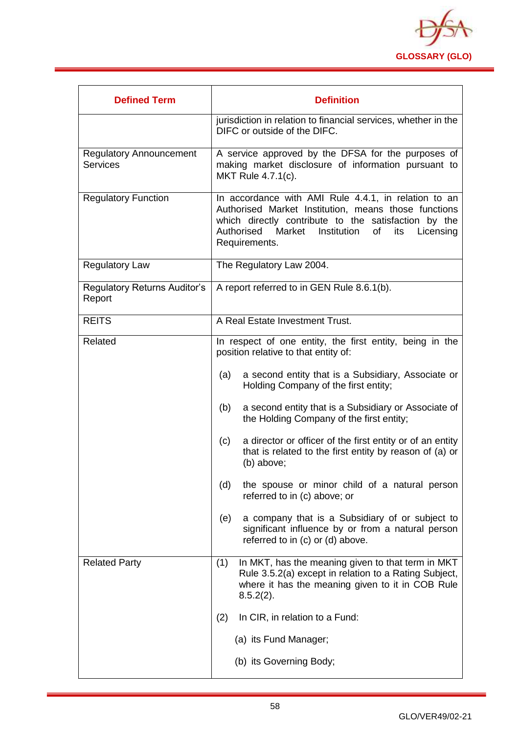

| <b>Defined Term</b>                               | <b>Definition</b>                                                                                                                                                                                                                                                                                                                                                                                                                                                                                                                                                                                                                                                                                        |
|---------------------------------------------------|----------------------------------------------------------------------------------------------------------------------------------------------------------------------------------------------------------------------------------------------------------------------------------------------------------------------------------------------------------------------------------------------------------------------------------------------------------------------------------------------------------------------------------------------------------------------------------------------------------------------------------------------------------------------------------------------------------|
|                                                   | jurisdiction in relation to financial services, whether in the<br>DIFC or outside of the DIFC.                                                                                                                                                                                                                                                                                                                                                                                                                                                                                                                                                                                                           |
| <b>Regulatory Announcement</b><br><b>Services</b> | A service approved by the DFSA for the purposes of<br>making market disclosure of information pursuant to<br>MKT Rule 4.7.1(c).                                                                                                                                                                                                                                                                                                                                                                                                                                                                                                                                                                          |
| <b>Regulatory Function</b>                        | In accordance with AMI Rule 4.4.1, in relation to an<br>Authorised Market Institution, means those functions<br>which directly contribute to the satisfaction by the<br>Authorised<br>Market<br>Institution of<br>its<br>Licensing<br>Requirements.                                                                                                                                                                                                                                                                                                                                                                                                                                                      |
| <b>Regulatory Law</b>                             | The Regulatory Law 2004.                                                                                                                                                                                                                                                                                                                                                                                                                                                                                                                                                                                                                                                                                 |
| <b>Regulatory Returns Auditor's</b><br>Report     | A report referred to in GEN Rule 8.6.1(b).                                                                                                                                                                                                                                                                                                                                                                                                                                                                                                                                                                                                                                                               |
| <b>REITS</b>                                      | A Real Estate Investment Trust.                                                                                                                                                                                                                                                                                                                                                                                                                                                                                                                                                                                                                                                                          |
| Related                                           | In respect of one entity, the first entity, being in the<br>position relative to that entity of:<br>a second entity that is a Subsidiary, Associate or<br>(a)<br>Holding Company of the first entity;<br>a second entity that is a Subsidiary or Associate of<br>(b)<br>the Holding Company of the first entity;<br>a director or officer of the first entity or of an entity<br>(c)<br>that is related to the first entity by reason of (a) or<br>(b) above;<br>the spouse or minor child of a natural person<br>(d)<br>referred to in (c) above; or<br>a company that is a Subsidiary of or subject to<br>(e)<br>significant influence by or from a natural person<br>referred to in (c) or (d) above. |
| <b>Related Party</b>                              | In MKT, has the meaning given to that term in MKT<br>(1)<br>Rule 3.5.2(a) except in relation to a Rating Subject,<br>where it has the meaning given to it in COB Rule<br>$8.5.2(2)$ .<br>(2)<br>In CIR, in relation to a Fund:<br>(a) its Fund Manager;<br>(b) its Governing Body;                                                                                                                                                                                                                                                                                                                                                                                                                       |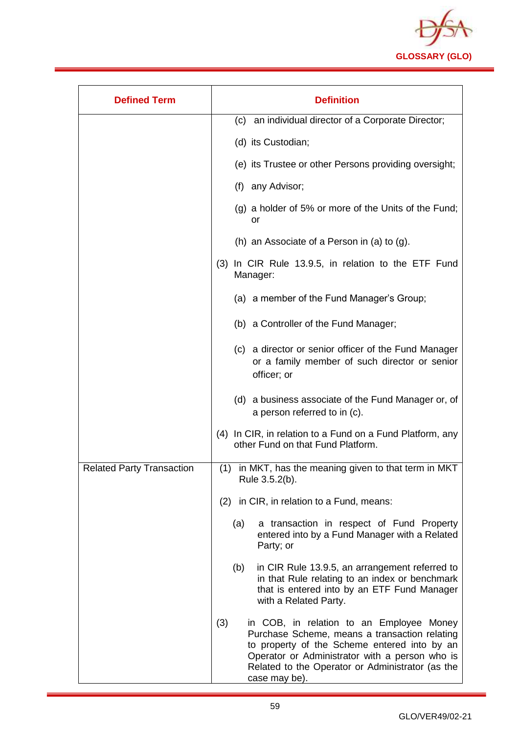

| <b>Defined Term</b>              | <b>Definition</b>                                                                                                                                                                                                                                                       |
|----------------------------------|-------------------------------------------------------------------------------------------------------------------------------------------------------------------------------------------------------------------------------------------------------------------------|
|                                  | (c) an individual director of a Corporate Director;                                                                                                                                                                                                                     |
|                                  | (d) its Custodian;                                                                                                                                                                                                                                                      |
|                                  | (e) its Trustee or other Persons providing oversight;                                                                                                                                                                                                                   |
|                                  | (f) any Advisor;                                                                                                                                                                                                                                                        |
|                                  | $(g)$ a holder of 5% or more of the Units of the Fund;<br>or                                                                                                                                                                                                            |
|                                  | (h) an Associate of a Person in (a) to $(g)$ .                                                                                                                                                                                                                          |
|                                  | (3) In CIR Rule 13.9.5, in relation to the ETF Fund<br>Manager:                                                                                                                                                                                                         |
|                                  | (a) a member of the Fund Manager's Group;                                                                                                                                                                                                                               |
|                                  | (b) a Controller of the Fund Manager;                                                                                                                                                                                                                                   |
|                                  | (c) a director or senior officer of the Fund Manager<br>or a family member of such director or senior<br>officer; or                                                                                                                                                    |
|                                  | (d) a business associate of the Fund Manager or, of<br>a person referred to in (c).                                                                                                                                                                                     |
|                                  | (4) In CIR, in relation to a Fund on a Fund Platform, any<br>other Fund on that Fund Platform.                                                                                                                                                                          |
| <b>Related Party Transaction</b> | in MKT, has the meaning given to that term in MKT<br>(1)<br>Rule 3.5.2(b).                                                                                                                                                                                              |
|                                  | (2) in CIR, in relation to a Fund, means:                                                                                                                                                                                                                               |
|                                  | a transaction in respect of Fund Property<br>(a)<br>entered into by a Fund Manager with a Related<br>Party; or                                                                                                                                                          |
|                                  | in CIR Rule 13.9.5, an arrangement referred to<br>(b)<br>in that Rule relating to an index or benchmark<br>that is entered into by an ETF Fund Manager<br>with a Related Party.                                                                                         |
|                                  | (3)<br>in COB, in relation to an Employee Money<br>Purchase Scheme, means a transaction relating<br>to property of the Scheme entered into by an<br>Operator or Administrator with a person who is<br>Related to the Operator or Administrator (as the<br>case may be). |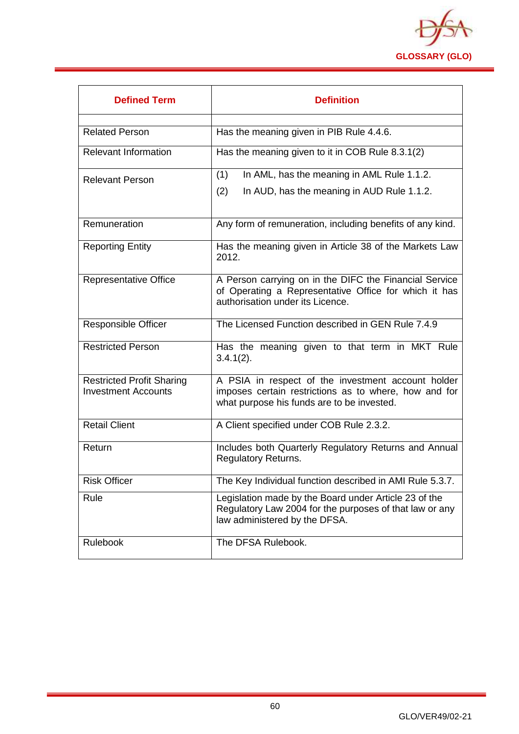

| <b>Defined Term</b>                                            | <b>Definition</b>                                                                                                                                         |
|----------------------------------------------------------------|-----------------------------------------------------------------------------------------------------------------------------------------------------------|
| <b>Related Person</b>                                          | Has the meaning given in PIB Rule 4.4.6.                                                                                                                  |
| <b>Relevant Information</b>                                    | Has the meaning given to it in COB Rule 8.3.1(2)                                                                                                          |
| <b>Relevant Person</b>                                         | In AML, has the meaning in AML Rule 1.1.2.<br>(1)<br>(2)<br>In AUD, has the meaning in AUD Rule 1.1.2.                                                    |
| Remuneration                                                   | Any form of remuneration, including benefits of any kind.                                                                                                 |
| <b>Reporting Entity</b>                                        | Has the meaning given in Article 38 of the Markets Law<br>2012.                                                                                           |
| <b>Representative Office</b>                                   | A Person carrying on in the DIFC the Financial Service<br>of Operating a Representative Office for which it has<br>authorisation under its Licence.       |
| <b>Responsible Officer</b>                                     | The Licensed Function described in GEN Rule 7.4.9                                                                                                         |
| <b>Restricted Person</b>                                       | Has the meaning given to that term in MKT Rule<br>$3.4.1(2)$ .                                                                                            |
| <b>Restricted Profit Sharing</b><br><b>Investment Accounts</b> | A PSIA in respect of the investment account holder<br>imposes certain restrictions as to where, how and for<br>what purpose his funds are to be invested. |
| <b>Retail Client</b>                                           | A Client specified under COB Rule 2.3.2.                                                                                                                  |
| Return                                                         | Includes both Quarterly Regulatory Returns and Annual<br><b>Regulatory Returns.</b>                                                                       |
| <b>Risk Officer</b>                                            | The Key Individual function described in AMI Rule 5.3.7.                                                                                                  |
| Rule                                                           | Legislation made by the Board under Article 23 of the<br>Regulatory Law 2004 for the purposes of that law or any<br>law administered by the DFSA.         |
| <b>Rulebook</b>                                                | The DFSA Rulebook.                                                                                                                                        |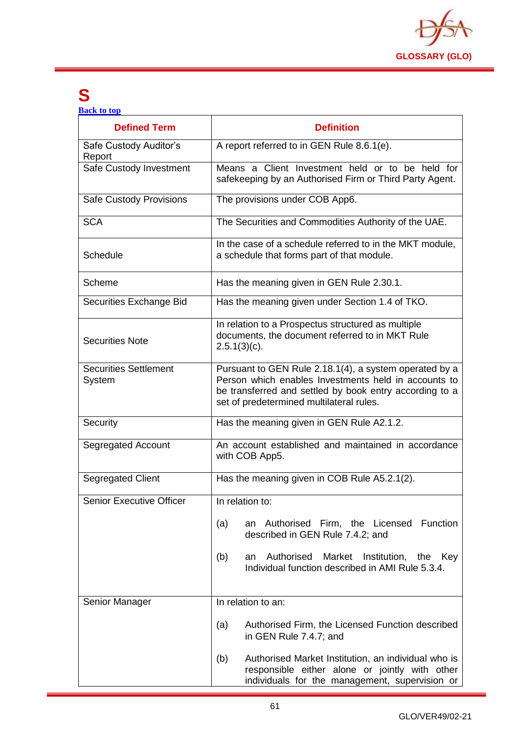

### **S**

**[Back to top](#page-1-0)**

| <b>Defined Term</b>                    | <b>Definition</b>                                                                                                                                                                                                     |
|----------------------------------------|-----------------------------------------------------------------------------------------------------------------------------------------------------------------------------------------------------------------------|
| Safe Custody Auditor's<br>Report       | A report referred to in GEN Rule 8.6.1(e).                                                                                                                                                                            |
| Safe Custody Investment                | Means a Client Investment held or to be held for<br>safekeeping by an Authorised Firm or Third Party Agent.                                                                                                           |
| <b>Safe Custody Provisions</b>         | The provisions under COB App6.                                                                                                                                                                                        |
| <b>SCA</b>                             | The Securities and Commodities Authority of the UAE.                                                                                                                                                                  |
| Schedule                               | In the case of a schedule referred to in the MKT module,<br>a schedule that forms part of that module.                                                                                                                |
| Scheme                                 | Has the meaning given in GEN Rule 2.30.1.                                                                                                                                                                             |
| Securities Exchange Bid                | Has the meaning given under Section 1.4 of TKO.                                                                                                                                                                       |
| <b>Securities Note</b>                 | In relation to a Prospectus structured as multiple<br>documents, the document referred to in MKT Rule<br>$2.5.1(3)(c)$ .                                                                                              |
| <b>Securities Settlement</b><br>System | Pursuant to GEN Rule 2.18.1(4), a system operated by a<br>Person which enables Investments held in accounts to<br>be transferred and settled by book entry according to a<br>set of predetermined multilateral rules. |
| Security                               | Has the meaning given in GEN Rule A2.1.2.                                                                                                                                                                             |
| <b>Segregated Account</b>              | An account established and maintained in accordance<br>with COB App5.                                                                                                                                                 |
| <b>Segregated Client</b>               | Has the meaning given in COB Rule A5.2.1(2).                                                                                                                                                                          |
| <b>Senior Executive Officer</b>        | In relation to:                                                                                                                                                                                                       |
|                                        | an Authorised Firm, the Licensed Function<br>(a)<br>described in GEN Rule 7.4.2; and                                                                                                                                  |
|                                        | Authorised<br>Market Institution, the<br>(b)<br>Key<br>an<br>Individual function described in AMI Rule 5.3.4.                                                                                                         |
| Senior Manager                         | In relation to an:                                                                                                                                                                                                    |
|                                        | Authorised Firm, the Licensed Function described<br>(a)<br>in GEN Rule 7.4.7; and                                                                                                                                     |
|                                        | (b)<br>Authorised Market Institution, an individual who is<br>responsible either alone or jointly with other<br>individuals for the management, supervision or                                                        |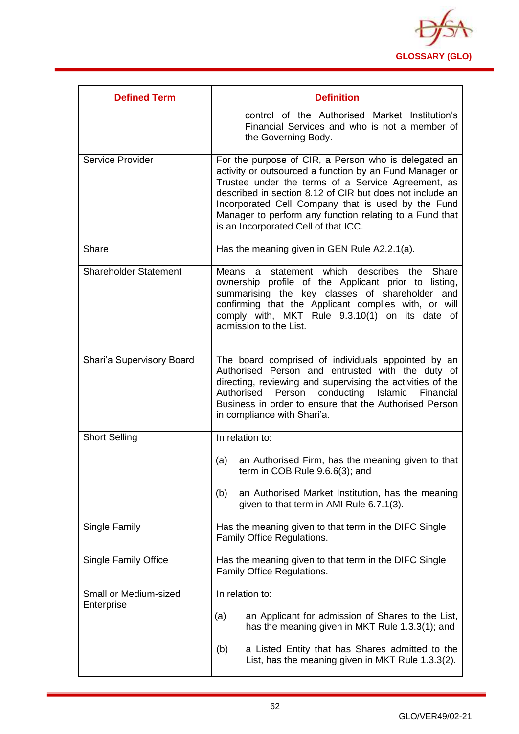

| <b>Defined Term</b>                        | <b>Definition</b>                                                                                                                                                                                                                                                                                                                                                                          |
|--------------------------------------------|--------------------------------------------------------------------------------------------------------------------------------------------------------------------------------------------------------------------------------------------------------------------------------------------------------------------------------------------------------------------------------------------|
|                                            | control of the Authorised Market Institution's<br>Financial Services and who is not a member of<br>the Governing Body.                                                                                                                                                                                                                                                                     |
| Service Provider                           | For the purpose of CIR, a Person who is delegated an<br>activity or outsourced a function by an Fund Manager or<br>Trustee under the terms of a Service Agreement, as<br>described in section 8.12 of CIR but does not include an<br>Incorporated Cell Company that is used by the Fund<br>Manager to perform any function relating to a Fund that<br>is an Incorporated Cell of that ICC. |
| Share                                      | Has the meaning given in GEN Rule A2.2.1(a).                                                                                                                                                                                                                                                                                                                                               |
| <b>Shareholder Statement</b>               | Means a statement which describes the Share<br>ownership profile of the Applicant prior to listing,<br>summarising the key classes of shareholder and<br>confirming that the Applicant complies with, or will<br>comply with, MKT Rule 9.3.10(1) on its date of<br>admission to the List.                                                                                                  |
| Shari'a Supervisory Board                  | The board comprised of individuals appointed by an<br>Authorised Person and entrusted with the duty of<br>directing, reviewing and supervising the activities of the<br>Authorised Person conducting Islamic Financial<br>Business in order to ensure that the Authorised Person<br>in compliance with Shari'a.                                                                            |
| <b>Short Selling</b>                       | In relation to:                                                                                                                                                                                                                                                                                                                                                                            |
|                                            | (a)<br>an Authorised Firm, has the meaning given to that<br>term in COB Rule $9.6.6(3)$ ; and                                                                                                                                                                                                                                                                                              |
|                                            | an Authorised Market Institution, has the meaning<br>(b)<br>given to that term in AMI Rule 6.7.1(3).                                                                                                                                                                                                                                                                                       |
| Single Family                              | Has the meaning given to that term in the DIFC Single<br>Family Office Regulations.                                                                                                                                                                                                                                                                                                        |
| <b>Single Family Office</b>                | Has the meaning given to that term in the DIFC Single<br>Family Office Regulations.                                                                                                                                                                                                                                                                                                        |
| <b>Small or Medium-sized</b><br>Enterprise | In relation to:                                                                                                                                                                                                                                                                                                                                                                            |
|                                            | an Applicant for admission of Shares to the List,<br>(a)<br>has the meaning given in MKT Rule 1.3.3(1); and                                                                                                                                                                                                                                                                                |
|                                            | a Listed Entity that has Shares admitted to the<br>(b)<br>List, has the meaning given in MKT Rule 1.3.3(2).                                                                                                                                                                                                                                                                                |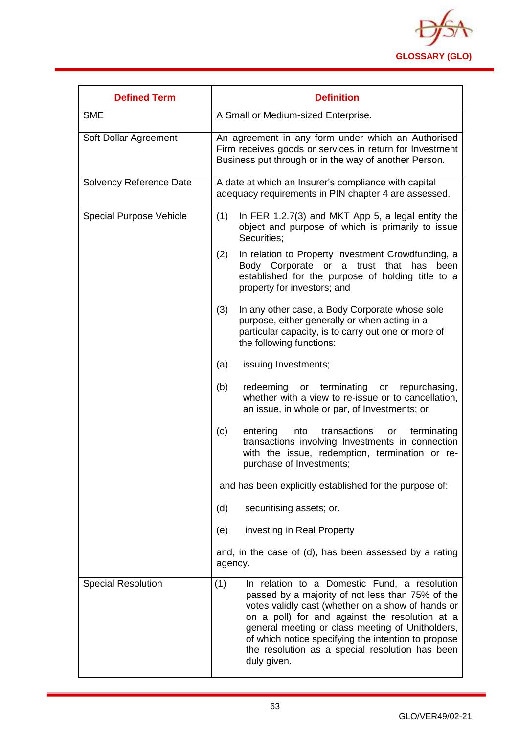

| <b>Defined Term</b>            | <b>Definition</b>                                                                                                                                                                                                                                                                                                                                                                           |
|--------------------------------|---------------------------------------------------------------------------------------------------------------------------------------------------------------------------------------------------------------------------------------------------------------------------------------------------------------------------------------------------------------------------------------------|
| <b>SME</b>                     | A Small or Medium-sized Enterprise.                                                                                                                                                                                                                                                                                                                                                         |
| Soft Dollar Agreement          | An agreement in any form under which an Authorised<br>Firm receives goods or services in return for Investment<br>Business put through or in the way of another Person.                                                                                                                                                                                                                     |
| Solvency Reference Date        | A date at which an Insurer's compliance with capital<br>adequacy requirements in PIN chapter 4 are assessed.                                                                                                                                                                                                                                                                                |
| <b>Special Purpose Vehicle</b> | In FER 1.2.7(3) and MKT App 5, a legal entity the<br>(1)<br>object and purpose of which is primarily to issue<br>Securities;                                                                                                                                                                                                                                                                |
|                                | In relation to Property Investment Crowdfunding, a<br>(2)<br>Body Corporate or a trust<br>that<br>has<br>been<br>established for the purpose of holding title to a<br>property for investors; and                                                                                                                                                                                           |
|                                | (3)<br>In any other case, a Body Corporate whose sole<br>purpose, either generally or when acting in a<br>particular capacity, is to carry out one or more of<br>the following functions:                                                                                                                                                                                                   |
|                                | issuing Investments;<br>(a)                                                                                                                                                                                                                                                                                                                                                                 |
|                                | or terminating or<br>(b)<br>redeeming<br>repurchasing,<br>whether with a view to re-issue or to cancellation,<br>an issue, in whole or par, of Investments; or                                                                                                                                                                                                                              |
|                                | (c)<br>entering<br>into<br>transactions<br>terminating<br>or<br>transactions involving Investments in connection<br>with the issue, redemption, termination or re-<br>purchase of Investments;                                                                                                                                                                                              |
|                                | and has been explicitly established for the purpose of:                                                                                                                                                                                                                                                                                                                                     |
|                                | (d)<br>securitising assets; or.                                                                                                                                                                                                                                                                                                                                                             |
|                                | investing in Real Property<br>(e)                                                                                                                                                                                                                                                                                                                                                           |
|                                | and, in the case of (d), has been assessed by a rating<br>agency.                                                                                                                                                                                                                                                                                                                           |
| <b>Special Resolution</b>      | (1)<br>In relation to a Domestic Fund, a resolution<br>passed by a majority of not less than 75% of the<br>votes validly cast (whether on a show of hands or<br>on a poll) for and against the resolution at a<br>general meeting or class meeting of Unitholders,<br>of which notice specifying the intention to propose<br>the resolution as a special resolution has been<br>duly given. |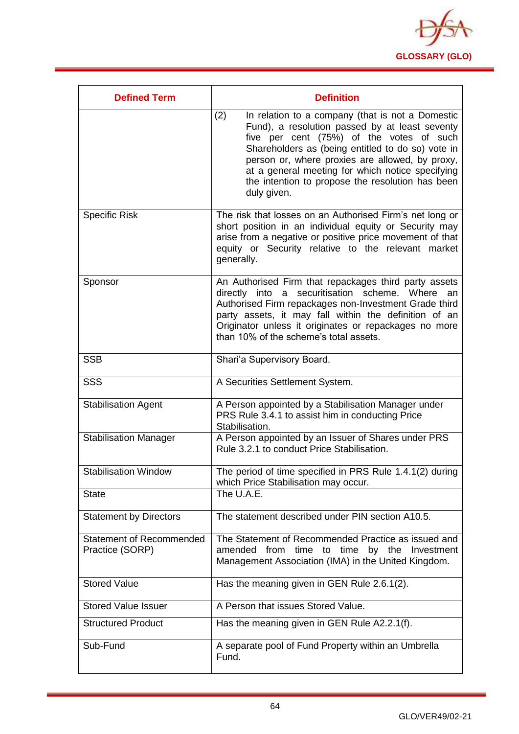

| <b>Defined Term</b>                                | <b>Definition</b>                                                                                                                                                                                                                                                                                                                                                                    |
|----------------------------------------------------|--------------------------------------------------------------------------------------------------------------------------------------------------------------------------------------------------------------------------------------------------------------------------------------------------------------------------------------------------------------------------------------|
|                                                    | In relation to a company (that is not a Domestic<br>(2)<br>Fund), a resolution passed by at least seventy<br>five per cent (75%) of the votes of such<br>Shareholders as (being entitled to do so) vote in<br>person or, where proxies are allowed, by proxy,<br>at a general meeting for which notice specifying<br>the intention to propose the resolution has been<br>duly given. |
| <b>Specific Risk</b>                               | The risk that losses on an Authorised Firm's net long or<br>short position in an individual equity or Security may<br>arise from a negative or positive price movement of that<br>equity or Security relative to the relevant market<br>generally.                                                                                                                                   |
| Sponsor                                            | An Authorised Firm that repackages third party assets<br>directly into a securitisation scheme. Where an<br>Authorised Firm repackages non-Investment Grade third<br>party assets, it may fall within the definition of an<br>Originator unless it originates or repackages no more<br>than 10% of the scheme's total assets.                                                        |
| <b>SSB</b>                                         | Shari'a Supervisory Board.                                                                                                                                                                                                                                                                                                                                                           |
| <b>SSS</b>                                         | A Securities Settlement System.                                                                                                                                                                                                                                                                                                                                                      |
| <b>Stabilisation Agent</b>                         | A Person appointed by a Stabilisation Manager under<br>PRS Rule 3.4.1 to assist him in conducting Price<br>Stabilisation.                                                                                                                                                                                                                                                            |
| <b>Stabilisation Manager</b>                       | A Person appointed by an Issuer of Shares under PRS<br>Rule 3.2.1 to conduct Price Stabilisation.                                                                                                                                                                                                                                                                                    |
| <b>Stabilisation Window</b>                        | The period of time specified in PRS Rule 1.4.1(2) during<br>which Price Stabilisation may occur.                                                                                                                                                                                                                                                                                     |
| <b>State</b>                                       | The U.A.E.                                                                                                                                                                                                                                                                                                                                                                           |
| <b>Statement by Directors</b>                      | The statement described under PIN section A10.5.                                                                                                                                                                                                                                                                                                                                     |
| <b>Statement of Recommended</b><br>Practice (SORP) | The Statement of Recommended Practice as issued and<br>amended from time to time by the Investment<br>Management Association (IMA) in the United Kingdom.                                                                                                                                                                                                                            |
| <b>Stored Value</b>                                | Has the meaning given in GEN Rule 2.6.1(2).                                                                                                                                                                                                                                                                                                                                          |
| <b>Stored Value Issuer</b>                         | A Person that issues Stored Value.                                                                                                                                                                                                                                                                                                                                                   |
| <b>Structured Product</b>                          | Has the meaning given in GEN Rule A2.2.1(f).                                                                                                                                                                                                                                                                                                                                         |
| Sub-Fund                                           | A separate pool of Fund Property within an Umbrella<br>Fund.                                                                                                                                                                                                                                                                                                                         |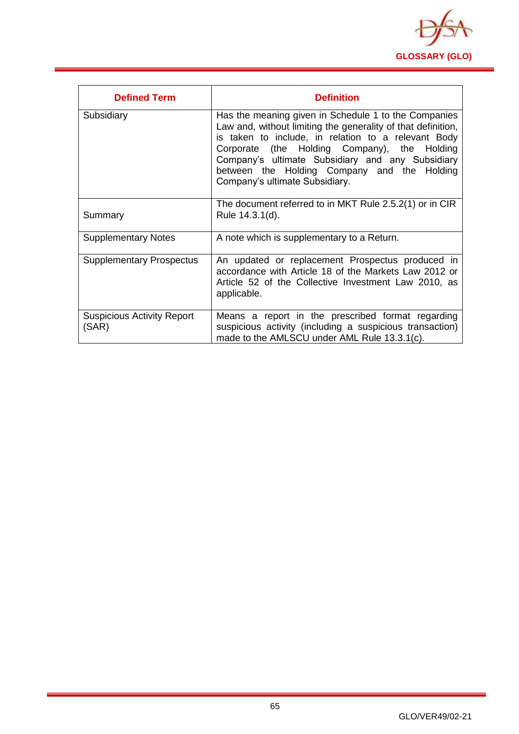

| <b>Defined Term</b>                        | <b>Definition</b>                                                                                                                                                                                                                                                                                                                                                |
|--------------------------------------------|------------------------------------------------------------------------------------------------------------------------------------------------------------------------------------------------------------------------------------------------------------------------------------------------------------------------------------------------------------------|
| Subsidiary                                 | Has the meaning given in Schedule 1 to the Companies<br>Law and, without limiting the generality of that definition,<br>is taken to include, in relation to a relevant Body<br>Corporate (the Holding Company), the Holding<br>Company's ultimate Subsidiary and any Subsidiary<br>between the Holding Company and the Holding<br>Company's ultimate Subsidiary. |
| Summary                                    | The document referred to in MKT Rule 2.5.2(1) or in CIR<br>Rule 14.3.1(d).                                                                                                                                                                                                                                                                                       |
| <b>Supplementary Notes</b>                 | A note which is supplementary to a Return.                                                                                                                                                                                                                                                                                                                       |
| <b>Supplementary Prospectus</b>            | An updated or replacement Prospectus produced in<br>accordance with Article 18 of the Markets Law 2012 or<br>Article 52 of the Collective Investment Law 2010, as<br>applicable.                                                                                                                                                                                 |
| <b>Suspicious Activity Report</b><br>(SAR) | Means a report in the prescribed format regarding<br>suspicious activity (including a suspicious transaction)<br>made to the AMLSCU under AML Rule 13.3.1(c).                                                                                                                                                                                                    |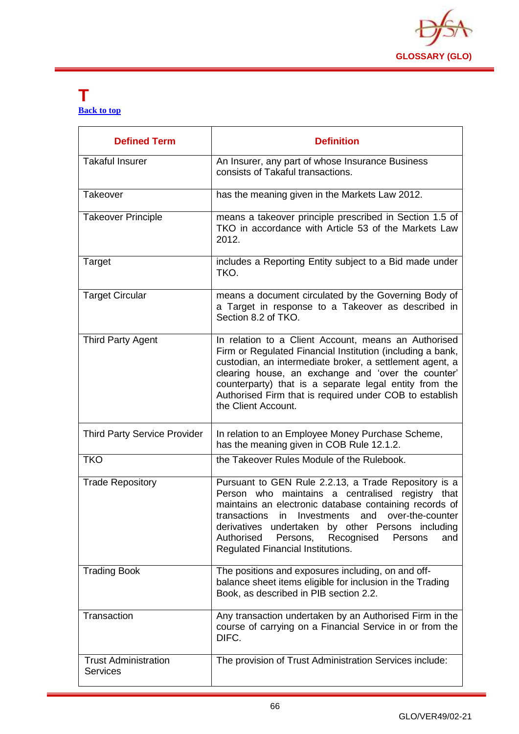

#### **T [Back to top](#page-1-0)**

| <b>Defined Term</b>                            | <b>Definition</b>                                                                                                                                                                                                                                                                                                                                                                      |
|------------------------------------------------|----------------------------------------------------------------------------------------------------------------------------------------------------------------------------------------------------------------------------------------------------------------------------------------------------------------------------------------------------------------------------------------|
| <b>Takaful Insurer</b>                         | An Insurer, any part of whose Insurance Business<br>consists of Takaful transactions.                                                                                                                                                                                                                                                                                                  |
| Takeover                                       | has the meaning given in the Markets Law 2012.                                                                                                                                                                                                                                                                                                                                         |
| <b>Takeover Principle</b>                      | means a takeover principle prescribed in Section 1.5 of<br>TKO in accordance with Article 53 of the Markets Law<br>2012.                                                                                                                                                                                                                                                               |
| Target                                         | includes a Reporting Entity subject to a Bid made under<br>TKO.                                                                                                                                                                                                                                                                                                                        |
| <b>Target Circular</b>                         | means a document circulated by the Governing Body of<br>a Target in response to a Takeover as described in<br>Section 8.2 of TKO.                                                                                                                                                                                                                                                      |
| <b>Third Party Agent</b>                       | In relation to a Client Account, means an Authorised<br>Firm or Regulated Financial Institution (including a bank,<br>custodian, an intermediate broker, a settlement agent, a<br>clearing house, an exchange and 'over the counter'<br>counterparty) that is a separate legal entity from the<br>Authorised Firm that is required under COB to establish<br>the Client Account.       |
| <b>Third Party Service Provider</b>            | In relation to an Employee Money Purchase Scheme,<br>has the meaning given in COB Rule 12.1.2.                                                                                                                                                                                                                                                                                         |
| <b>TKO</b>                                     | the Takeover Rules Module of the Rulebook.                                                                                                                                                                                                                                                                                                                                             |
| <b>Trade Repository</b>                        | Pursuant to GEN Rule 2.2.13, a Trade Repository is a<br>Person who maintains a centralised registry that<br>maintains an electronic database containing records of<br>transactions<br>in<br>Investments<br>and<br>over-the-counter<br>derivatives undertaken by other Persons including<br>Authorised<br>Persons,<br>Recognised<br>Persons<br>and<br>Regulated Financial Institutions. |
| <b>Trading Book</b>                            | The positions and exposures including, on and off-<br>balance sheet items eligible for inclusion in the Trading<br>Book, as described in PIB section 2.2.                                                                                                                                                                                                                              |
| Transaction                                    | Any transaction undertaken by an Authorised Firm in the<br>course of carrying on a Financial Service in or from the<br>DIFC.                                                                                                                                                                                                                                                           |
| <b>Trust Administration</b><br><b>Services</b> | The provision of Trust Administration Services include:                                                                                                                                                                                                                                                                                                                                |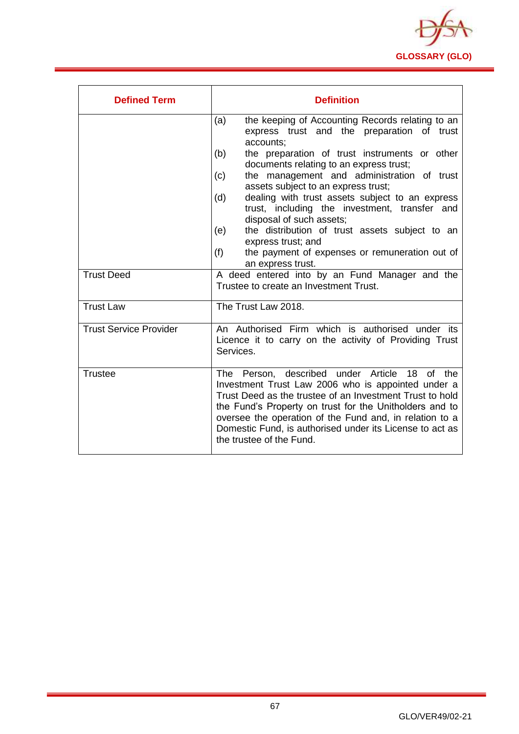

| <b>Defined Term</b>           | <b>Definition</b>                                                                                                                                                                                                                                                                                                                                                                                                                                                                                                                                                                                                     |
|-------------------------------|-----------------------------------------------------------------------------------------------------------------------------------------------------------------------------------------------------------------------------------------------------------------------------------------------------------------------------------------------------------------------------------------------------------------------------------------------------------------------------------------------------------------------------------------------------------------------------------------------------------------------|
|                               | (a)<br>the keeping of Accounting Records relating to an<br>express trust and the preparation of trust<br>accounts;<br>(b)<br>the preparation of trust instruments or other<br>documents relating to an express trust;<br>the management and administration of trust<br>(c)<br>assets subject to an express trust;<br>dealing with trust assets subject to an express<br>(d)<br>trust, including the investment, transfer and<br>disposal of such assets;<br>the distribution of trust assets subject to an<br>(e)<br>express trust; and<br>(f)<br>the payment of expenses or remuneration out of<br>an express trust. |
| <b>Trust Deed</b>             | A deed entered into by an Fund Manager and the<br>Trustee to create an Investment Trust.                                                                                                                                                                                                                                                                                                                                                                                                                                                                                                                              |
| <b>Trust Law</b>              | The Trust Law 2018.                                                                                                                                                                                                                                                                                                                                                                                                                                                                                                                                                                                                   |
| <b>Trust Service Provider</b> | An Authorised Firm which is authorised under its<br>Licence it to carry on the activity of Providing Trust<br>Services.                                                                                                                                                                                                                                                                                                                                                                                                                                                                                               |
| <b>Trustee</b>                | The Person, described under Article 18 of the<br>Investment Trust Law 2006 who is appointed under a<br>Trust Deed as the trustee of an Investment Trust to hold<br>the Fund's Property on trust for the Unitholders and to<br>oversee the operation of the Fund and, in relation to a<br>Domestic Fund, is authorised under its License to act as<br>the trustee of the Fund.                                                                                                                                                                                                                                         |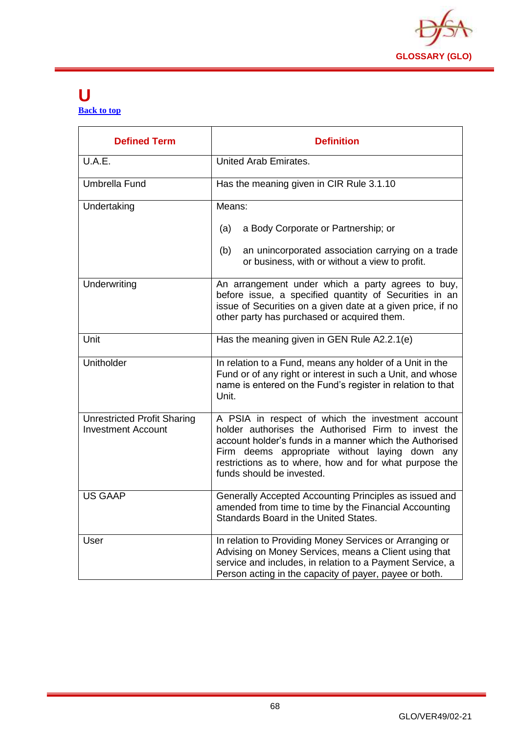

#### **U [Back to top](#page-1-0)**

| <b>Defined Term</b>                                             | <b>Definition</b>                                                                                                                                                                                                                                                                                            |
|-----------------------------------------------------------------|--------------------------------------------------------------------------------------------------------------------------------------------------------------------------------------------------------------------------------------------------------------------------------------------------------------|
| U.A.E.                                                          | United Arab Emirates.                                                                                                                                                                                                                                                                                        |
| <b>Umbrella Fund</b>                                            | Has the meaning given in CIR Rule 3.1.10                                                                                                                                                                                                                                                                     |
| Undertaking                                                     | Means:                                                                                                                                                                                                                                                                                                       |
|                                                                 | (a)<br>a Body Corporate or Partnership; or                                                                                                                                                                                                                                                                   |
|                                                                 | (b)<br>an unincorporated association carrying on a trade<br>or business, with or without a view to profit.                                                                                                                                                                                                   |
| Underwriting                                                    | An arrangement under which a party agrees to buy,<br>before issue, a specified quantity of Securities in an<br>issue of Securities on a given date at a given price, if no<br>other party has purchased or acquired them.                                                                                    |
| Unit                                                            | Has the meaning given in GEN Rule A2.2.1(e)                                                                                                                                                                                                                                                                  |
| Unitholder                                                      | In relation to a Fund, means any holder of a Unit in the<br>Fund or of any right or interest in such a Unit, and whose<br>name is entered on the Fund's register in relation to that<br>Unit.                                                                                                                |
| <b>Unrestricted Profit Sharing</b><br><b>Investment Account</b> | A PSIA in respect of which the investment account<br>holder authorises the Authorised Firm to invest the<br>account holder's funds in a manner which the Authorised<br>Firm deems appropriate without laying down any<br>restrictions as to where, how and for what purpose the<br>funds should be invested. |
| <b>US GAAP</b>                                                  | Generally Accepted Accounting Principles as issued and<br>amended from time to time by the Financial Accounting<br>Standards Board in the United States.                                                                                                                                                     |
| User                                                            | In relation to Providing Money Services or Arranging or<br>Advising on Money Services, means a Client using that<br>service and includes, in relation to a Payment Service, a<br>Person acting in the capacity of payer, payee or both.                                                                      |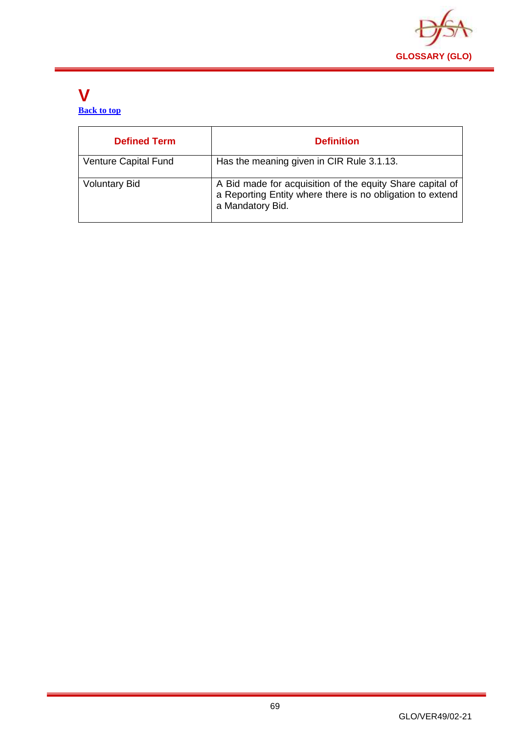

#### **V [Back to top](#page-1-0)**

| <b>Defined Term</b>         | <b>Definition</b>                                                                                                                          |
|-----------------------------|--------------------------------------------------------------------------------------------------------------------------------------------|
| <b>Venture Capital Fund</b> | Has the meaning given in CIR Rule 3.1.13.                                                                                                  |
| <b>Voluntary Bid</b>        | A Bid made for acquisition of the equity Share capital of<br>a Reporting Entity where there is no obligation to extend<br>a Mandatory Bid. |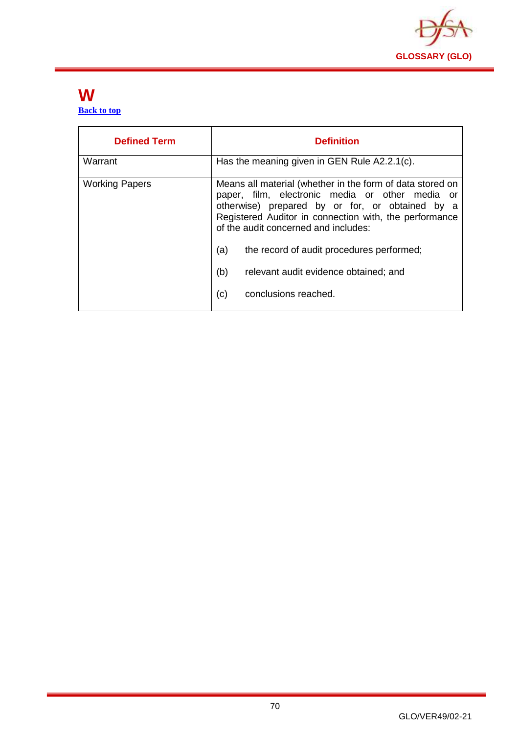

#### **W [Back to top](#page-1-0)**

| <b>Defined Term</b>   | <b>Definition</b>                                                                                                                                                                                                                                                                                                                                                                                    |
|-----------------------|------------------------------------------------------------------------------------------------------------------------------------------------------------------------------------------------------------------------------------------------------------------------------------------------------------------------------------------------------------------------------------------------------|
| Warrant               | Has the meaning given in GEN Rule A2.2.1(c).                                                                                                                                                                                                                                                                                                                                                         |
| <b>Working Papers</b> | Means all material (whether in the form of data stored on<br>paper, film, electronic media or other media or<br>otherwise) prepared by or for, or obtained by a<br>Registered Auditor in connection with, the performance<br>of the audit concerned and includes:<br>(a)<br>the record of audit procedures performed;<br>(b)<br>relevant audit evidence obtained; and<br>(c)<br>conclusions reached. |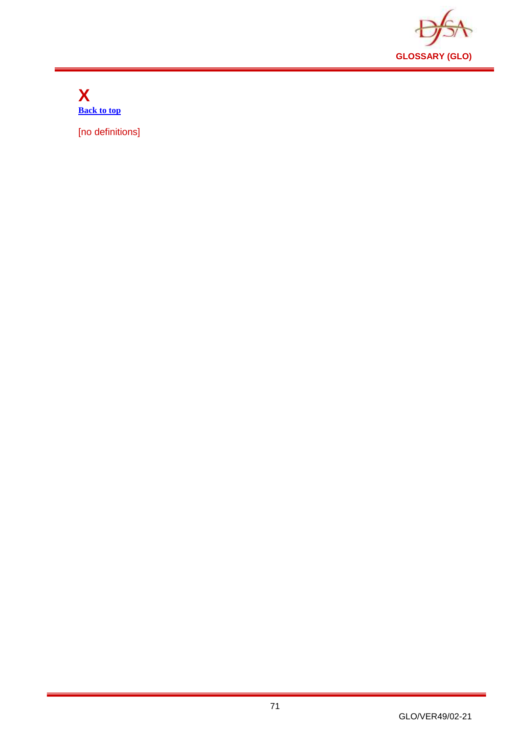

**X [Back to top](#page-1-0)**

[no definitions]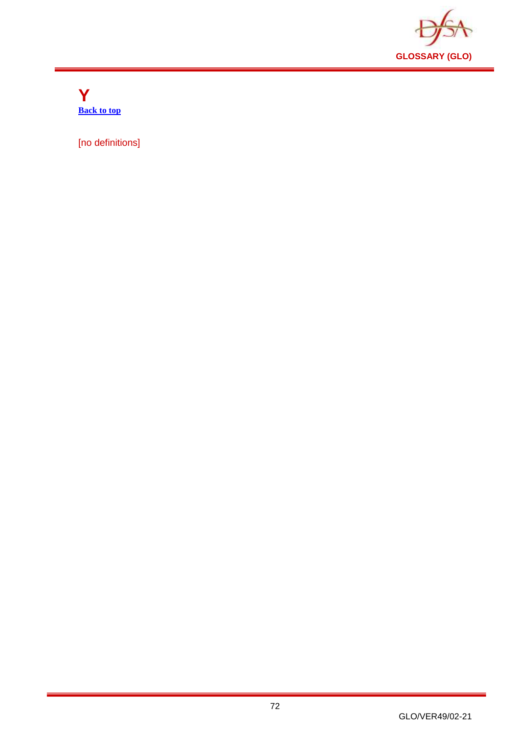

**Y [Back to top](#page-1-0)**

[no definitions]